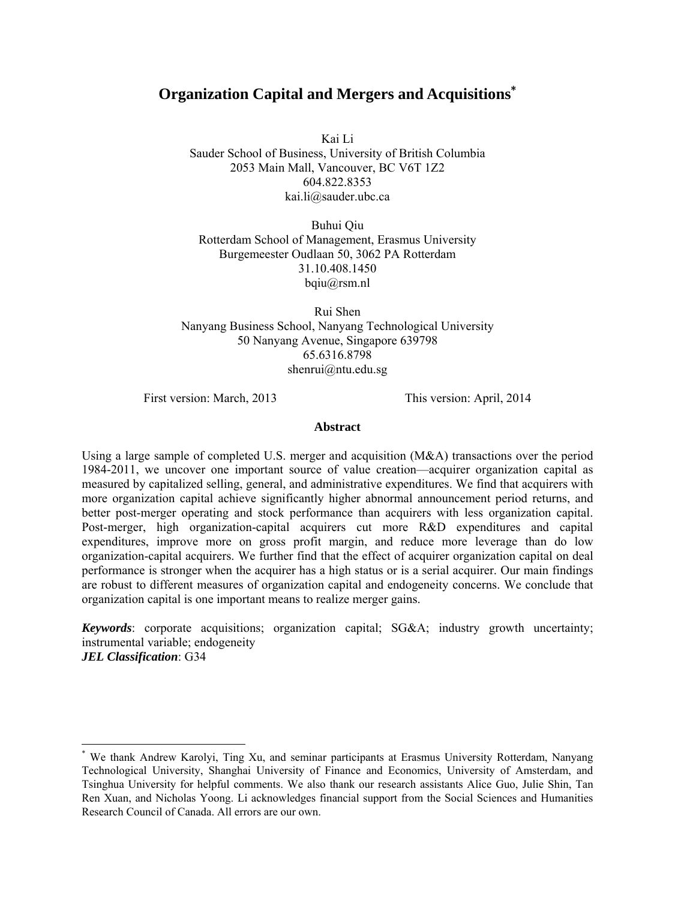# **Organization Capital and Mergers and Acquisitions\***

Kai Li Sauder School of Business, University of British Columbia 2053 Main Mall, Vancouver, BC V6T 1Z2 604.822.8353 kai.li@sauder.ubc.ca

Buhui Qiu Rotterdam School of Management, Erasmus University Burgemeester Oudlaan 50, 3062 PA Rotterdam 31.10.408.1450 bqiu@rsm.nl

Rui Shen Nanyang Business School, Nanyang Technological University 50 Nanyang Avenue, Singapore 639798 65.6316.8798 shenrui@ntu.edu.sg

First version: March, 2013 This version: April, 2014

 $\overline{a}$ 

#### **Abstract**

Using a large sample of completed U.S. merger and acquisition  $(M&A)$  transactions over the period 1984-2011, we uncover one important source of value creation—acquirer organization capital as measured by capitalized selling, general, and administrative expenditures. We find that acquirers with more organization capital achieve significantly higher abnormal announcement period returns, and better post-merger operating and stock performance than acquirers with less organization capital. Post-merger, high organization-capital acquirers cut more R&D expenditures and capital expenditures, improve more on gross profit margin, and reduce more leverage than do low organization-capital acquirers. We further find that the effect of acquirer organization capital on deal performance is stronger when the acquirer has a high status or is a serial acquirer. Our main findings are robust to different measures of organization capital and endogeneity concerns. We conclude that organization capital is one important means to realize merger gains.

*Keywords*: corporate acquisitions; organization capital; SG&A; industry growth uncertainty; instrumental variable; endogeneity *JEL Classification*: G34

<sup>\*</sup> We thank Andrew Karolyi, Ting Xu, and seminar participants at Erasmus University Rotterdam, Nanyang Technological University, Shanghai University of Finance and Economics, University of Amsterdam, and Tsinghua University for helpful comments. We also thank our research assistants Alice Guo, Julie Shin, Tan Ren Xuan, and Nicholas Yoong. Li acknowledges financial support from the Social Sciences and Humanities Research Council of Canada. All errors are our own.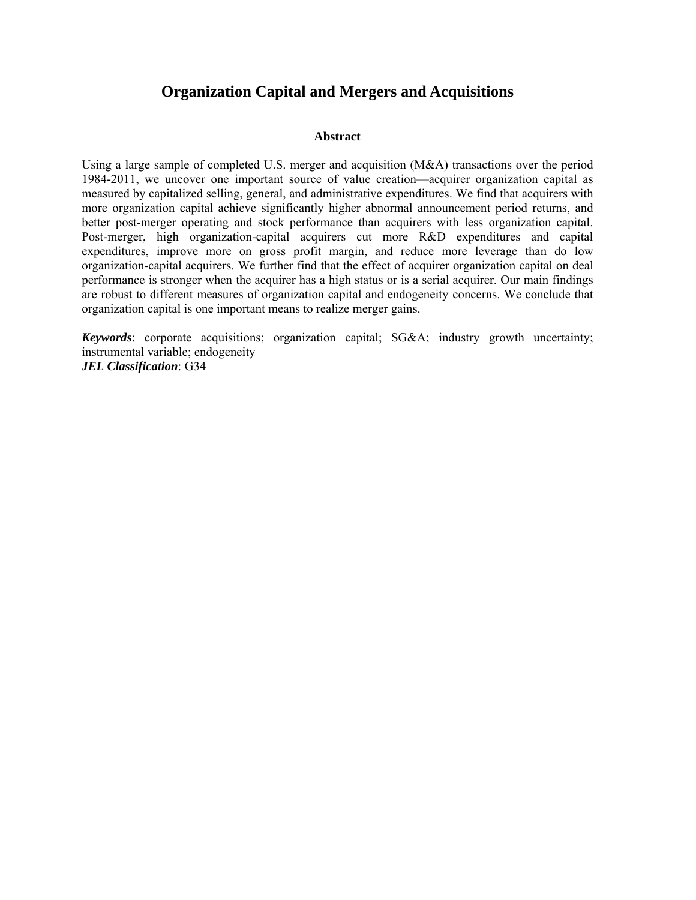# **Organization Capital and Mergers and Acquisitions**

# **Abstract**

Using a large sample of completed U.S. merger and acquisition  $(M&A)$  transactions over the period 1984-2011, we uncover one important source of value creation—acquirer organization capital as measured by capitalized selling, general, and administrative expenditures. We find that acquirers with more organization capital achieve significantly higher abnormal announcement period returns, and better post-merger operating and stock performance than acquirers with less organization capital. Post-merger, high organization-capital acquirers cut more R&D expenditures and capital expenditures, improve more on gross profit margin, and reduce more leverage than do low organization-capital acquirers. We further find that the effect of acquirer organization capital on deal performance is stronger when the acquirer has a high status or is a serial acquirer. Our main findings are robust to different measures of organization capital and endogeneity concerns. We conclude that organization capital is one important means to realize merger gains.

*Keywords*: corporate acquisitions; organization capital; SG&A; industry growth uncertainty; instrumental variable; endogeneity *JEL Classification*: G34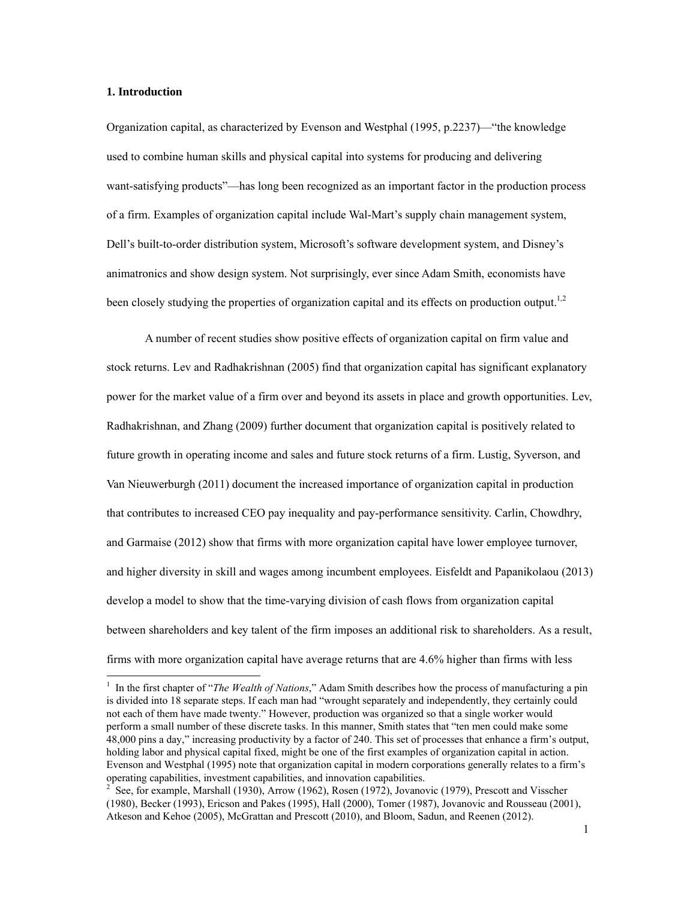### **1. Introduction**

 $\overline{a}$ 

Organization capital, as characterized by Evenson and Westphal (1995, p.2237)—"the knowledge used to combine human skills and physical capital into systems for producing and delivering want-satisfying products"—has long been recognized as an important factor in the production process of a firm. Examples of organization capital include Wal-Mart's supply chain management system, Dell's built-to-order distribution system, Microsoft's software development system, and Disney's animatronics and show design system. Not surprisingly, ever since Adam Smith, economists have been closely studying the properties of organization capital and its effects on production output.<sup>1,2</sup>

A number of recent studies show positive effects of organization capital on firm value and stock returns. Lev and Radhakrishnan (2005) find that organization capital has significant explanatory power for the market value of a firm over and beyond its assets in place and growth opportunities. Lev, Radhakrishnan, and Zhang (2009) further document that organization capital is positively related to future growth in operating income and sales and future stock returns of a firm. Lustig, Syverson, and Van Nieuwerburgh (2011) document the increased importance of organization capital in production that contributes to increased CEO pay inequality and pay-performance sensitivity. Carlin, Chowdhry, and Garmaise (2012) show that firms with more organization capital have lower employee turnover, and higher diversity in skill and wages among incumbent employees. Eisfeldt and Papanikolaou (2013) develop a model to show that the time-varying division of cash flows from organization capital between shareholders and key talent of the firm imposes an additional risk to shareholders. As a result, firms with more organization capital have average returns that are 4.6% higher than firms with less

<sup>&</sup>lt;sup>1</sup> In the first chapter of "*The Wealth of Nations*," Adam Smith describes how the process of manufacturing a pin is divided into 18 separate steps. If each man had "wrought separately and independently, they certainly could not each of them have made twenty." However, production was organized so that a single worker would perform a small number of these discrete tasks. In this manner, Smith states that "ten men could make some 48,000 pins a day," increasing productivity by a factor of 240. This set of processes that enhance a firm's output, holding labor and physical capital fixed, might be one of the first examples of organization capital in action. Evenson and Westphal (1995) note that organization capital in modern corporations generally relates to a firm's operating capabilities, investment capabilities, and innovation capabilities.

<sup>2</sup> See, for example, Marshall (1930), Arrow (1962), Rosen (1972), Jovanovic (1979), Prescott and Visscher (1980), Becker (1993), Ericson and Pakes (1995), Hall (2000), Tomer (1987), Jovanovic and Rousseau (2001), Atkeson and Kehoe (2005), McGrattan and Prescott (2010), and Bloom, Sadun, and Reenen (2012).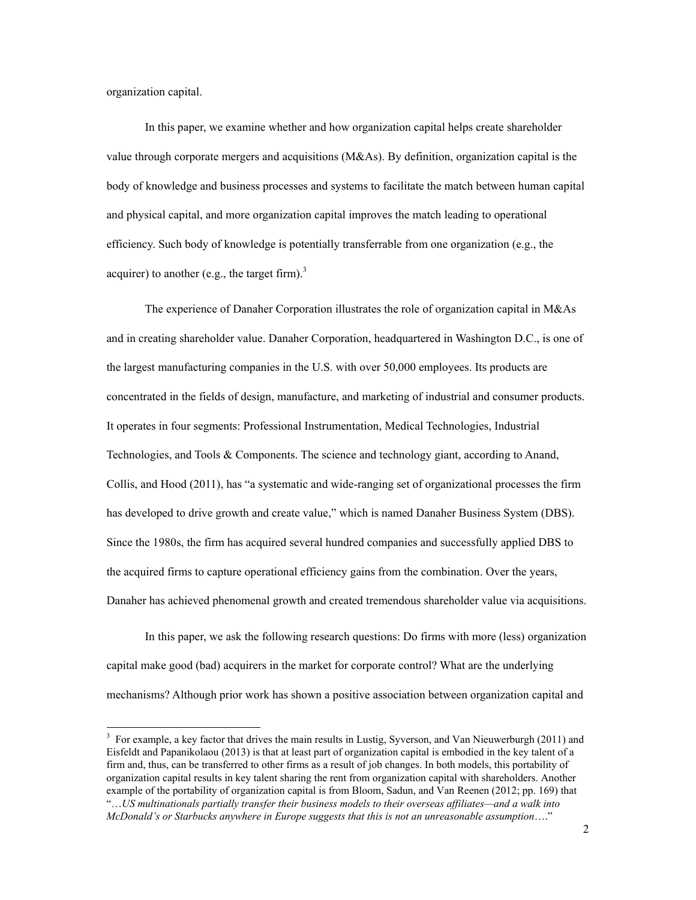organization capital.

1

In this paper, we examine whether and how organization capital helps create shareholder value through corporate mergers and acquisitions (M&As). By definition, organization capital is the body of knowledge and business processes and systems to facilitate the match between human capital and physical capital, and more organization capital improves the match leading to operational efficiency. Such body of knowledge is potentially transferrable from one organization (e.g., the acquirer) to another (e.g., the target firm).<sup>3</sup>

The experience of Danaher Corporation illustrates the role of organization capital in M&As and in creating shareholder value. Danaher Corporation, headquartered in Washington D.C., is one of the largest manufacturing companies in the U.S. with over 50,000 employees. Its products are concentrated in the fields of design, manufacture, and marketing of industrial and consumer products. It operates in four segments: Professional Instrumentation, Medical Technologies, Industrial Technologies, and Tools & Components. The science and technology giant, according to Anand, Collis, and Hood (2011), has "a systematic and wide-ranging set of organizational processes the firm has developed to drive growth and create value," which is named Danaher Business System (DBS). Since the 1980s, the firm has acquired several hundred companies and successfully applied DBS to the acquired firms to capture operational efficiency gains from the combination. Over the years, Danaher has achieved phenomenal growth and created tremendous shareholder value via acquisitions.

In this paper, we ask the following research questions: Do firms with more (less) organization capital make good (bad) acquirers in the market for corporate control? What are the underlying mechanisms? Although prior work has shown a positive association between organization capital and

<sup>3</sup> For example, a key factor that drives the main results in Lustig, Syverson, and Van Nieuwerburgh (2011) and Eisfeldt and Papanikolaou (2013) is that at least part of organization capital is embodied in the key talent of a firm and, thus, can be transferred to other firms as a result of job changes. In both models, this portability of organization capital results in key talent sharing the rent from organization capital with shareholders. Another example of the portability of organization capital is from Bloom, Sadun, and Van Reenen (2012; pp. 169) that "…*US multinationals partially transfer their business models to their overseas affiliates—and a walk into McDonald's or Starbucks anywhere in Europe suggests that this is not an unreasonable assumption*…."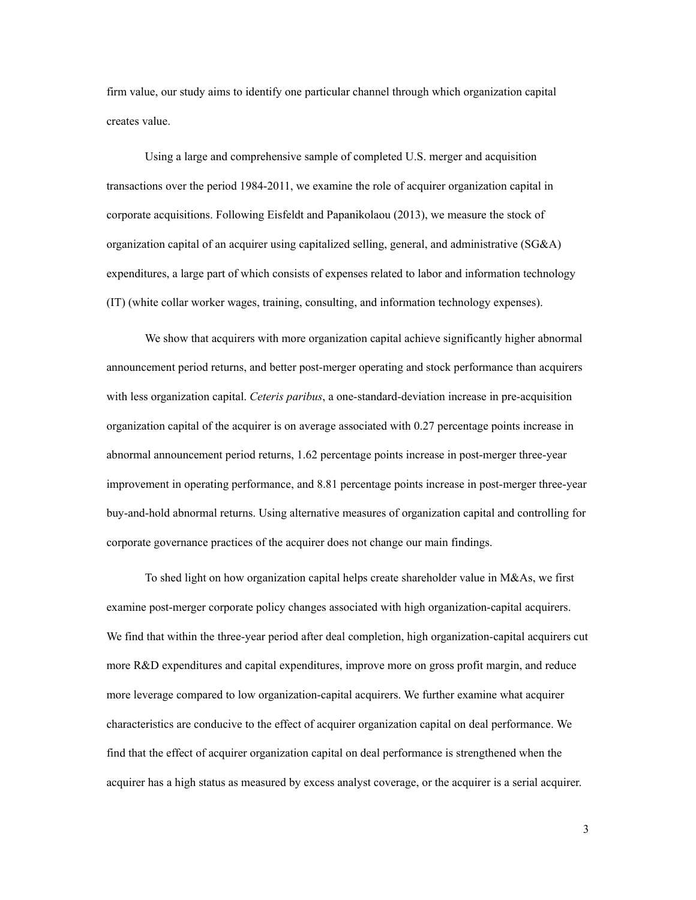firm value, our study aims to identify one particular channel through which organization capital creates value.

Using a large and comprehensive sample of completed U.S. merger and acquisition transactions over the period 1984-2011, we examine the role of acquirer organization capital in corporate acquisitions. Following Eisfeldt and Papanikolaou (2013), we measure the stock of organization capital of an acquirer using capitalized selling, general, and administrative (SG&A) expenditures, a large part of which consists of expenses related to labor and information technology (IT) (white collar worker wages, training, consulting, and information technology expenses).

We show that acquirers with more organization capital achieve significantly higher abnormal announcement period returns, and better post-merger operating and stock performance than acquirers with less organization capital. *Ceteris paribus*, a one-standard-deviation increase in pre-acquisition organization capital of the acquirer is on average associated with 0.27 percentage points increase in abnormal announcement period returns, 1.62 percentage points increase in post-merger three-year improvement in operating performance, and 8.81 percentage points increase in post-merger three-year buy-and-hold abnormal returns. Using alternative measures of organization capital and controlling for corporate governance practices of the acquirer does not change our main findings.

To shed light on how organization capital helps create shareholder value in M&As, we first examine post-merger corporate policy changes associated with high organization-capital acquirers. We find that within the three-year period after deal completion, high organization-capital acquirers cut more R&D expenditures and capital expenditures, improve more on gross profit margin, and reduce more leverage compared to low organization-capital acquirers. We further examine what acquirer characteristics are conducive to the effect of acquirer organization capital on deal performance. We find that the effect of acquirer organization capital on deal performance is strengthened when the acquirer has a high status as measured by excess analyst coverage, or the acquirer is a serial acquirer.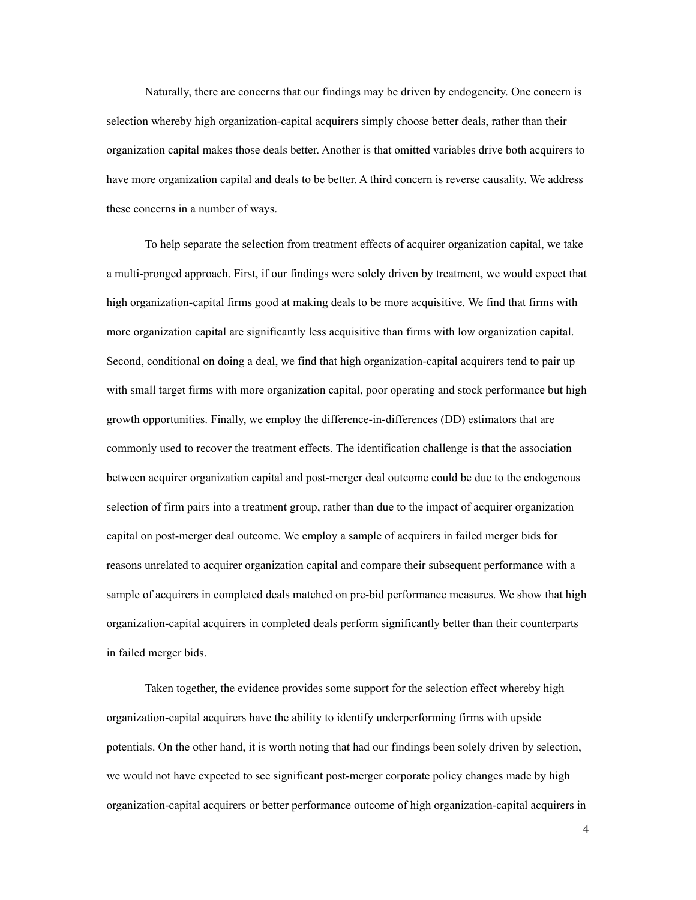Naturally, there are concerns that our findings may be driven by endogeneity. One concern is selection whereby high organization-capital acquirers simply choose better deals, rather than their organization capital makes those deals better. Another is that omitted variables drive both acquirers to have more organization capital and deals to be better. A third concern is reverse causality. We address these concerns in a number of ways.

To help separate the selection from treatment effects of acquirer organization capital, we take a multi-pronged approach. First, if our findings were solely driven by treatment, we would expect that high organization-capital firms good at making deals to be more acquisitive. We find that firms with more organization capital are significantly less acquisitive than firms with low organization capital. Second, conditional on doing a deal, we find that high organization-capital acquirers tend to pair up with small target firms with more organization capital, poor operating and stock performance but high growth opportunities. Finally, we employ the difference-in-differences (DD) estimators that are commonly used to recover the treatment effects. The identification challenge is that the association between acquirer organization capital and post-merger deal outcome could be due to the endogenous selection of firm pairs into a treatment group, rather than due to the impact of acquirer organization capital on post-merger deal outcome. We employ a sample of acquirers in failed merger bids for reasons unrelated to acquirer organization capital and compare their subsequent performance with a sample of acquirers in completed deals matched on pre-bid performance measures. We show that high organization-capital acquirers in completed deals perform significantly better than their counterparts in failed merger bids.

Taken together, the evidence provides some support for the selection effect whereby high organization-capital acquirers have the ability to identify underperforming firms with upside potentials. On the other hand, it is worth noting that had our findings been solely driven by selection, we would not have expected to see significant post-merger corporate policy changes made by high organization-capital acquirers or better performance outcome of high organization-capital acquirers in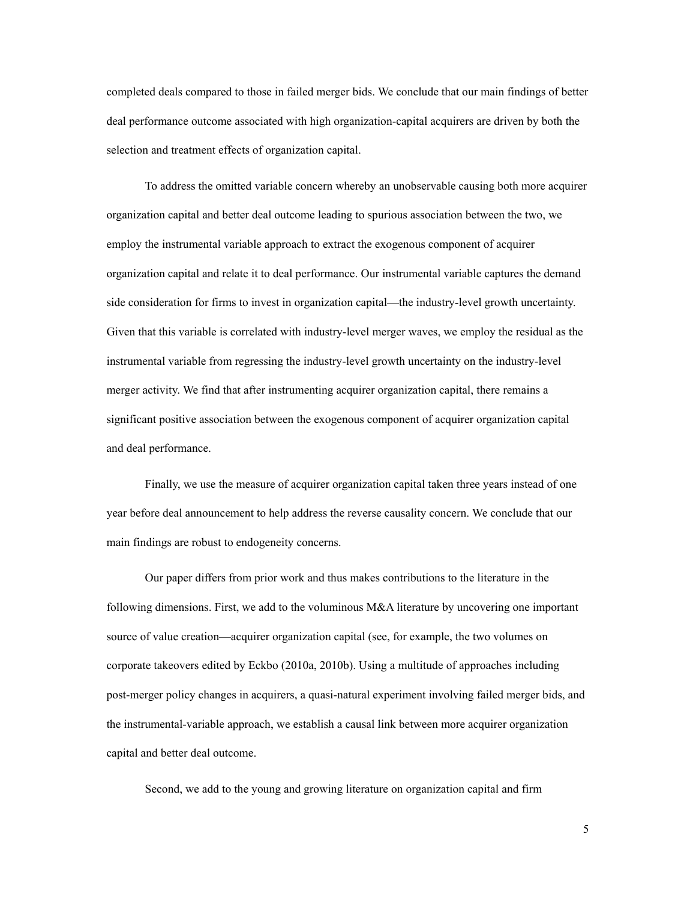completed deals compared to those in failed merger bids. We conclude that our main findings of better deal performance outcome associated with high organization-capital acquirers are driven by both the selection and treatment effects of organization capital.

To address the omitted variable concern whereby an unobservable causing both more acquirer organization capital and better deal outcome leading to spurious association between the two, we employ the instrumental variable approach to extract the exogenous component of acquirer organization capital and relate it to deal performance. Our instrumental variable captures the demand side consideration for firms to invest in organization capital—the industry-level growth uncertainty. Given that this variable is correlated with industry-level merger waves, we employ the residual as the instrumental variable from regressing the industry-level growth uncertainty on the industry-level merger activity. We find that after instrumenting acquirer organization capital, there remains a significant positive association between the exogenous component of acquirer organization capital and deal performance.

Finally, we use the measure of acquirer organization capital taken three years instead of one year before deal announcement to help address the reverse causality concern. We conclude that our main findings are robust to endogeneity concerns.

Our paper differs from prior work and thus makes contributions to the literature in the following dimensions. First, we add to the voluminous M&A literature by uncovering one important source of value creation—acquirer organization capital (see, for example, the two volumes on corporate takeovers edited by Eckbo (2010a, 2010b). Using a multitude of approaches including post-merger policy changes in acquirers, a quasi-natural experiment involving failed merger bids, and the instrumental-variable approach, we establish a causal link between more acquirer organization capital and better deal outcome.

Second, we add to the young and growing literature on organization capital and firm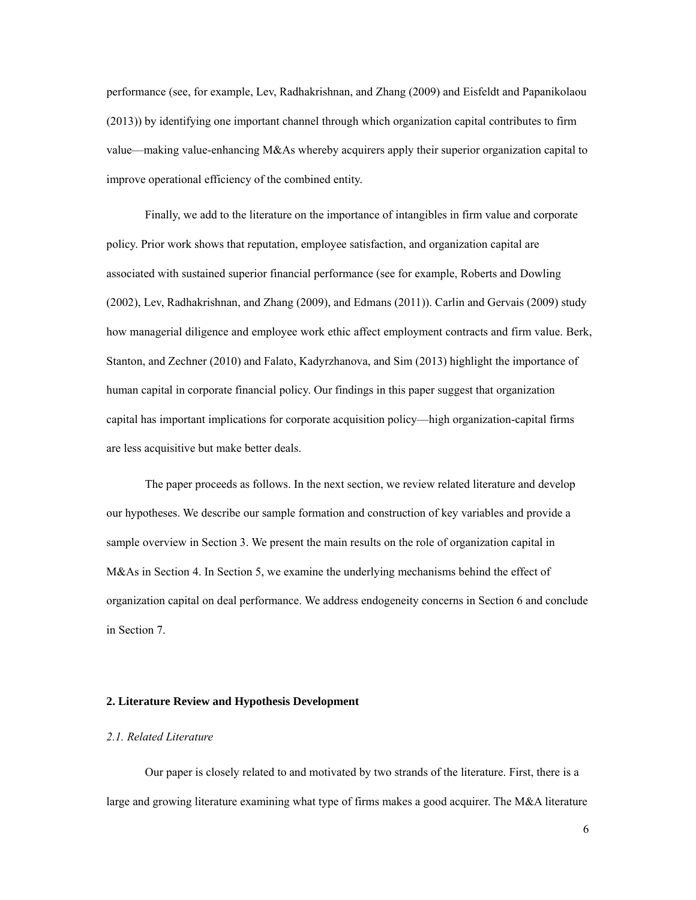performance (see, for example, Lev, Radhakrishnan, and Zhang (2009) and Eisfeldt and Papanikolaou (2013)) by identifying one important channel through which organization capital contributes to firm value—making value-enhancing M&As whereby acquirers apply their superior organization capital to improve operational efficiency of the combined entity.

Finally, we add to the literature on the importance of intangibles in firm value and corporate policy. Prior work shows that reputation, employee satisfaction, and organization capital are associated with sustained superior financial performance (see for example, Roberts and Dowling (2002), Lev, Radhakrishnan, and Zhang (2009), and Edmans (2011)). Carlin and Gervais (2009) study how managerial diligence and employee work ethic affect employment contracts and firm value. Berk, Stanton, and Zechner (2010) and Falato, Kadyrzhanova, and Sim (2013) highlight the importance of human capital in corporate financial policy. Our findings in this paper suggest that organization capital has important implications for corporate acquisition policy—high organization-capital firms are less acquisitive but make better deals.

The paper proceeds as follows. In the next section, we review related literature and develop our hypotheses. We describe our sample formation and construction of key variables and provide a sample overview in Section 3. We present the main results on the role of organization capital in M&As in Section 4. In Section 5, we examine the underlying mechanisms behind the effect of organization capital on deal performance. We address endogeneity concerns in Section 6 and conclude in Section 7.

#### **2. Literature Review and Hypothesis Development**

### *2.1. Related Literature*

Our paper is closely related to and motivated by two strands of the literature. First, there is a large and growing literature examining what type of firms makes a good acquirer. The M&A literature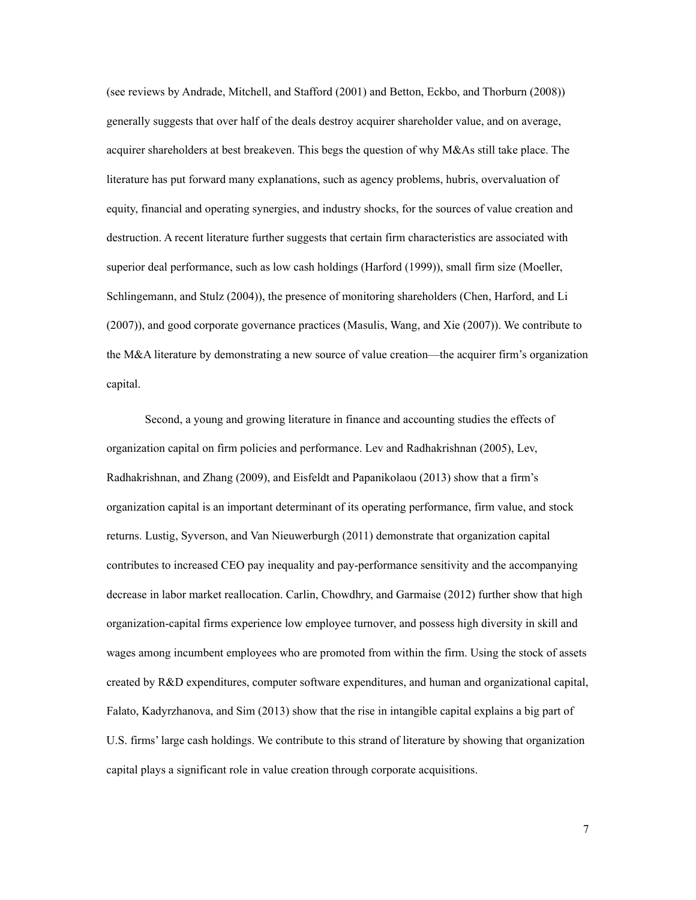(see reviews by Andrade, Mitchell, and Stafford (2001) and Betton, Eckbo, and Thorburn (2008)) generally suggests that over half of the deals destroy acquirer shareholder value, and on average, acquirer shareholders at best breakeven. This begs the question of why M&As still take place. The literature has put forward many explanations, such as agency problems, hubris, overvaluation of equity, financial and operating synergies, and industry shocks, for the sources of value creation and destruction. A recent literature further suggests that certain firm characteristics are associated with superior deal performance, such as low cash holdings (Harford (1999)), small firm size (Moeller, Schlingemann, and Stulz (2004)), the presence of monitoring shareholders (Chen, Harford, and Li (2007)), and good corporate governance practices (Masulis, Wang, and Xie (2007)). We contribute to the M&A literature by demonstrating a new source of value creation—the acquirer firm's organization capital.

Second, a young and growing literature in finance and accounting studies the effects of organization capital on firm policies and performance. Lev and Radhakrishnan (2005), Lev, Radhakrishnan, and Zhang (2009), and Eisfeldt and Papanikolaou (2013) show that a firm's organization capital is an important determinant of its operating performance, firm value, and stock returns. Lustig, Syverson, and Van Nieuwerburgh (2011) demonstrate that organization capital contributes to increased CEO pay inequality and pay-performance sensitivity and the accompanying decrease in labor market reallocation. Carlin, Chowdhry, and Garmaise (2012) further show that high organization-capital firms experience low employee turnover, and possess high diversity in skill and wages among incumbent employees who are promoted from within the firm. Using the stock of assets created by R&D expenditures, computer software expenditures, and human and organizational capital, Falato, Kadyrzhanova, and Sim (2013) show that the rise in intangible capital explains a big part of U.S. firms' large cash holdings. We contribute to this strand of literature by showing that organization capital plays a significant role in value creation through corporate acquisitions.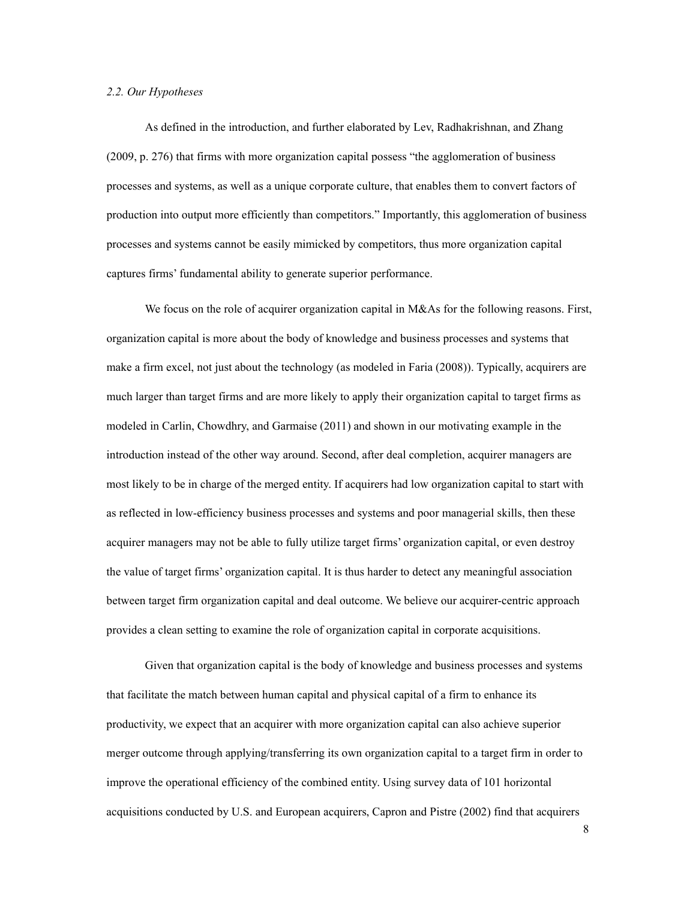#### *2.2. Our Hypotheses*

As defined in the introduction, and further elaborated by Lev, Radhakrishnan, and Zhang (2009, p. 276) that firms with more organization capital possess "the agglomeration of business processes and systems, as well as a unique corporate culture, that enables them to convert factors of production into output more efficiently than competitors." Importantly, this agglomeration of business processes and systems cannot be easily mimicked by competitors, thus more organization capital captures firms' fundamental ability to generate superior performance.

We focus on the role of acquirer organization capital in M&As for the following reasons. First, organization capital is more about the body of knowledge and business processes and systems that make a firm excel, not just about the technology (as modeled in Faria (2008)). Typically, acquirers are much larger than target firms and are more likely to apply their organization capital to target firms as modeled in Carlin, Chowdhry, and Garmaise (2011) and shown in our motivating example in the introduction instead of the other way around. Second, after deal completion, acquirer managers are most likely to be in charge of the merged entity. If acquirers had low organization capital to start with as reflected in low-efficiency business processes and systems and poor managerial skills, then these acquirer managers may not be able to fully utilize target firms' organization capital, or even destroy the value of target firms' organization capital. It is thus harder to detect any meaningful association between target firm organization capital and deal outcome. We believe our acquirer-centric approach provides a clean setting to examine the role of organization capital in corporate acquisitions.

Given that organization capital is the body of knowledge and business processes and systems that facilitate the match between human capital and physical capital of a firm to enhance its productivity, we expect that an acquirer with more organization capital can also achieve superior merger outcome through applying/transferring its own organization capital to a target firm in order to improve the operational efficiency of the combined entity. Using survey data of 101 horizontal acquisitions conducted by U.S. and European acquirers, Capron and Pistre (2002) find that acquirers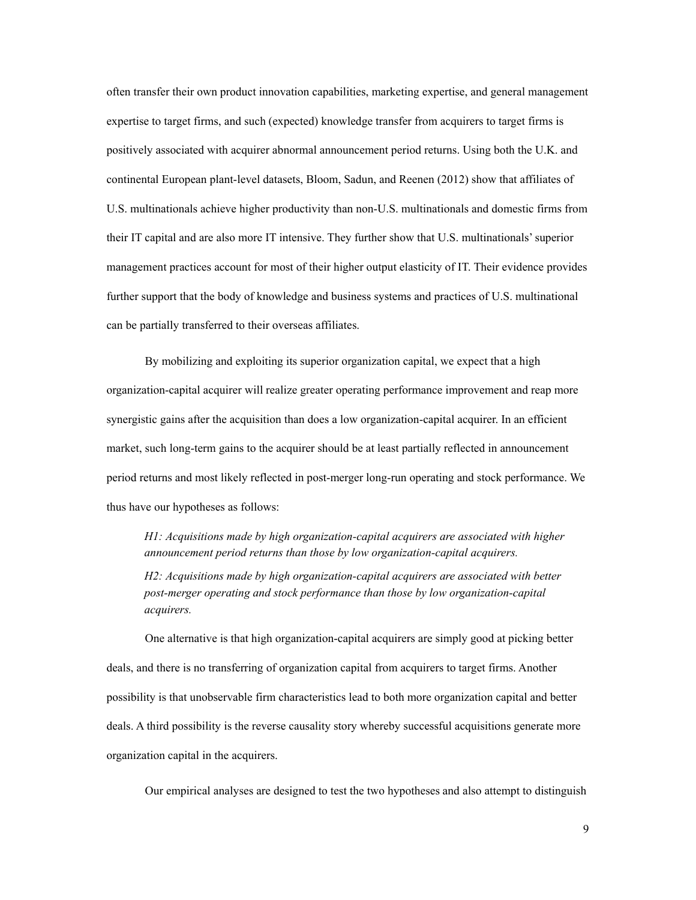often transfer their own product innovation capabilities, marketing expertise, and general management expertise to target firms, and such (expected) knowledge transfer from acquirers to target firms is positively associated with acquirer abnormal announcement period returns. Using both the U.K. and continental European plant-level datasets, Bloom, Sadun, and Reenen (2012) show that affiliates of U.S. multinationals achieve higher productivity than non-U.S. multinationals and domestic firms from their IT capital and are also more IT intensive. They further show that U.S. multinationals' superior management practices account for most of their higher output elasticity of IT. Their evidence provides further support that the body of knowledge and business systems and practices of U.S. multinational can be partially transferred to their overseas affiliates.

By mobilizing and exploiting its superior organization capital, we expect that a high organization-capital acquirer will realize greater operating performance improvement and reap more synergistic gains after the acquisition than does a low organization-capital acquirer. In an efficient market, such long-term gains to the acquirer should be at least partially reflected in announcement period returns and most likely reflected in post-merger long-run operating and stock performance. We thus have our hypotheses as follows:

*H1: Acquisitions made by high organization-capital acquirers are associated with higher announcement period returns than those by low organization-capital acquirers.* 

*H2: Acquisitions made by high organization-capital acquirers are associated with better post-merger operating and stock performance than those by low organization-capital acquirers.* 

One alternative is that high organization-capital acquirers are simply good at picking better deals, and there is no transferring of organization capital from acquirers to target firms. Another possibility is that unobservable firm characteristics lead to both more organization capital and better deals. A third possibility is the reverse causality story whereby successful acquisitions generate more organization capital in the acquirers.

Our empirical analyses are designed to test the two hypotheses and also attempt to distinguish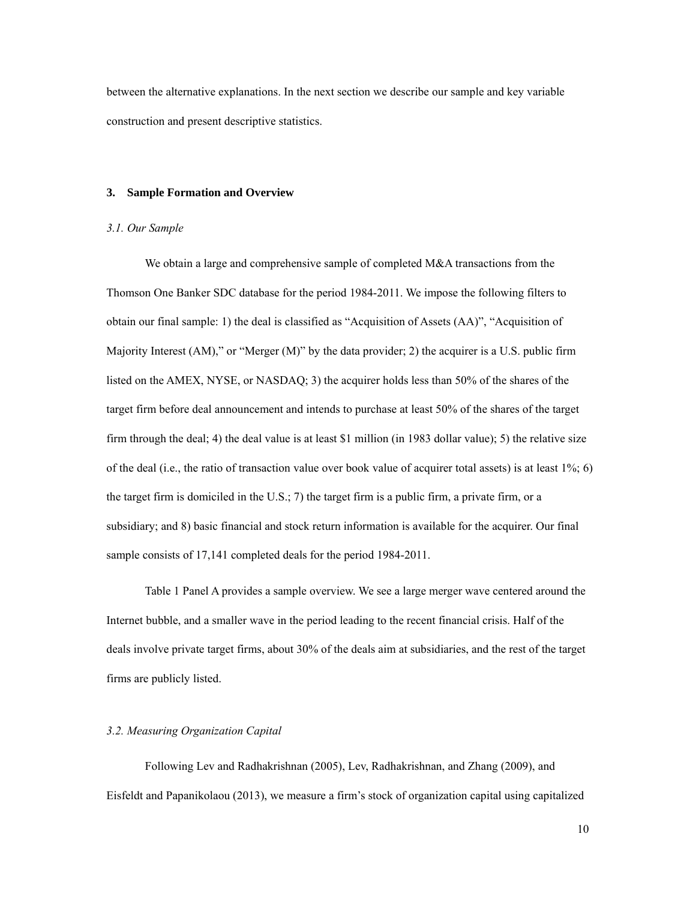between the alternative explanations. In the next section we describe our sample and key variable construction and present descriptive statistics.

#### **3. Sample Formation and Overview**

#### *3.1. Our Sample*

We obtain a large and comprehensive sample of completed M&A transactions from the Thomson One Banker SDC database for the period 1984-2011. We impose the following filters to obtain our final sample: 1) the deal is classified as "Acquisition of Assets (AA)", "Acquisition of Majority Interest (AM)," or "Merger (M)" by the data provider; 2) the acquirer is a U.S. public firm listed on the AMEX, NYSE, or NASDAQ; 3) the acquirer holds less than 50% of the shares of the target firm before deal announcement and intends to purchase at least 50% of the shares of the target firm through the deal; 4) the deal value is at least \$1 million (in 1983 dollar value); 5) the relative size of the deal (i.e., the ratio of transaction value over book value of acquirer total assets) is at least  $1\%$ ; 6) the target firm is domiciled in the U.S.; 7) the target firm is a public firm, a private firm, or a subsidiary; and 8) basic financial and stock return information is available for the acquirer. Our final sample consists of 17,141 completed deals for the period 1984-2011.

Table 1 Panel A provides a sample overview. We see a large merger wave centered around the Internet bubble, and a smaller wave in the period leading to the recent financial crisis. Half of the deals involve private target firms, about 30% of the deals aim at subsidiaries, and the rest of the target firms are publicly listed.

# *3.2. Measuring Organization Capital*

Following Lev and Radhakrishnan (2005), Lev, Radhakrishnan, and Zhang (2009), and Eisfeldt and Papanikolaou (2013), we measure a firm's stock of organization capital using capitalized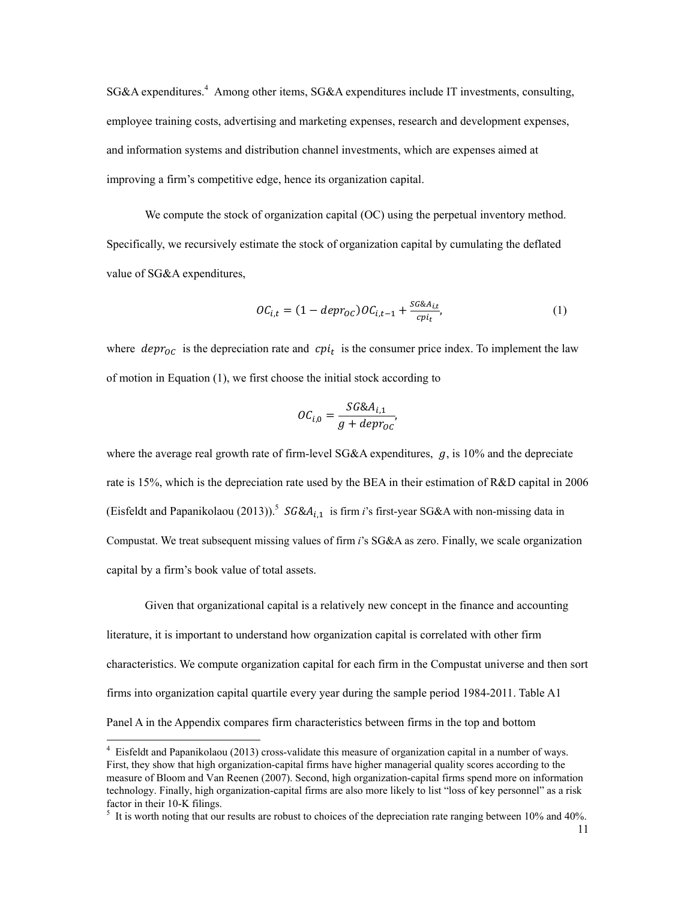SG&A expenditures.<sup>4</sup> Among other items, SG&A expenditures include IT investments, consulting, employee training costs, advertising and marketing expenses, research and development expenses, and information systems and distribution channel investments, which are expenses aimed at improving a firm's competitive edge, hence its organization capital.

We compute the stock of organization capital (OC) using the perpetual inventory method. Specifically, we recursively estimate the stock of organization capital by cumulating the deflated value of SG&A expenditures,

$$
OC_{i,t} = (1 - depr_{OC})OC_{i,t-1} + \frac{SG\&A_{i,t}}{cpi_t},
$$
\n<sup>(1)</sup>

where  $depr<sub>oc</sub>$  is the depreciation rate and  $cpi<sub>t</sub>$  is the consumer price index. To implement the law of motion in Equation (1), we first choose the initial stock according to

$$
OC_{i,0} = \frac{SG\&A_{i,1}}{g + depr_{OC}},
$$

where the average real growth rate of firm-level SG&A expenditures,  $g$ , is 10% and the depreciate rate is 15%, which is the depreciation rate used by the BEA in their estimation of R&D capital in 2006 (Eisfeldt and Papanikolaou (2013)).<sup>5</sup>  $SG&A_{i,1}$  is firm *i*'s first-year SG&A with non-missing data in Compustat. We treat subsequent missing values of firm *i*'s SG&A as zero. Finally, we scale organization capital by a firm's book value of total assets.

Given that organizational capital is a relatively new concept in the finance and accounting literature, it is important to understand how organization capital is correlated with other firm characteristics. We compute organization capital for each firm in the Compustat universe and then sort firms into organization capital quartile every year during the sample period 1984-2011. Table A1 Panel A in the Appendix compares firm characteristics between firms in the top and bottom

 4 Eisfeldt and Papanikolaou (2013) cross-validate this measure of organization capital in a number of ways. First, they show that high organization-capital firms have higher managerial quality scores according to the measure of Bloom and Van Reenen (2007). Second, high organization-capital firms spend more on information technology. Finally, high organization-capital firms are also more likely to list "loss of key personnel" as a risk factor in their 10-K filings.

 $<sup>5</sup>$  It is worth noting that our results are robust to choices of the depreciation rate ranging between 10% and 40%.</sup>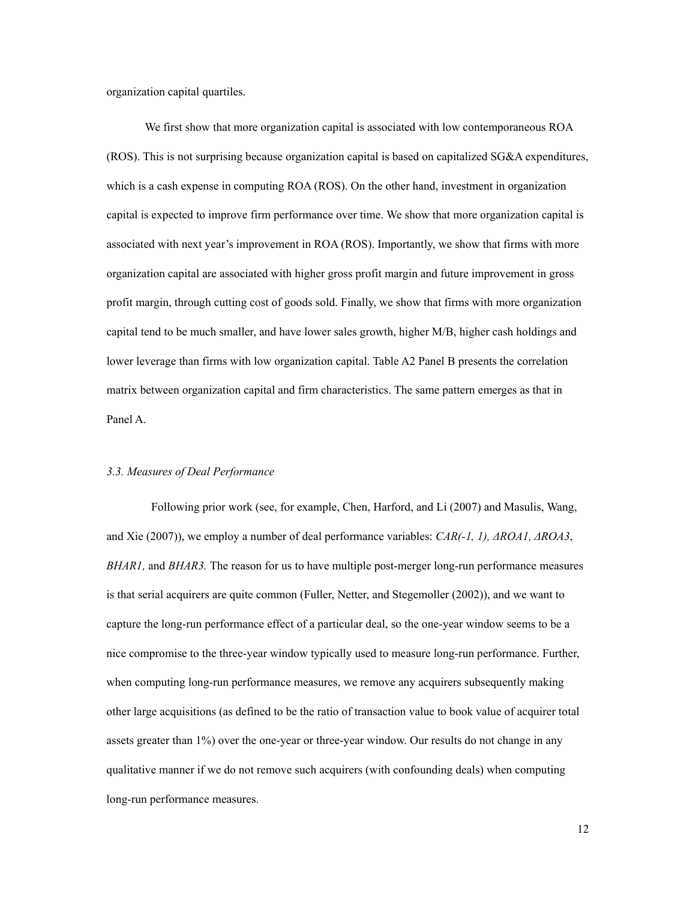organization capital quartiles.

We first show that more organization capital is associated with low contemporaneous ROA (ROS). This is not surprising because organization capital is based on capitalized SG&A expenditures, which is a cash expense in computing ROA (ROS). On the other hand, investment in organization capital is expected to improve firm performance over time. We show that more organization capital is associated with next year's improvement in ROA (ROS). Importantly, we show that firms with more organization capital are associated with higher gross profit margin and future improvement in gross profit margin, through cutting cost of goods sold. Finally, we show that firms with more organization capital tend to be much smaller, and have lower sales growth, higher M/B, higher cash holdings and lower leverage than firms with low organization capital. Table A2 Panel B presents the correlation matrix between organization capital and firm characteristics. The same pattern emerges as that in Panel A.

# *3.3. Measures of Deal Performance*

 Following prior work (see, for example, Chen, Harford, and Li (2007) and Masulis, Wang, and Xie (2007)), we employ a number of deal performance variables: *CAR(-1, 1), ΔROA1, ΔROA3*, *BHAR1,* and *BHAR3.* The reason for us to have multiple post-merger long-run performance measures is that serial acquirers are quite common (Fuller, Netter, and Stegemoller (2002)), and we want to capture the long-run performance effect of a particular deal, so the one-year window seems to be a nice compromise to the three-year window typically used to measure long-run performance. Further, when computing long-run performance measures, we remove any acquirers subsequently making other large acquisitions (as defined to be the ratio of transaction value to book value of acquirer total assets greater than 1%) over the one-year or three-year window. Our results do not change in any qualitative manner if we do not remove such acquirers (with confounding deals) when computing long-run performance measures.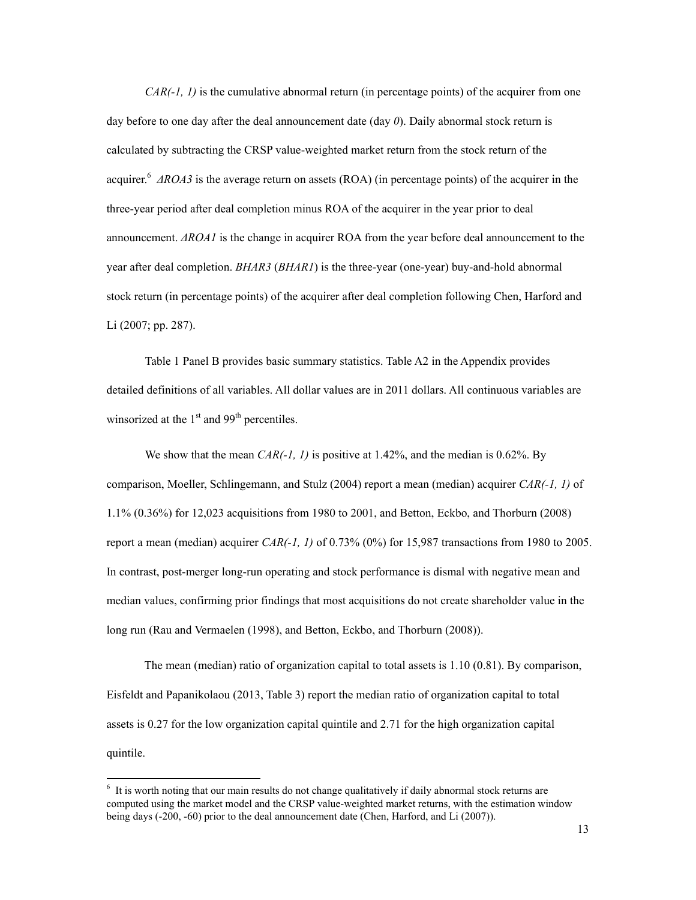*CAR(-1, 1)* is the cumulative abnormal return (in percentage points) of the acquirer from one day before to one day after the deal announcement date (day *0*). Daily abnormal stock return is calculated by subtracting the CRSP value-weighted market return from the stock return of the acquirer.6 *ΔROA3* is the average return on assets (ROA) (in percentage points) of the acquirer in the three-year period after deal completion minus ROA of the acquirer in the year prior to deal announcement. *ΔROA1* is the change in acquirer ROA from the year before deal announcement to the year after deal completion. *BHAR3* (*BHAR1*) is the three-year (one-year) buy-and-hold abnormal stock return (in percentage points) of the acquirer after deal completion following Chen, Harford and Li (2007; pp. 287).

Table 1 Panel B provides basic summary statistics. Table A2 in the Appendix provides detailed definitions of all variables. All dollar values are in 2011 dollars. All continuous variables are winsorized at the  $1<sup>st</sup>$  and 99<sup>th</sup> percentiles.

We show that the mean *CAR(-1, 1)* is positive at 1.42%, and the median is 0.62%. By comparison, Moeller, Schlingemann, and Stulz (2004) report a mean (median) acquirer *CAR(-1, 1)* of 1.1% (0.36%) for 12,023 acquisitions from 1980 to 2001, and Betton, Eckbo, and Thorburn (2008) report a mean (median) acquirer *CAR(-1, 1)* of 0.73% (0%) for 15,987 transactions from 1980 to 2005. In contrast, post-merger long-run operating and stock performance is dismal with negative mean and median values, confirming prior findings that most acquisitions do not create shareholder value in the long run (Rau and Vermaelen (1998), and Betton, Eckbo, and Thorburn (2008)).

The mean (median) ratio of organization capital to total assets is 1.10 (0.81). By comparison, Eisfeldt and Papanikolaou (2013, Table 3) report the median ratio of organization capital to total assets is 0.27 for the low organization capital quintile and 2.71 for the high organization capital quintile.

 $\overline{a}$ 

<sup>&</sup>lt;sup>6</sup> It is worth noting that our main results do not change qualitatively if daily abnormal stock returns are computed using the market model and the CRSP value-weighted market returns, with the estimation window being days (-200, -60) prior to the deal announcement date (Chen, Harford, and Li (2007)).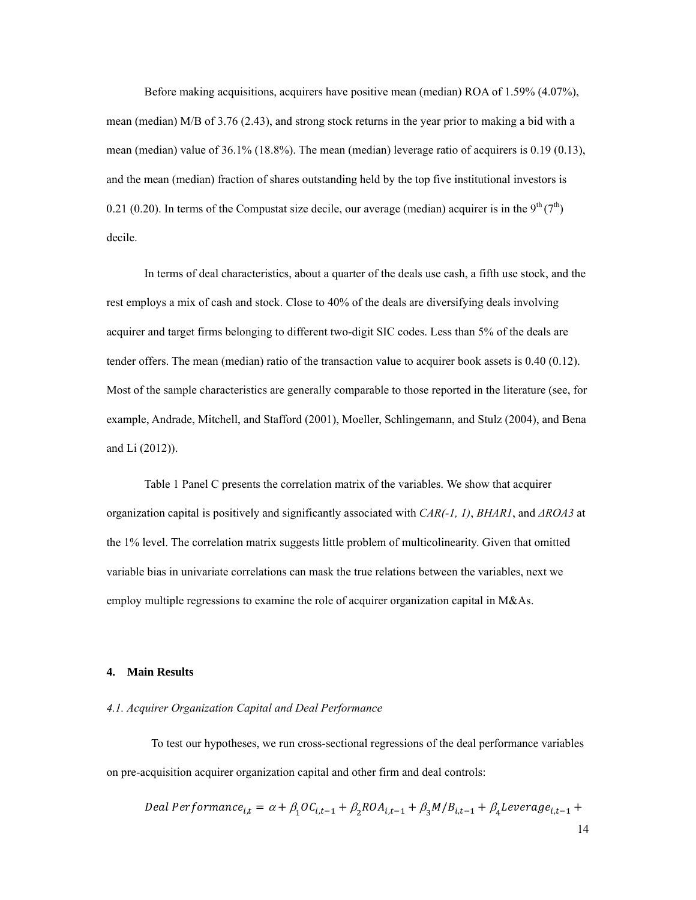Before making acquisitions, acquirers have positive mean (median) ROA of 1.59% (4.07%), mean (median) M/B of 3.76 (2.43), and strong stock returns in the year prior to making a bid with a mean (median) value of 36.1% (18.8%). The mean (median) leverage ratio of acquirers is 0.19 (0.13), and the mean (median) fraction of shares outstanding held by the top five institutional investors is 0.21 (0.20). In terms of the Compustat size decile, our average (median) acquirer is in the  $9^{th} (7^{th})$ decile.

In terms of deal characteristics, about a quarter of the deals use cash, a fifth use stock, and the rest employs a mix of cash and stock. Close to 40% of the deals are diversifying deals involving acquirer and target firms belonging to different two-digit SIC codes. Less than 5% of the deals are tender offers. The mean (median) ratio of the transaction value to acquirer book assets is 0.40 (0.12). Most of the sample characteristics are generally comparable to those reported in the literature (see, for example, Andrade, Mitchell, and Stafford (2001), Moeller, Schlingemann, and Stulz (2004), and Bena and Li (2012)).

Table 1 Panel C presents the correlation matrix of the variables. We show that acquirer organization capital is positively and significantly associated with *CAR(-1, 1)*, *BHAR1*, and *ΔROA3* at the 1% level. The correlation matrix suggests little problem of multicolinearity. Given that omitted variable bias in univariate correlations can mask the true relations between the variables, next we employ multiple regressions to examine the role of acquirer organization capital in M&As.

#### **4. Main Results**

### *4.1. Acquirer Organization Capital and Deal Performance*

To test our hypotheses, we run cross-sectional regressions of the deal performance variables on pre-acquisition acquirer organization capital and other firm and deal controls:

$$
Deal\ Performance_{i,t} = \alpha + \beta_1 O C_{i,t-1} + \beta_2 RO A_{i,t-1} + \beta_3 M / B_{i,t-1} + \beta_4 Leverage_{i,t-1} + 14
$$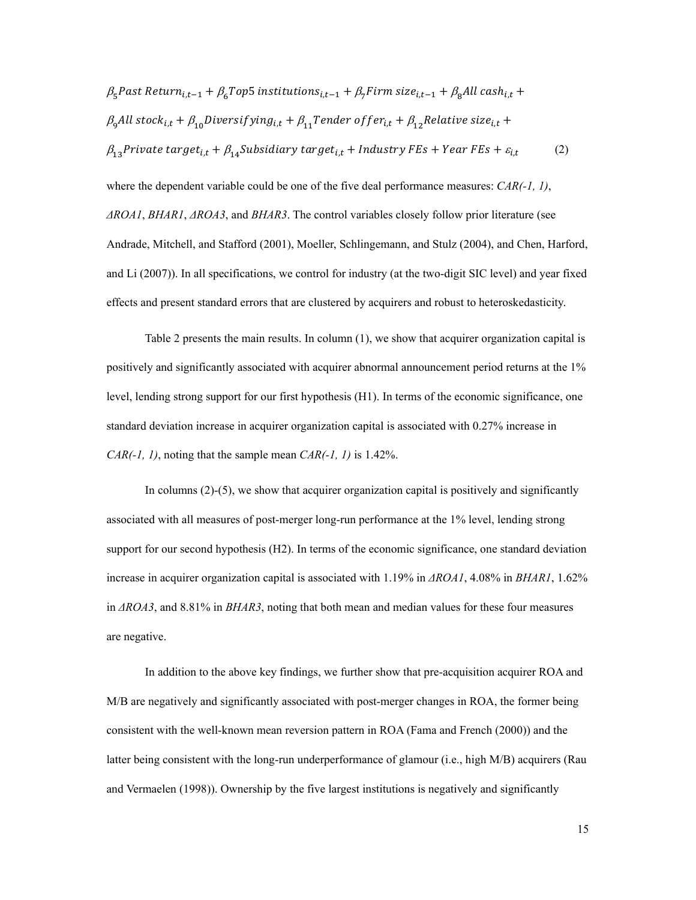$$
\beta_{5} \text{Fast Return}_{i,t-1} + \beta_{6} \text{Top5 institutions}_{i,t-1} + \beta_{7} \text{Firm size}_{i,t-1} + \beta_{8} \text{All cash}_{i,t} +
$$
\n
$$
\beta_{9} \text{All stock}_{i,t} + \beta_{10} \text{Diversitying}_{i,t} + \beta_{11} \text{Tender offer}_{i,t} + \beta_{12} \text{Relative size}_{i,t} +
$$
\n
$$
\beta_{13} \text{Private target}_{i,t} + \beta_{14} \text{Subsidiary target}_{i,t} + \text{Industry FEs} + \text{Year FEs} + \varepsilon_{i,t} \tag{2}
$$

where the dependent variable could be one of the five deal performance measures: *CAR(-1, 1)*, *ΔROA1*, *BHAR1*, *ΔROA3*, and *BHAR3*. The control variables closely follow prior literature (see Andrade, Mitchell, and Stafford (2001), Moeller, Schlingemann, and Stulz (2004), and Chen, Harford, and Li (2007)). In all specifications, we control for industry (at the two-digit SIC level) and year fixed effects and present standard errors that are clustered by acquirers and robust to heteroskedasticity.

Table 2 presents the main results. In column (1), we show that acquirer organization capital is positively and significantly associated with acquirer abnormal announcement period returns at the 1% level, lending strong support for our first hypothesis (H1). In terms of the economic significance, one standard deviation increase in acquirer organization capital is associated with 0.27% increase in *CAR(-1, 1)*, noting that the sample mean *CAR(-1, 1)* is 1.42%.

In columns (2)-(5), we show that acquirer organization capital is positively and significantly associated with all measures of post-merger long-run performance at the 1% level, lending strong support for our second hypothesis (H2). In terms of the economic significance, one standard deviation increase in acquirer organization capital is associated with 1.19% in *ΔROA1*, 4.08% in *BHAR1*, 1.62% in *ΔROA3*, and 8.81% in *BHAR3*, noting that both mean and median values for these four measures are negative.

In addition to the above key findings, we further show that pre-acquisition acquirer ROA and M/B are negatively and significantly associated with post-merger changes in ROA, the former being consistent with the well-known mean reversion pattern in ROA (Fama and French (2000)) and the latter being consistent with the long-run underperformance of glamour (i.e., high M/B) acquirers (Rau and Vermaelen (1998)). Ownership by the five largest institutions is negatively and significantly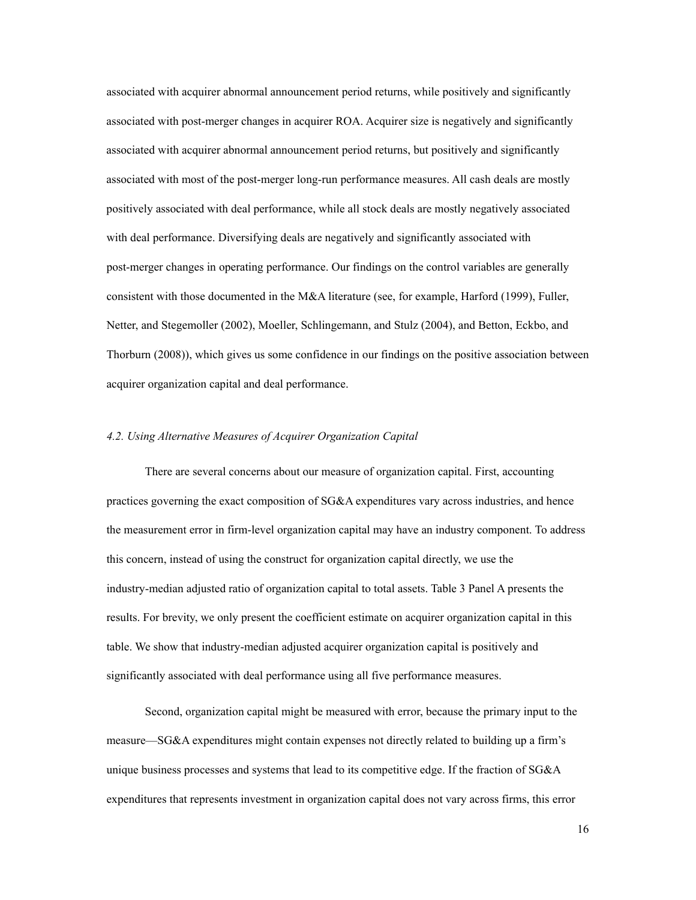associated with acquirer abnormal announcement period returns, while positively and significantly associated with post-merger changes in acquirer ROA. Acquirer size is negatively and significantly associated with acquirer abnormal announcement period returns, but positively and significantly associated with most of the post-merger long-run performance measures. All cash deals are mostly positively associated with deal performance, while all stock deals are mostly negatively associated with deal performance. Diversifying deals are negatively and significantly associated with post-merger changes in operating performance. Our findings on the control variables are generally consistent with those documented in the M&A literature (see, for example, Harford (1999), Fuller, Netter, and Stegemoller (2002), Moeller, Schlingemann, and Stulz (2004), and Betton, Eckbo, and Thorburn (2008)), which gives us some confidence in our findings on the positive association between acquirer organization capital and deal performance.

#### *4.2. Using Alternative Measures of Acquirer Organization Capital*

There are several concerns about our measure of organization capital. First, accounting practices governing the exact composition of SG&A expenditures vary across industries, and hence the measurement error in firm-level organization capital may have an industry component. To address this concern, instead of using the construct for organization capital directly, we use the industry-median adjusted ratio of organization capital to total assets. Table 3 Panel A presents the results. For brevity, we only present the coefficient estimate on acquirer organization capital in this table. We show that industry-median adjusted acquirer organization capital is positively and significantly associated with deal performance using all five performance measures.

Second, organization capital might be measured with error, because the primary input to the measure—SG&A expenditures might contain expenses not directly related to building up a firm's unique business processes and systems that lead to its competitive edge. If the fraction of SG&A expenditures that represents investment in organization capital does not vary across firms, this error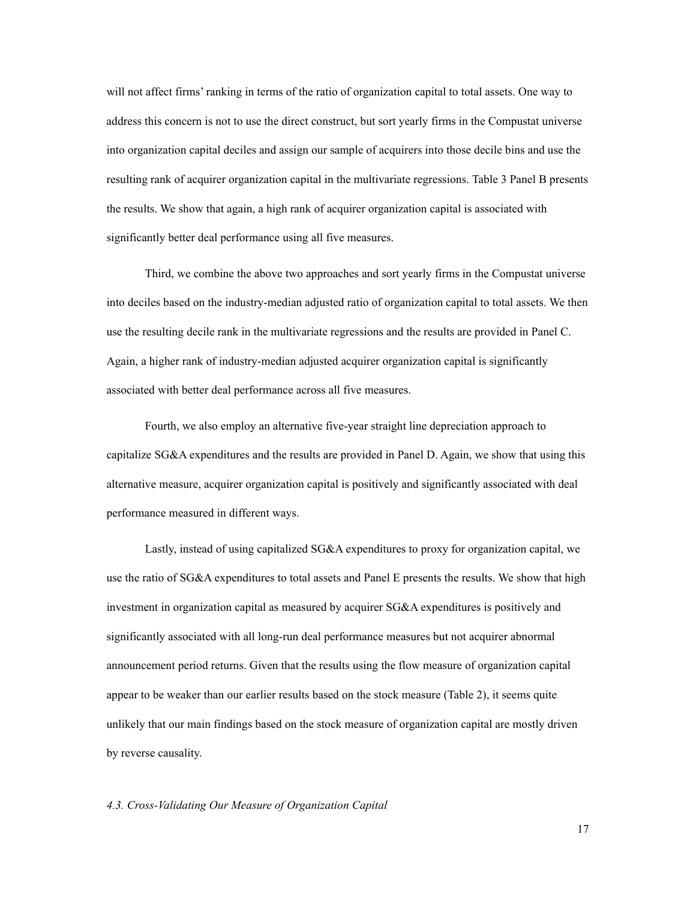will not affect firms' ranking in terms of the ratio of organization capital to total assets. One way to address this concern is not to use the direct construct, but sort yearly firms in the Compustat universe into organization capital deciles and assign our sample of acquirers into those decile bins and use the resulting rank of acquirer organization capital in the multivariate regressions. Table 3 Panel B presents the results. We show that again, a high rank of acquirer organization capital is associated with significantly better deal performance using all five measures.

Third, we combine the above two approaches and sort yearly firms in the Compustat universe into deciles based on the industry-median adjusted ratio of organization capital to total assets. We then use the resulting decile rank in the multivariate regressions and the results are provided in Panel C. Again, a higher rank of industry-median adjusted acquirer organization capital is significantly associated with better deal performance across all five measures.

Fourth, we also employ an alternative five-year straight line depreciation approach to capitalize SG&A expenditures and the results are provided in Panel D. Again, we show that using this alternative measure, acquirer organization capital is positively and significantly associated with deal performance measured in different ways.

Lastly, instead of using capitalized SG&A expenditures to proxy for organization capital, we use the ratio of SG&A expenditures to total assets and Panel E presents the results. We show that high investment in organization capital as measured by acquirer SG&A expenditures is positively and significantly associated with all long-run deal performance measures but not acquirer abnormal announcement period returns. Given that the results using the flow measure of organization capital appear to be weaker than our earlier results based on the stock measure (Table 2), it seems quite unlikely that our main findings based on the stock measure of organization capital are mostly driven by reverse causality.

# *4.3. Cross-Validating Our Measure of Organization Capital*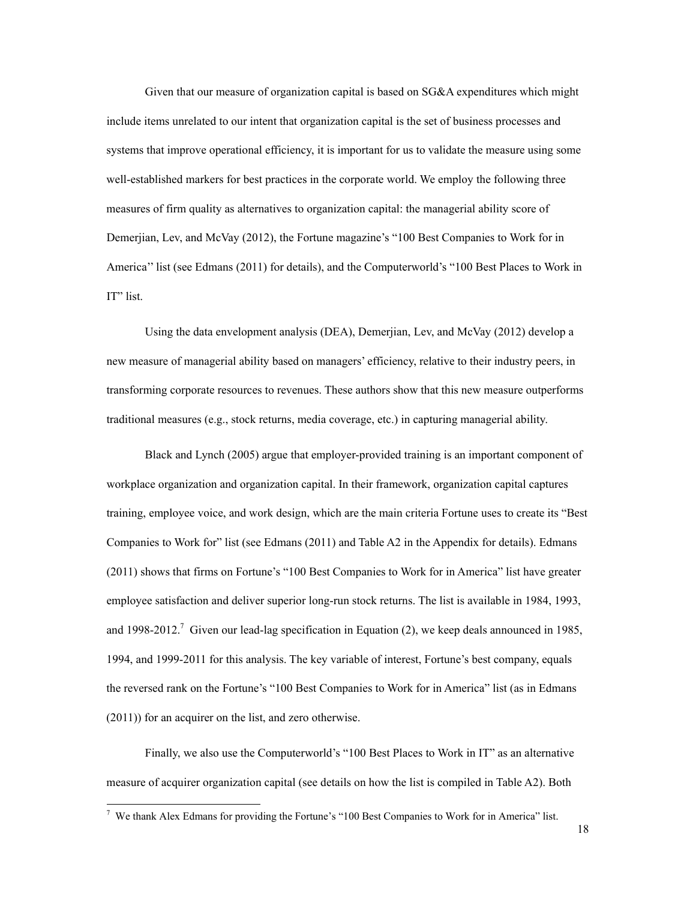Given that our measure of organization capital is based on SG&A expenditures which might include items unrelated to our intent that organization capital is the set of business processes and systems that improve operational efficiency, it is important for us to validate the measure using some well-established markers for best practices in the corporate world. We employ the following three measures of firm quality as alternatives to organization capital: the managerial ability score of Demerjian, Lev, and McVay (2012), the Fortune magazine's "100 Best Companies to Work for in America'' list (see Edmans (2011) for details), and the Computerworld's "100 Best Places to Work in IT" list.

Using the data envelopment analysis (DEA), Demerjian, Lev, and McVay (2012) develop a new measure of managerial ability based on managers' efficiency, relative to their industry peers, in transforming corporate resources to revenues. These authors show that this new measure outperforms traditional measures (e.g., stock returns, media coverage, etc.) in capturing managerial ability.

Black and Lynch (2005) argue that employer-provided training is an important component of workplace organization and organization capital. In their framework, organization capital captures training, employee voice, and work design, which are the main criteria Fortune uses to create its "Best Companies to Work for" list (see Edmans (2011) and Table A2 in the Appendix for details). Edmans (2011) shows that firms on Fortune's "100 Best Companies to Work for in America" list have greater employee satisfaction and deliver superior long-run stock returns. The list is available in 1984, 1993, and 1998-2012.<sup>7</sup> Given our lead-lag specification in Equation (2), we keep deals announced in 1985, 1994, and 1999-2011 for this analysis. The key variable of interest, Fortune's best company, equals the reversed rank on the Fortune's "100 Best Companies to Work for in America" list (as in Edmans (2011)) for an acquirer on the list, and zero otherwise.

Finally, we also use the Computerworld's "100 Best Places to Work in IT" as an alternative measure of acquirer organization capital (see details on how the list is compiled in Table A2). Both

<sup>&</sup>lt;sup>7</sup> We thank Alex Edmans for providing the Fortune's "100 Best Companies to Work for in America" list.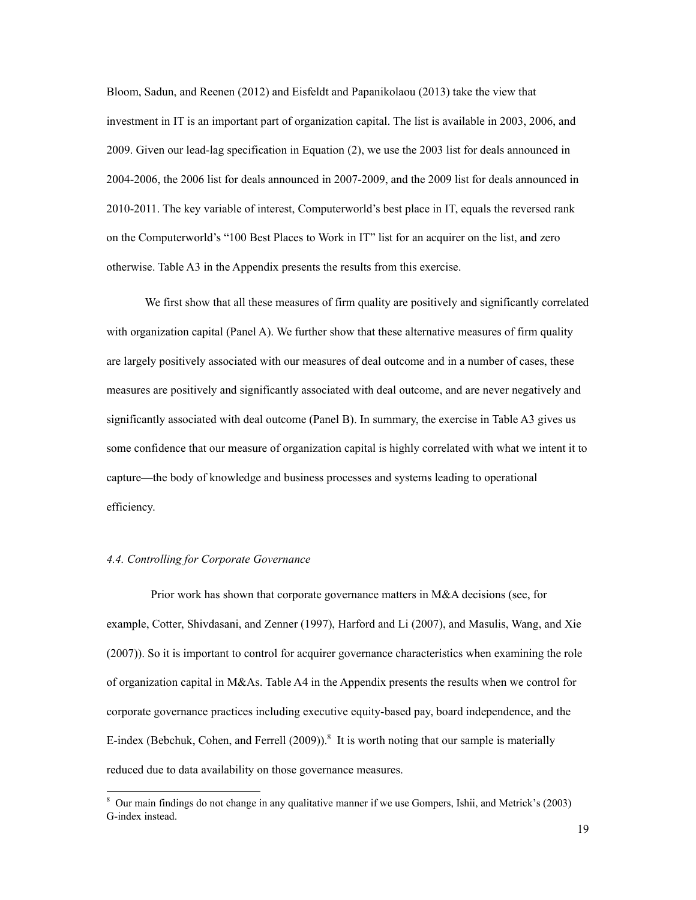Bloom, Sadun, and Reenen (2012) and Eisfeldt and Papanikolaou (2013) take the view that investment in IT is an important part of organization capital. The list is available in 2003, 2006, and 2009. Given our lead-lag specification in Equation (2), we use the 2003 list for deals announced in 2004-2006, the 2006 list for deals announced in 2007-2009, and the 2009 list for deals announced in 2010-2011. The key variable of interest, Computerworld's best place in IT, equals the reversed rank on the Computerworld's "100 Best Places to Work in IT" list for an acquirer on the list, and zero otherwise. Table A3 in the Appendix presents the results from this exercise.

We first show that all these measures of firm quality are positively and significantly correlated with organization capital (Panel A). We further show that these alternative measures of firm quality are largely positively associated with our measures of deal outcome and in a number of cases, these measures are positively and significantly associated with deal outcome, and are never negatively and significantly associated with deal outcome (Panel B). In summary, the exercise in Table A3 gives us some confidence that our measure of organization capital is highly correlated with what we intent it to capture—the body of knowledge and business processes and systems leading to operational efficiency.

# *4.4. Controlling for Corporate Governance*

 $\overline{a}$ 

Prior work has shown that corporate governance matters in M&A decisions (see, for example, Cotter, Shivdasani, and Zenner (1997), Harford and Li (2007), and Masulis, Wang, and Xie (2007)). So it is important to control for acquirer governance characteristics when examining the role of organization capital in M&As. Table A4 in the Appendix presents the results when we control for corporate governance practices including executive equity-based pay, board independence, and the E-index (Bebchuk, Cohen, and Ferrell  $(2009)$ ).<sup>8</sup> It is worth noting that our sample is materially reduced due to data availability on those governance measures.

<sup>8</sup> Our main findings do not change in any qualitative manner if we use Gompers, Ishii, and Metrick's (2003) G-index instead.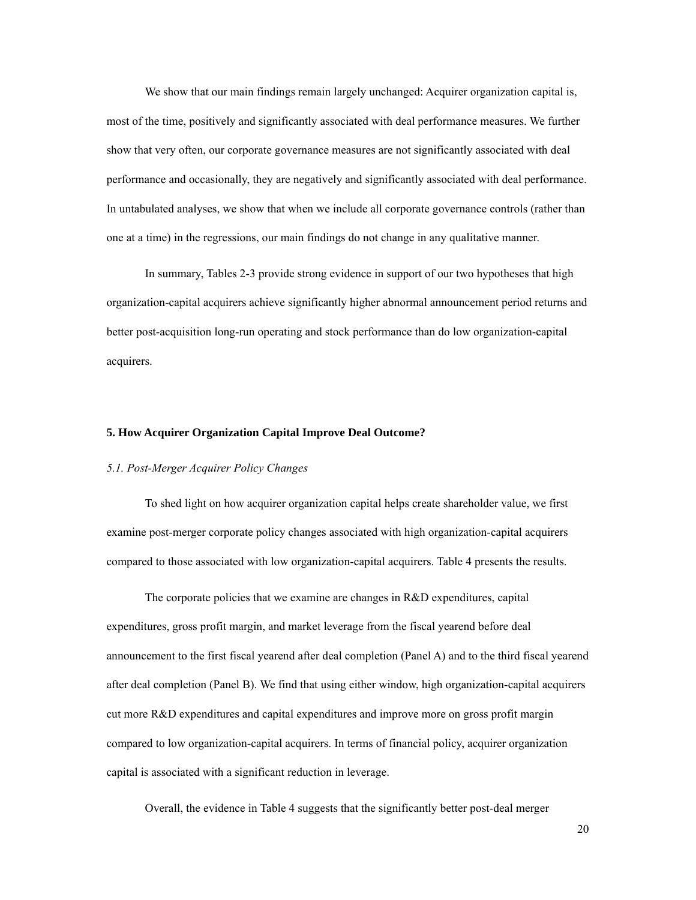We show that our main findings remain largely unchanged: Acquirer organization capital is, most of the time, positively and significantly associated with deal performance measures. We further show that very often, our corporate governance measures are not significantly associated with deal performance and occasionally, they are negatively and significantly associated with deal performance. In untabulated analyses, we show that when we include all corporate governance controls (rather than one at a time) in the regressions, our main findings do not change in any qualitative manner.

In summary, Tables 2-3 provide strong evidence in support of our two hypotheses that high organization-capital acquirers achieve significantly higher abnormal announcement period returns and better post-acquisition long-run operating and stock performance than do low organization-capital acquirers.

### **5. How Acquirer Organization Capital Improve Deal Outcome?**

### *5.1. Post-Merger Acquirer Policy Changes*

To shed light on how acquirer organization capital helps create shareholder value, we first examine post-merger corporate policy changes associated with high organization-capital acquirers compared to those associated with low organization-capital acquirers. Table 4 presents the results.

The corporate policies that we examine are changes in R&D expenditures, capital expenditures, gross profit margin, and market leverage from the fiscal yearend before deal announcement to the first fiscal yearend after deal completion (Panel A) and to the third fiscal yearend after deal completion (Panel B). We find that using either window, high organization-capital acquirers cut more R&D expenditures and capital expenditures and improve more on gross profit margin compared to low organization-capital acquirers. In terms of financial policy, acquirer organization capital is associated with a significant reduction in leverage.

Overall, the evidence in Table 4 suggests that the significantly better post-deal merger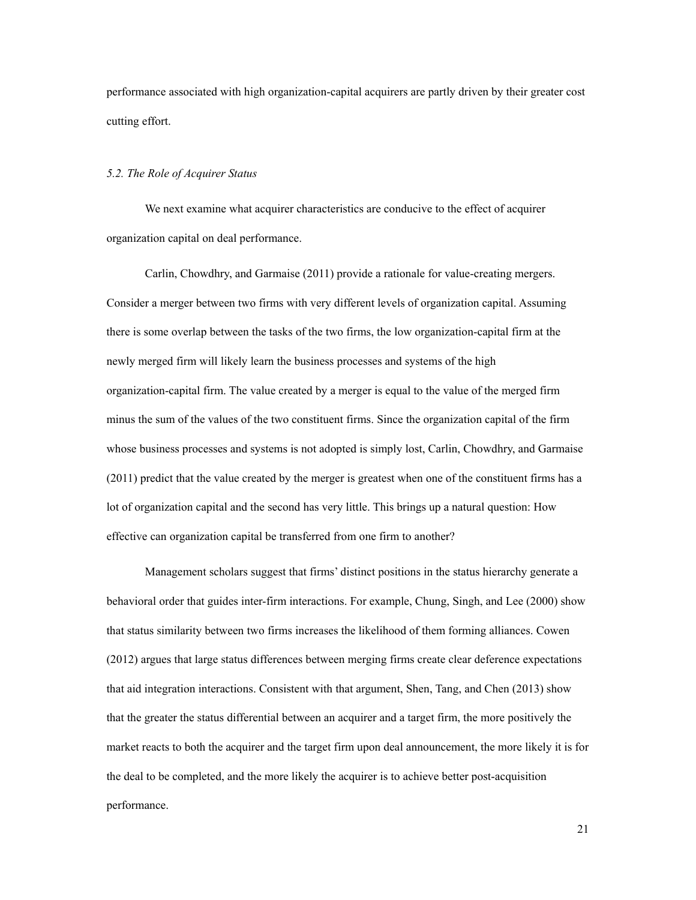performance associated with high organization-capital acquirers are partly driven by their greater cost cutting effort.

#### *5.2. The Role of Acquirer Status*

We next examine what acquirer characteristics are conducive to the effect of acquirer organization capital on deal performance.

Carlin, Chowdhry, and Garmaise (2011) provide a rationale for value-creating mergers. Consider a merger between two firms with very different levels of organization capital. Assuming there is some overlap between the tasks of the two firms, the low organization-capital firm at the newly merged firm will likely learn the business processes and systems of the high organization-capital firm. The value created by a merger is equal to the value of the merged firm minus the sum of the values of the two constituent firms. Since the organization capital of the firm whose business processes and systems is not adopted is simply lost, Carlin, Chowdhry, and Garmaise (2011) predict that the value created by the merger is greatest when one of the constituent firms has a lot of organization capital and the second has very little. This brings up a natural question: How effective can organization capital be transferred from one firm to another?

Management scholars suggest that firms' distinct positions in the status hierarchy generate a behavioral order that guides inter-firm interactions. For example, Chung, Singh, and Lee (2000) show that status similarity between two firms increases the likelihood of them forming alliances. Cowen (2012) argues that large status differences between merging firms create clear deference expectations that aid integration interactions. Consistent with that argument, Shen, Tang, and Chen (2013) show that the greater the status differential between an acquirer and a target firm, the more positively the market reacts to both the acquirer and the target firm upon deal announcement, the more likely it is for the deal to be completed, and the more likely the acquirer is to achieve better post-acquisition performance.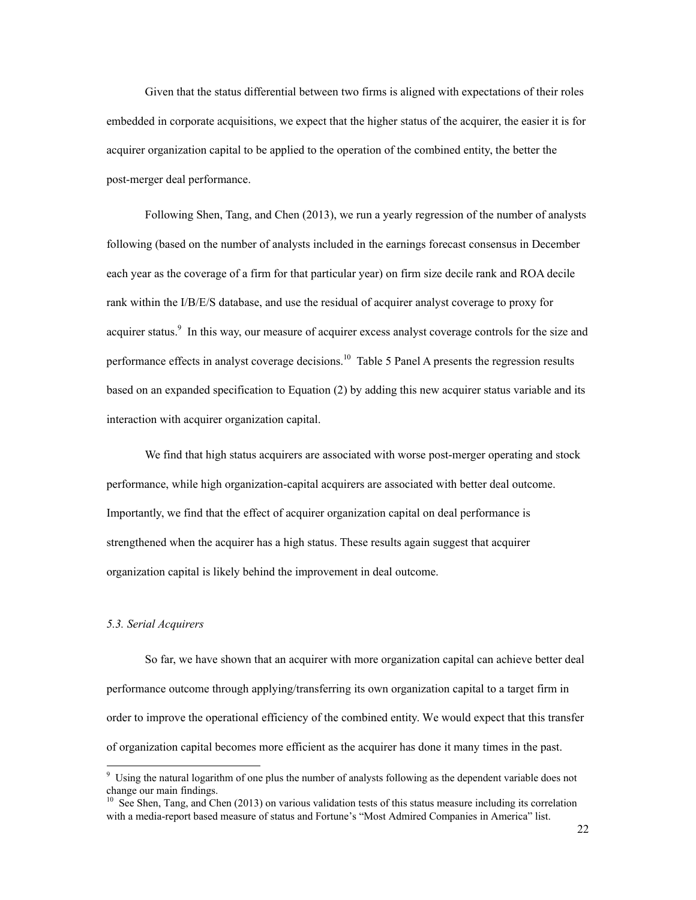Given that the status differential between two firms is aligned with expectations of their roles embedded in corporate acquisitions, we expect that the higher status of the acquirer, the easier it is for acquirer organization capital to be applied to the operation of the combined entity, the better the post-merger deal performance.

Following Shen, Tang, and Chen (2013), we run a yearly regression of the number of analysts following (based on the number of analysts included in the earnings forecast consensus in December each year as the coverage of a firm for that particular year) on firm size decile rank and ROA decile rank within the I/B/E/S database, and use the residual of acquirer analyst coverage to proxy for acquirer status.<sup>9</sup> In this way, our measure of acquirer excess analyst coverage controls for the size and performance effects in analyst coverage decisions.<sup>10</sup> Table 5 Panel A presents the regression results based on an expanded specification to Equation (2) by adding this new acquirer status variable and its interaction with acquirer organization capital.

We find that high status acquirers are associated with worse post-merger operating and stock performance, while high organization-capital acquirers are associated with better deal outcome. Importantly, we find that the effect of acquirer organization capital on deal performance is strengthened when the acquirer has a high status. These results again suggest that acquirer organization capital is likely behind the improvement in deal outcome.

### *5.3. Serial Acquirers*

So far, we have shown that an acquirer with more organization capital can achieve better deal performance outcome through applying/transferring its own organization capital to a target firm in order to improve the operational efficiency of the combined entity. We would expect that this transfer of organization capital becomes more efficient as the acquirer has done it many times in the past.

<sup>&</sup>lt;sup>9</sup> Using the natural logarithm of one plus the number of analysts following as the dependent variable does not change our main findings.

<sup>&</sup>lt;sup>10</sup> See Shen, Tang, and Chen (2013) on various validation tests of this status measure including its correlation with a media-report based measure of status and Fortune's "Most Admired Companies in America" list.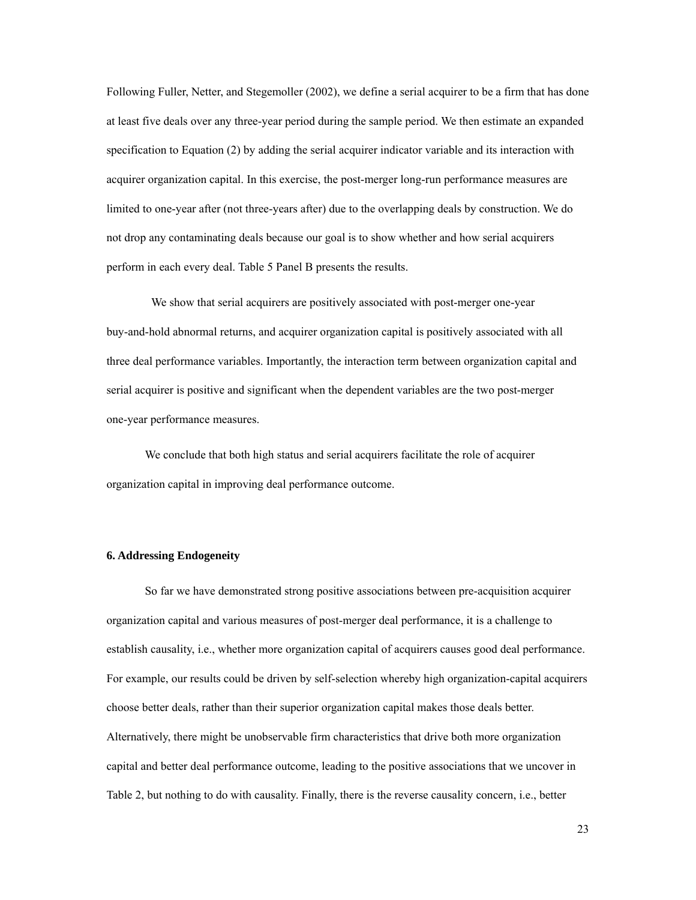Following Fuller, Netter, and Stegemoller (2002), we define a serial acquirer to be a firm that has done at least five deals over any three-year period during the sample period. We then estimate an expanded specification to Equation (2) by adding the serial acquirer indicator variable and its interaction with acquirer organization capital. In this exercise, the post-merger long-run performance measures are limited to one-year after (not three-years after) due to the overlapping deals by construction. We do not drop any contaminating deals because our goal is to show whether and how serial acquirers perform in each every deal. Table 5 Panel B presents the results.

 We show that serial acquirers are positively associated with post-merger one-year buy-and-hold abnormal returns, and acquirer organization capital is positively associated with all three deal performance variables. Importantly, the interaction term between organization capital and serial acquirer is positive and significant when the dependent variables are the two post-merger one-year performance measures.

We conclude that both high status and serial acquirers facilitate the role of acquirer organization capital in improving deal performance outcome.

### **6. Addressing Endogeneity**

So far we have demonstrated strong positive associations between pre-acquisition acquirer organization capital and various measures of post-merger deal performance, it is a challenge to establish causality, i.e., whether more organization capital of acquirers causes good deal performance. For example, our results could be driven by self-selection whereby high organization-capital acquirers choose better deals, rather than their superior organization capital makes those deals better. Alternatively, there might be unobservable firm characteristics that drive both more organization capital and better deal performance outcome, leading to the positive associations that we uncover in Table 2, but nothing to do with causality. Finally, there is the reverse causality concern, i.e., better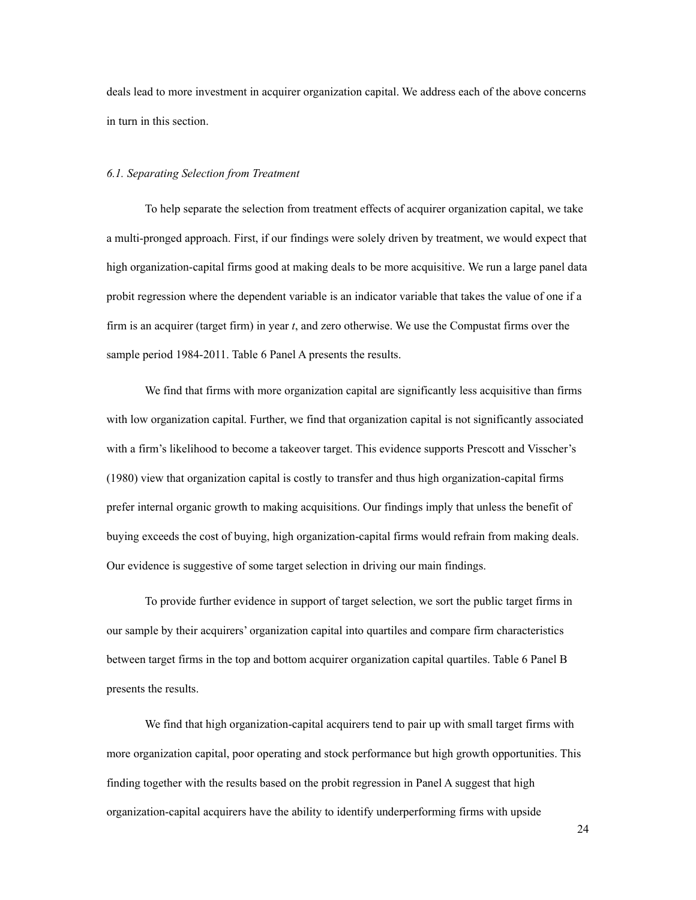deals lead to more investment in acquirer organization capital. We address each of the above concerns in turn in this section.

#### *6.1. Separating Selection from Treatment*

To help separate the selection from treatment effects of acquirer organization capital, we take a multi-pronged approach. First, if our findings were solely driven by treatment, we would expect that high organization-capital firms good at making deals to be more acquisitive. We run a large panel data probit regression where the dependent variable is an indicator variable that takes the value of one if a firm is an acquirer (target firm) in year *t*, and zero otherwise. We use the Compustat firms over the sample period 1984-2011. Table 6 Panel A presents the results.

We find that firms with more organization capital are significantly less acquisitive than firms with low organization capital. Further, we find that organization capital is not significantly associated with a firm's likelihood to become a takeover target. This evidence supports Prescott and Visscher's (1980) view that organization capital is costly to transfer and thus high organization-capital firms prefer internal organic growth to making acquisitions. Our findings imply that unless the benefit of buying exceeds the cost of buying, high organization-capital firms would refrain from making deals. Our evidence is suggestive of some target selection in driving our main findings.

To provide further evidence in support of target selection, we sort the public target firms in our sample by their acquirers' organization capital into quartiles and compare firm characteristics between target firms in the top and bottom acquirer organization capital quartiles. Table 6 Panel B presents the results.

We find that high organization-capital acquirers tend to pair up with small target firms with more organization capital, poor operating and stock performance but high growth opportunities. This finding together with the results based on the probit regression in Panel A suggest that high organization-capital acquirers have the ability to identify underperforming firms with upside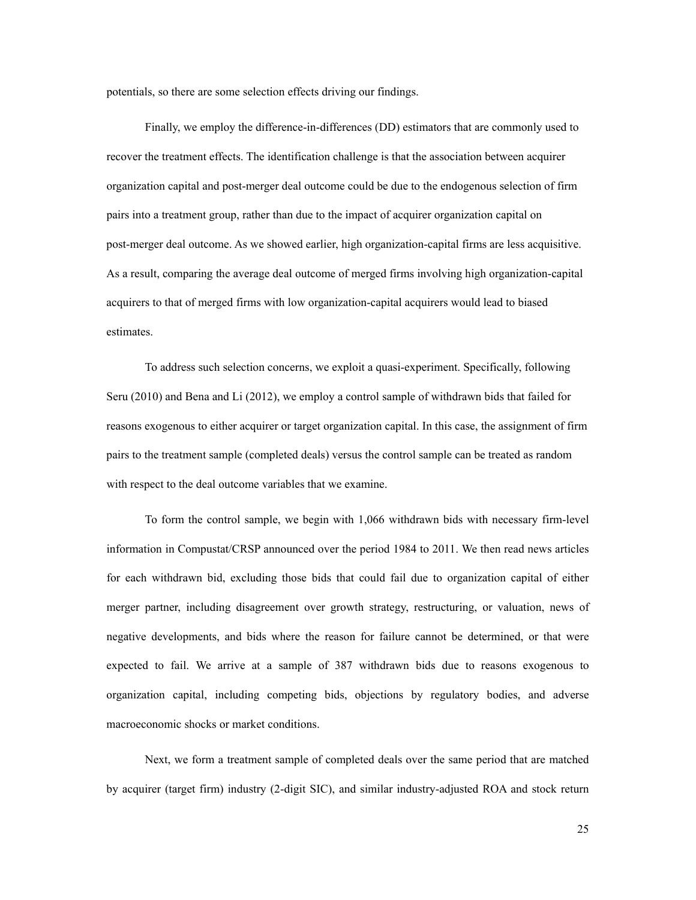potentials, so there are some selection effects driving our findings.

Finally, we employ the difference-in-differences (DD) estimators that are commonly used to recover the treatment effects. The identification challenge is that the association between acquirer organization capital and post-merger deal outcome could be due to the endogenous selection of firm pairs into a treatment group, rather than due to the impact of acquirer organization capital on post-merger deal outcome. As we showed earlier, high organization-capital firms are less acquisitive. As a result, comparing the average deal outcome of merged firms involving high organization-capital acquirers to that of merged firms with low organization-capital acquirers would lead to biased estimates.

To address such selection concerns, we exploit a quasi-experiment. Specifically, following Seru (2010) and Bena and Li (2012), we employ a control sample of withdrawn bids that failed for reasons exogenous to either acquirer or target organization capital. In this case, the assignment of firm pairs to the treatment sample (completed deals) versus the control sample can be treated as random with respect to the deal outcome variables that we examine.

To form the control sample, we begin with 1,066 withdrawn bids with necessary firm-level information in Compustat/CRSP announced over the period 1984 to 2011. We then read news articles for each withdrawn bid, excluding those bids that could fail due to organization capital of either merger partner, including disagreement over growth strategy, restructuring, or valuation, news of negative developments, and bids where the reason for failure cannot be determined, or that were expected to fail. We arrive at a sample of 387 withdrawn bids due to reasons exogenous to organization capital, including competing bids, objections by regulatory bodies, and adverse macroeconomic shocks or market conditions.

Next, we form a treatment sample of completed deals over the same period that are matched by acquirer (target firm) industry (2-digit SIC), and similar industry-adjusted ROA and stock return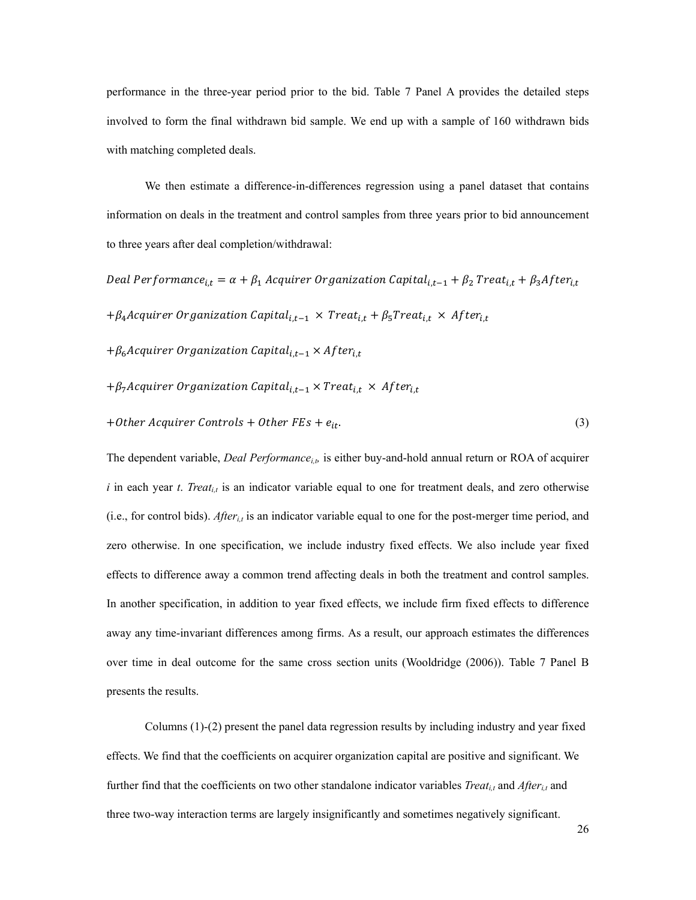performance in the three-year period prior to the bid. Table 7 Panel A provides the detailed steps involved to form the final withdrawn bid sample. We end up with a sample of 160 withdrawn bids with matching completed deals.

We then estimate a difference-in-differences regression using a panel dataset that contains information on deals in the treatment and control samples from three years prior to bid announcement to three years after deal completion/withdrawal:

Deal Performance<sub>i,t</sub> =  $\alpha + \beta_1$  Acquirer Organization Capital<sub>i,t-1</sub> +  $\beta_2$  Treat<sub>i,t</sub> +  $\beta_3$ After<sub>i,t</sub>

+ $\beta_4$ Acquirer Organization Capital<sub>i,t-1</sub> × Treat<sub>i,t</sub> +  $\beta_5$ Treat<sub>i,t</sub> × After<sub>i,t</sub>

+ $\beta_6$ Acquirer Organization Capital<sub>i.t-1</sub> × After<sub>i.t</sub>

$$
+\beta_7
$$
Acquire organization Capital<sub>i,t-1</sub> × Treat<sub>i,t</sub> × After<sub>i,t</sub>

+Other Acquirer Controls + Other  $FEs + e_{it}$ . (3)

The dependent variable, *Deal Performance<sub>i, b</sub>* is either buy-and-hold annual return or ROA of acquirer  $i$  in each year  $t$ . *Treat<sub>i,t</sub>* is an indicator variable equal to one for treatment deals, and zero otherwise (i.e., for control bids). *Afteri,t* is an indicator variable equal to one for the post-merger time period, and zero otherwise. In one specification, we include industry fixed effects. We also include year fixed effects to difference away a common trend affecting deals in both the treatment and control samples. In another specification, in addition to year fixed effects, we include firm fixed effects to difference away any time-invariant differences among firms. As a result, our approach estimates the differences over time in deal outcome for the same cross section units (Wooldridge (2006)). Table 7 Panel B presents the results.

Columns (1)-(2) present the panel data regression results by including industry and year fixed effects. We find that the coefficients on acquirer organization capital are positive and significant. We further find that the coefficients on two other standalone indicator variables *Treat<sub>it</sub>* and *After<sub>it</sub>* and three two-way interaction terms are largely insignificantly and sometimes negatively significant.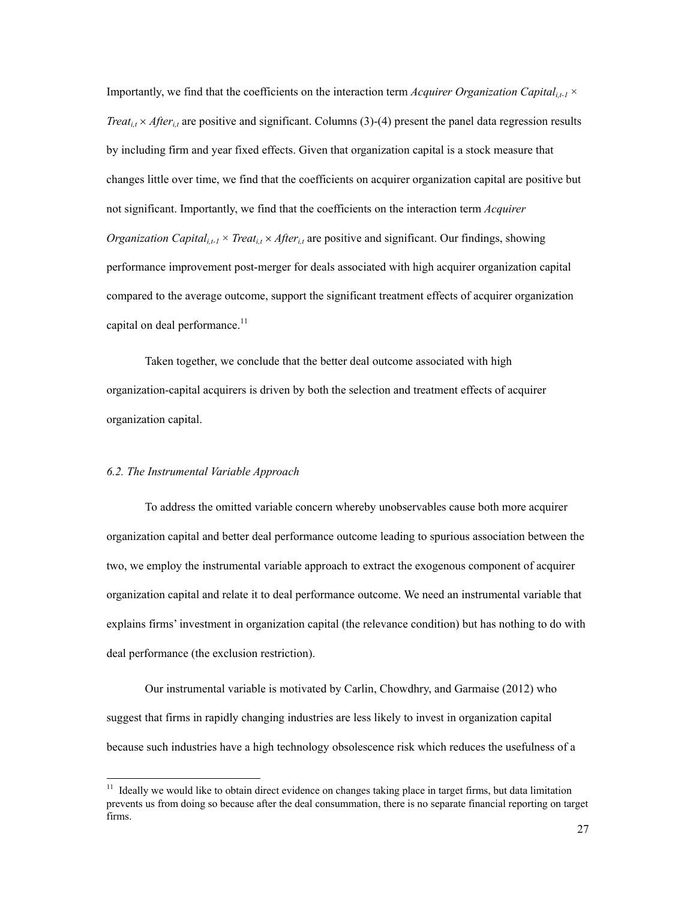Importantly, we find that the coefficients on the interaction term *Acquirer Organization Capital<sub>it-1</sub>*  $\times$ *Treat<sub>i,t</sub>*  $\times$  *After<sub>i,t</sub>* are positive and significant. Columns (3)-(4) present the panel data regression results by including firm and year fixed effects. Given that organization capital is a stock measure that changes little over time, we find that the coefficients on acquirer organization capital are positive but not significant. Importantly, we find that the coefficients on the interaction term *Acquirer Organization Capital<sub>i.t-1</sub>*  $\times$  *Treat<sub>i,t</sub>*  $\times$  *After<sub>i,t</sub>* are positive and significant. Our findings, showing performance improvement post-merger for deals associated with high acquirer organization capital compared to the average outcome, support the significant treatment effects of acquirer organization capital on deal performance. $11$ 

Taken together, we conclude that the better deal outcome associated with high organization-capital acquirers is driven by both the selection and treatment effects of acquirer organization capital.

# *6.2. The Instrumental Variable Approach*

 $\overline{a}$ 

To address the omitted variable concern whereby unobservables cause both more acquirer organization capital and better deal performance outcome leading to spurious association between the two, we employ the instrumental variable approach to extract the exogenous component of acquirer organization capital and relate it to deal performance outcome. We need an instrumental variable that explains firms' investment in organization capital (the relevance condition) but has nothing to do with deal performance (the exclusion restriction).

Our instrumental variable is motivated by Carlin, Chowdhry, and Garmaise (2012) who suggest that firms in rapidly changing industries are less likely to invest in organization capital because such industries have a high technology obsolescence risk which reduces the usefulness of a

 $11$  Ideally we would like to obtain direct evidence on changes taking place in target firms, but data limitation prevents us from doing so because after the deal consummation, there is no separate financial reporting on target firms.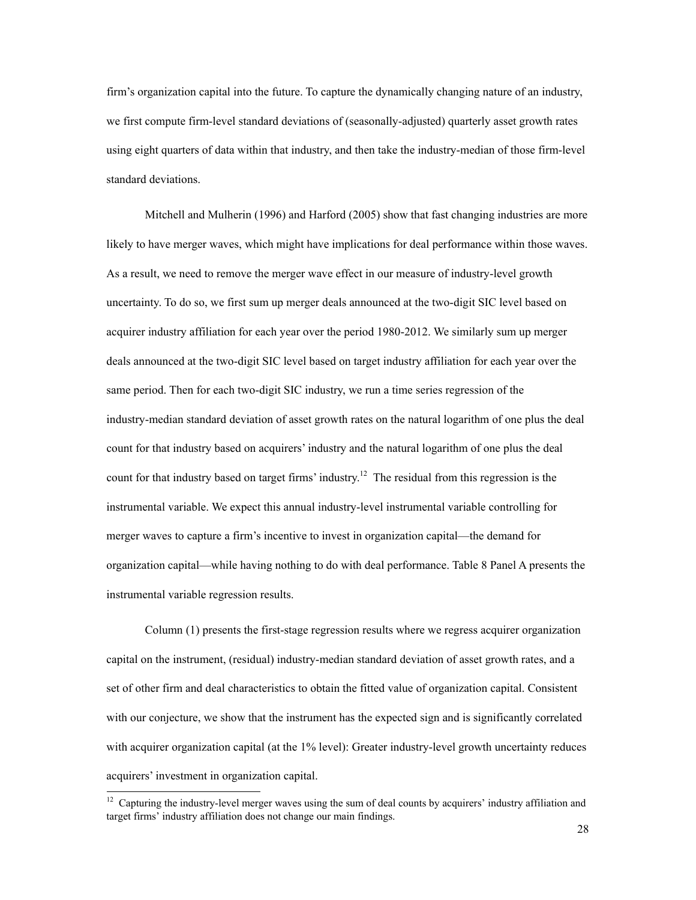firm's organization capital into the future. To capture the dynamically changing nature of an industry, we first compute firm-level standard deviations of (seasonally-adjusted) quarterly asset growth rates using eight quarters of data within that industry, and then take the industry-median of those firm-level standard deviations.

Mitchell and Mulherin (1996) and Harford (2005) show that fast changing industries are more likely to have merger waves, which might have implications for deal performance within those waves. As a result, we need to remove the merger wave effect in our measure of industry-level growth uncertainty. To do so, we first sum up merger deals announced at the two-digit SIC level based on acquirer industry affiliation for each year over the period 1980-2012. We similarly sum up merger deals announced at the two-digit SIC level based on target industry affiliation for each year over the same period. Then for each two-digit SIC industry, we run a time series regression of the industry-median standard deviation of asset growth rates on the natural logarithm of one plus the deal count for that industry based on acquirers' industry and the natural logarithm of one plus the deal count for that industry based on target firms' industry.<sup>12</sup> The residual from this regression is the instrumental variable. We expect this annual industry-level instrumental variable controlling for merger waves to capture a firm's incentive to invest in organization capital—the demand for organization capital—while having nothing to do with deal performance. Table 8 Panel A presents the instrumental variable regression results.

Column (1) presents the first-stage regression results where we regress acquirer organization capital on the instrument, (residual) industry-median standard deviation of asset growth rates, and a set of other firm and deal characteristics to obtain the fitted value of organization capital. Consistent with our conjecture, we show that the instrument has the expected sign and is significantly correlated with acquirer organization capital (at the 1% level): Greater industry-level growth uncertainty reduces acquirers' investment in organization capital.

 $\overline{a}$ 

 $12$  Capturing the industry-level merger waves using the sum of deal counts by acquirers' industry affiliation and target firms' industry affiliation does not change our main findings.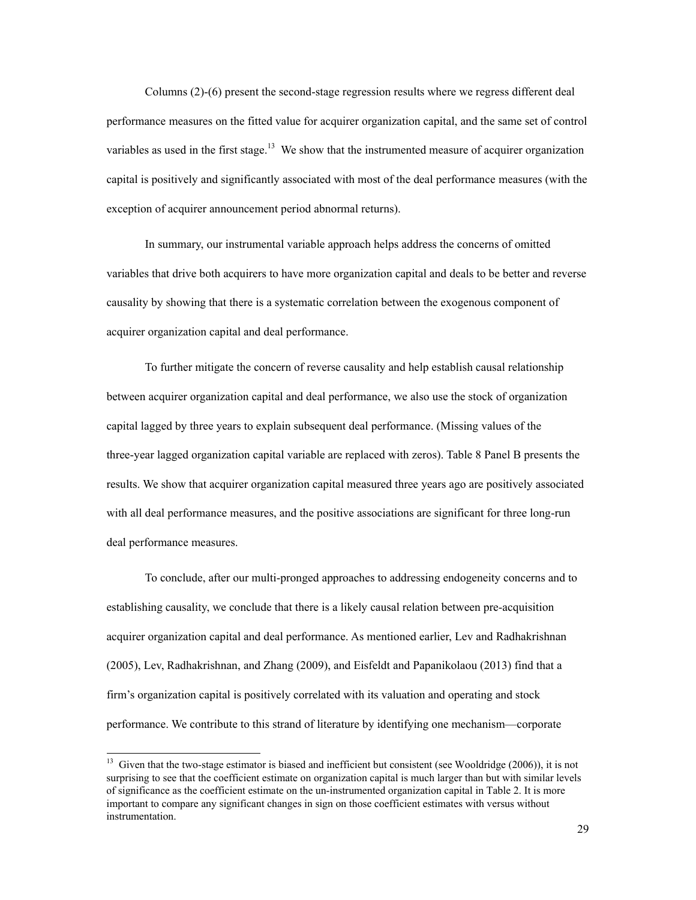Columns (2)-(6) present the second-stage regression results where we regress different deal performance measures on the fitted value for acquirer organization capital, and the same set of control variables as used in the first stage.<sup>13</sup> We show that the instrumented measure of acquirer organization capital is positively and significantly associated with most of the deal performance measures (with the exception of acquirer announcement period abnormal returns).

In summary, our instrumental variable approach helps address the concerns of omitted variables that drive both acquirers to have more organization capital and deals to be better and reverse causality by showing that there is a systematic correlation between the exogenous component of acquirer organization capital and deal performance.

To further mitigate the concern of reverse causality and help establish causal relationship between acquirer organization capital and deal performance, we also use the stock of organization capital lagged by three years to explain subsequent deal performance. (Missing values of the three-year lagged organization capital variable are replaced with zeros). Table 8 Panel B presents the results. We show that acquirer organization capital measured three years ago are positively associated with all deal performance measures, and the positive associations are significant for three long-run deal performance measures.

To conclude, after our multi-pronged approaches to addressing endogeneity concerns and to establishing causality, we conclude that there is a likely causal relation between pre-acquisition acquirer organization capital and deal performance. As mentioned earlier, Lev and Radhakrishnan (2005), Lev, Radhakrishnan, and Zhang (2009), and Eisfeldt and Papanikolaou (2013) find that a firm's organization capital is positively correlated with its valuation and operating and stock performance. We contribute to this strand of literature by identifying one mechanism—corporate

<sup>&</sup>lt;sup>13</sup> Given that the two-stage estimator is biased and inefficient but consistent (see Wooldridge (2006)), it is not surprising to see that the coefficient estimate on organization capital is much larger than but with similar levels of significance as the coefficient estimate on the un-instrumented organization capital in Table 2. It is more important to compare any significant changes in sign on those coefficient estimates with versus without instrumentation.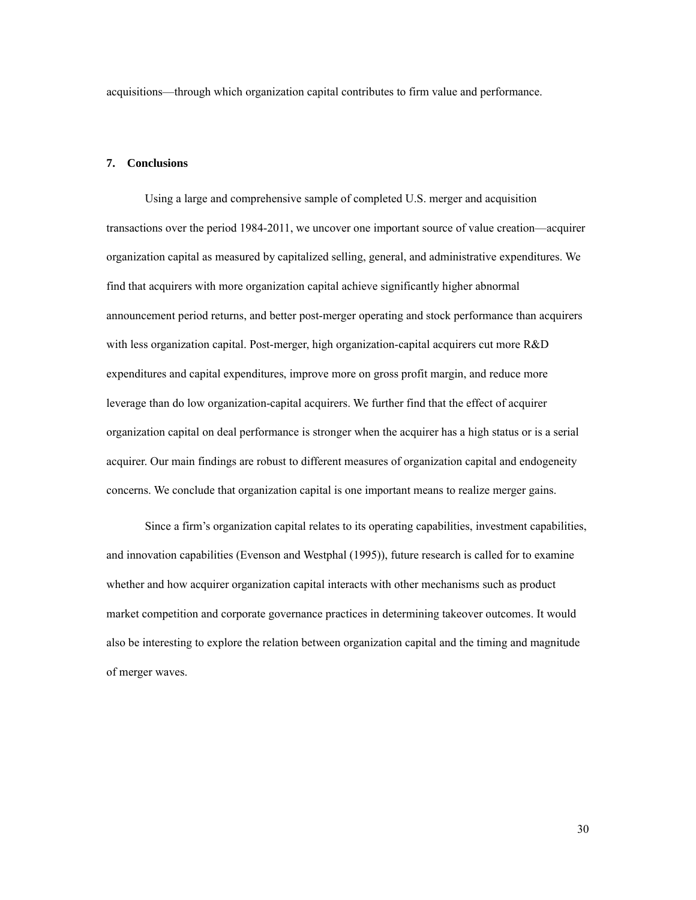acquisitions—through which organization capital contributes to firm value and performance.

### **7. Conclusions**

Using a large and comprehensive sample of completed U.S. merger and acquisition transactions over the period 1984-2011, we uncover one important source of value creation—acquirer organization capital as measured by capitalized selling, general, and administrative expenditures. We find that acquirers with more organization capital achieve significantly higher abnormal announcement period returns, and better post-merger operating and stock performance than acquirers with less organization capital. Post-merger, high organization-capital acquirers cut more R&D expenditures and capital expenditures, improve more on gross profit margin, and reduce more leverage than do low organization-capital acquirers. We further find that the effect of acquirer organization capital on deal performance is stronger when the acquirer has a high status or is a serial acquirer. Our main findings are robust to different measures of organization capital and endogeneity concerns. We conclude that organization capital is one important means to realize merger gains.

Since a firm's organization capital relates to its operating capabilities, investment capabilities, and innovation capabilities (Evenson and Westphal (1995)), future research is called for to examine whether and how acquirer organization capital interacts with other mechanisms such as product market competition and corporate governance practices in determining takeover outcomes. It would also be interesting to explore the relation between organization capital and the timing and magnitude of merger waves.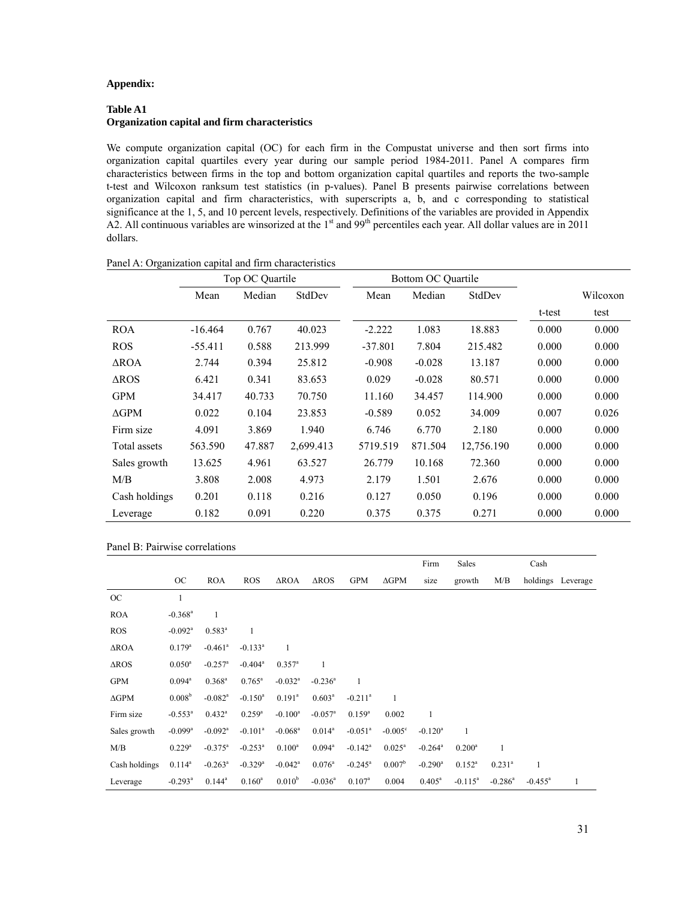### **Appendix:**

# **Table A1 Organization capital and firm characteristics**

We compute organization capital (OC) for each firm in the Compustat universe and then sort firms into organization capital quartiles every year during our sample period 1984-2011. Panel A compares firm characteristics between firms in the top and bottom organization capital quartiles and reports the two-sample t-test and Wilcoxon ranksum test statistics (in p-values). Panel B presents pairwise correlations between organization capital and firm characteristics, with superscripts a, b, and c corresponding to statistical significance at the 1, 5, and 10 percent levels, respectively. Definitions of the variables are provided in Appendix A2. All continuous variables are winsorized at the 1<sup>st</sup> and 99<sup>th</sup> percentiles each year. All dollar values are in 2011 dollars.

|                            | Top OC Quartile |        |           |           | Bottom OC Quartile |            |        |          |
|----------------------------|-----------------|--------|-----------|-----------|--------------------|------------|--------|----------|
|                            | Mean            | Median | StdDev    | Mean      | Median             | StdDev     |        | Wilcoxon |
|                            |                 |        |           |           |                    |            | t-test | test     |
| <b>ROA</b>                 | $-16.464$       | 0.767  | 40.023    | $-2.222$  | 1.083              | 18.883     | 0.000  | 0.000    |
| <b>ROS</b>                 | $-55.411$       | 0.588  | 213.999   | $-37.801$ | 7.804              | 215.482    | 0.000  | 0.000    |
| $\triangle$ ROA            | 2.744           | 0.394  | 25.812    | $-0.908$  | $-0.028$           | 13.187     | 0.000  | 0.000    |
| $\triangle$ <sub>ROS</sub> | 6.421           | 0.341  | 83.653    | 0.029     | $-0.028$           | 80.571     | 0.000  | 0.000    |
| <b>GPM</b>                 | 34.417          | 40.733 | 70.750    | 11.160    | 34.457             | 114.900    | 0.000  | 0.000    |
| $\Delta GPM$               | 0.022           | 0.104  | 23.853    | $-0.589$  | 0.052              | 34.009     | 0.007  | 0.026    |
| Firm size                  | 4.091           | 3.869  | 1.940     | 6.746     | 6.770              | 2.180      | 0.000  | 0.000    |
| Total assets               | 563.590         | 47.887 | 2,699.413 | 5719.519  | 871.504            | 12,756.190 | 0.000  | 0.000    |
| Sales growth               | 13.625          | 4.961  | 63.527    | 26.779    | 10.168             | 72.360     | 0.000  | 0.000    |
| M/B                        | 3.808           | 2.008  | 4.973     | 2.179     | 1.501              | 2.676      | 0.000  | 0.000    |
| Cash holdings              | 0.201           | 0.118  | 0.216     | 0.127     | 0.050              | 0.196      | 0.000  | 0.000    |
| Leverage                   | 0.182           | 0.091  | 0.220     | 0.375     | 0.375              | 0.271      | 0.000  | 0.000    |

|  | Panel A: Organization capital and firm characteristics |
|--|--------------------------------------------------------|
|--|--------------------------------------------------------|

|                            |                       |                       |                       |                       |                            |                       |                    | Firm                  | Sales        |                       | Cash       |                   |
|----------------------------|-----------------------|-----------------------|-----------------------|-----------------------|----------------------------|-----------------------|--------------------|-----------------------|--------------|-----------------------|------------|-------------------|
|                            | OC.                   | <b>ROA</b>            | <b>ROS</b>            | $\triangle$ ROA       | $\triangle$ <sub>ROS</sub> | <b>GPM</b>            | $\Delta GPM$       | size                  | growth       | M/B                   |            | holdings Leverage |
| OC                         |                       |                       |                       |                       |                            |                       |                    |                       |              |                       |            |                   |
| <b>ROA</b>                 | $-0.368$ <sup>a</sup> | 1                     |                       |                       |                            |                       |                    |                       |              |                       |            |                   |
| <b>ROS</b>                 | $-0.092$ <sup>a</sup> | $0.583^{a}$           | 1                     |                       |                            |                       |                    |                       |              |                       |            |                   |
| $\triangle$ ROA            | $0.179^{\rm a}$       | $-0.461$ <sup>a</sup> | $-0.133$ <sup>a</sup> | $\mathbf{1}$          |                            |                       |                    |                       |              |                       |            |                   |
| $\triangle$ <sub>ROS</sub> | $0.050^{\rm a}$       | $-0.257$ <sup>a</sup> | $-0.404$ <sup>a</sup> | $0.357^{\rm a}$       | 1                          |                       |                    |                       |              |                       |            |                   |
| <b>GPM</b>                 | $0.094^a$             | $0.368^{\rm a}$       | $0.765^{\text{a}}$    | $-0.032$ <sup>a</sup> | $-0.236^a$                 | $\mathbf{1}$          |                    |                       |              |                       |            |                   |
| $\Delta GPM$               | 0.008 <sup>b</sup>    | $-0.082$ <sup>a</sup> | $-0.150^a$            | $0.191^{\text{a}}$    | $0.603^{\rm a}$            | $-0.211$ <sup>a</sup> | 1                  |                       |              |                       |            |                   |
| Firm size                  | $-0.553^{\text{a}}$   | $0.432^a$             | $0.259^{a}$           | $-0.100^a$            | $-0.057$ <sup>a</sup>      | $0.159^{a}$           | 0.002              | 1                     |              |                       |            |                   |
| Sales growth               | $-0.099$ <sup>a</sup> | $-0.092$ <sup>a</sup> | $-0.101$ <sup>a</sup> | $-0.068$ <sup>a</sup> | $0.014^a$                  | $-0.051$ <sup>a</sup> | $-0.005^{\circ}$   | $-0.120$ <sup>a</sup> | $\mathbf{1}$ |                       |            |                   |
| M/B                        | $0.229^{\rm a}$       | $-0.375^{\text{a}}$   | $-0.253^a$            | $0.100^a$             | $0.094^{\text{a}}$         | $-0.142^a$            | $0.025^{\text{a}}$ | $-0.264$ <sup>a</sup> | $0.200^a$    | $\mathbf{1}$          |            |                   |
| Cash holdings              | $0.114^a$             | $-0.263^{\text{a}}$   | $-0.329$ <sup>a</sup> | $-0.042$ <sup>a</sup> | $0.076^{\circ}$            | $-0.245^{\circ}$      | $0.007^b$          | $-0.290$ <sup>a</sup> | $0.152^a$    | $0.231^{a}$           | 1          |                   |
| Leverage                   | $-0.293$ <sup>a</sup> | $0.144^a$             | $0.160^a$             | $0.010^{b}$           | $-0.036$ <sup>a</sup>      | $0.107^{a}$           | 0.004              | $0.405^a$             | $-0.115^a$   | $-0.286$ <sup>a</sup> | $-0.455^a$ | $\mathbf{1}$      |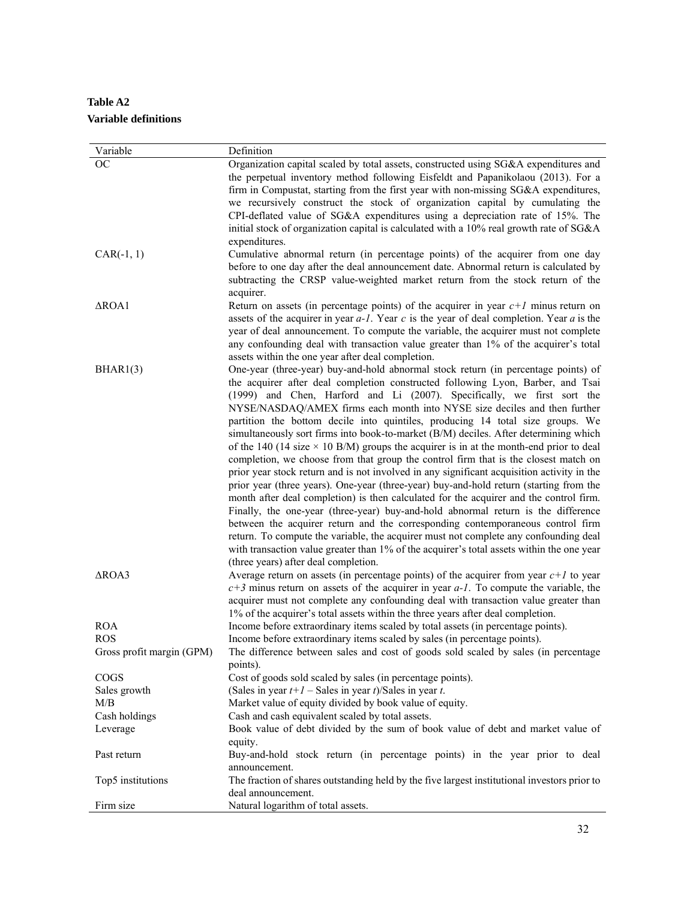**Table A2 Variable definitions** 

| Variable                  | Definition                                                                                                                                                                                                                                                                                                                                                                                                                                                                                                                                                                                                                                                                                                                                                                                                                                                                                                                                                                                                                                                                                                                                                                                                                                                                                                                                                                            |
|---------------------------|---------------------------------------------------------------------------------------------------------------------------------------------------------------------------------------------------------------------------------------------------------------------------------------------------------------------------------------------------------------------------------------------------------------------------------------------------------------------------------------------------------------------------------------------------------------------------------------------------------------------------------------------------------------------------------------------------------------------------------------------------------------------------------------------------------------------------------------------------------------------------------------------------------------------------------------------------------------------------------------------------------------------------------------------------------------------------------------------------------------------------------------------------------------------------------------------------------------------------------------------------------------------------------------------------------------------------------------------------------------------------------------|
| <b>OC</b>                 | Organization capital scaled by total assets, constructed using SG&A expenditures and<br>the perpetual inventory method following Eisfeldt and Papanikolaou (2013). For a<br>firm in Compustat, starting from the first year with non-missing SG&A expenditures,<br>we recursively construct the stock of organization capital by cumulating the<br>CPI-deflated value of SG&A expenditures using a depreciation rate of 15%. The<br>initial stock of organization capital is calculated with a 10% real growth rate of SG&A<br>expenditures.                                                                                                                                                                                                                                                                                                                                                                                                                                                                                                                                                                                                                                                                                                                                                                                                                                          |
| $CAR(-1, 1)$              | Cumulative abnormal return (in percentage points) of the acquirer from one day<br>before to one day after the deal announcement date. Abnormal return is calculated by<br>subtracting the CRSP value-weighted market return from the stock return of the<br>acquirer.                                                                                                                                                                                                                                                                                                                                                                                                                                                                                                                                                                                                                                                                                                                                                                                                                                                                                                                                                                                                                                                                                                                 |
| $\triangle$ ROA1          | Return on assets (in percentage points) of the acquirer in year $c+1$ minus return on<br>assets of the acquirer in year $a$ -1. Year $c$ is the year of deal completion. Year $a$ is the<br>year of deal announcement. To compute the variable, the acquirer must not complete<br>any confounding deal with transaction value greater than 1% of the acquirer's total<br>assets within the one year after deal completion.                                                                                                                                                                                                                                                                                                                                                                                                                                                                                                                                                                                                                                                                                                                                                                                                                                                                                                                                                            |
| BHAR1(3)                  | One-year (three-year) buy-and-hold abnormal stock return (in percentage points) of<br>the acquirer after deal completion constructed following Lyon, Barber, and Tsai<br>(1999) and Chen, Harford and Li (2007). Specifically, we first sort the<br>NYSE/NASDAQ/AMEX firms each month into NYSE size deciles and then further<br>partition the bottom decile into quintiles, producing 14 total size groups. We<br>simultaneously sort firms into book-to-market (B/M) deciles. After determining which<br>of the 140 (14 size $\times$ 10 B/M) groups the acquirer is in at the month-end prior to deal<br>completion, we choose from that group the control firm that is the closest match on<br>prior year stock return and is not involved in any significant acquisition activity in the<br>prior year (three years). One-year (three-year) buy-and-hold return (starting from the<br>month after deal completion) is then calculated for the acquirer and the control firm.<br>Finally, the one-year (three-year) buy-and-hold abnormal return is the difference<br>between the acquirer return and the corresponding contemporaneous control firm<br>return. To compute the variable, the acquirer must not complete any confounding deal<br>with transaction value greater than 1% of the acquirer's total assets within the one year<br>(three years) after deal completion. |
| $\triangle$ ROA3          | Average return on assets (in percentage points) of the acquirer from year $c+1$ to year<br>$c+3$ minus return on assets of the acquirer in year $a-1$ . To compute the variable, the<br>acquirer must not complete any confounding deal with transaction value greater than<br>1% of the acquirer's total assets within the three years after deal completion.                                                                                                                                                                                                                                                                                                                                                                                                                                                                                                                                                                                                                                                                                                                                                                                                                                                                                                                                                                                                                        |
| <b>ROA</b>                | Income before extraordinary items scaled by total assets (in percentage points).                                                                                                                                                                                                                                                                                                                                                                                                                                                                                                                                                                                                                                                                                                                                                                                                                                                                                                                                                                                                                                                                                                                                                                                                                                                                                                      |
| <b>ROS</b>                | Income before extraordinary items scaled by sales (in percentage points).                                                                                                                                                                                                                                                                                                                                                                                                                                                                                                                                                                                                                                                                                                                                                                                                                                                                                                                                                                                                                                                                                                                                                                                                                                                                                                             |
| Gross profit margin (GPM) | The difference between sales and cost of goods sold scaled by sales (in percentage<br>points).                                                                                                                                                                                                                                                                                                                                                                                                                                                                                                                                                                                                                                                                                                                                                                                                                                                                                                                                                                                                                                                                                                                                                                                                                                                                                        |
| <b>COGS</b>               | Cost of goods sold scaled by sales (in percentage points).                                                                                                                                                                                                                                                                                                                                                                                                                                                                                                                                                                                                                                                                                                                                                                                                                                                                                                                                                                                                                                                                                                                                                                                                                                                                                                                            |
| Sales growth              | (Sales in year $t+1$ – Sales in year t)/Sales in year t.                                                                                                                                                                                                                                                                                                                                                                                                                                                                                                                                                                                                                                                                                                                                                                                                                                                                                                                                                                                                                                                                                                                                                                                                                                                                                                                              |
| M/B                       | Market value of equity divided by book value of equity.                                                                                                                                                                                                                                                                                                                                                                                                                                                                                                                                                                                                                                                                                                                                                                                                                                                                                                                                                                                                                                                                                                                                                                                                                                                                                                                               |
| Cash holdings             | Cash and cash equivalent scaled by total assets.                                                                                                                                                                                                                                                                                                                                                                                                                                                                                                                                                                                                                                                                                                                                                                                                                                                                                                                                                                                                                                                                                                                                                                                                                                                                                                                                      |
| Leverage                  | Book value of debt divided by the sum of book value of debt and market value of                                                                                                                                                                                                                                                                                                                                                                                                                                                                                                                                                                                                                                                                                                                                                                                                                                                                                                                                                                                                                                                                                                                                                                                                                                                                                                       |
| Past return               | equity.<br>Buy-and-hold stock return (in percentage points) in the year prior to deal<br>announcement.                                                                                                                                                                                                                                                                                                                                                                                                                                                                                                                                                                                                                                                                                                                                                                                                                                                                                                                                                                                                                                                                                                                                                                                                                                                                                |
| Top5 institutions         | The fraction of shares outstanding held by the five largest institutional investors prior to                                                                                                                                                                                                                                                                                                                                                                                                                                                                                                                                                                                                                                                                                                                                                                                                                                                                                                                                                                                                                                                                                                                                                                                                                                                                                          |
|                           | deal announcement.                                                                                                                                                                                                                                                                                                                                                                                                                                                                                                                                                                                                                                                                                                                                                                                                                                                                                                                                                                                                                                                                                                                                                                                                                                                                                                                                                                    |
| Firm size                 | Natural logarithm of total assets.                                                                                                                                                                                                                                                                                                                                                                                                                                                                                                                                                                                                                                                                                                                                                                                                                                                                                                                                                                                                                                                                                                                                                                                                                                                                                                                                                    |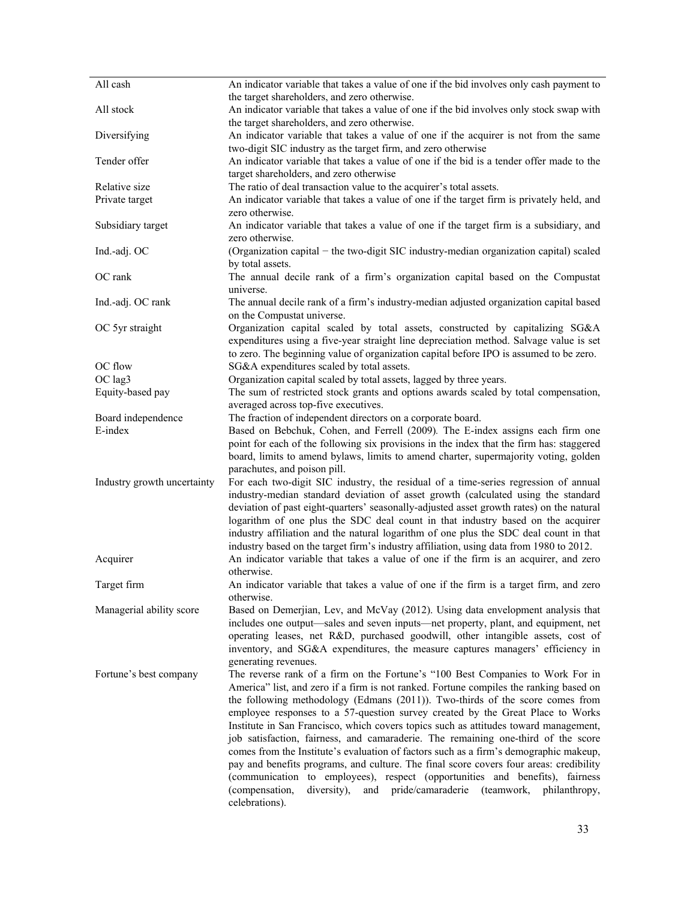| All cash                    | An indicator variable that takes a value of one if the bid involves only cash payment to  |
|-----------------------------|-------------------------------------------------------------------------------------------|
|                             | the target shareholders, and zero otherwise.                                              |
| All stock                   | An indicator variable that takes a value of one if the bid involves only stock swap with  |
|                             | the target shareholders, and zero otherwise.                                              |
| Diversifying                | An indicator variable that takes a value of one if the acquirer is not from the same      |
|                             | two-digit SIC industry as the target firm, and zero otherwise                             |
| Tender offer                | An indicator variable that takes a value of one if the bid is a tender offer made to the  |
|                             | target shareholders, and zero otherwise                                                   |
| Relative size               | The ratio of deal transaction value to the acquirer's total assets.                       |
| Private target              | An indicator variable that takes a value of one if the target firm is privately held, and |
|                             | zero otherwise.                                                                           |
| Subsidiary target           | An indicator variable that takes a value of one if the target firm is a subsidiary, and   |
|                             | zero otherwise.                                                                           |
| Ind.-adj. OC                | (Organization capital - the two-digit SIC industry-median organization capital) scaled    |
|                             | by total assets.                                                                          |
| OC rank                     | The annual decile rank of a firm's organization capital based on the Compustat            |
|                             | universe.                                                                                 |
| Ind.-adj. OC rank           | The annual decile rank of a firm's industry-median adjusted organization capital based    |
|                             | on the Compustat universe.                                                                |
| OC 5yr straight             | Organization capital scaled by total assets, constructed by capitalizing SG&A             |
|                             | expenditures using a five-year straight line depreciation method. Salvage value is set    |
|                             | to zero. The beginning value of organization capital before IPO is assumed to be zero.    |
| OC flow                     | SG&A expenditures scaled by total assets.                                                 |
| OC lag3                     | Organization capital scaled by total assets, lagged by three years.                       |
| Equity-based pay            | The sum of restricted stock grants and options awards scaled by total compensation,       |
|                             | averaged across top-five executives.                                                      |
| Board independence          | The fraction of independent directors on a corporate board.                               |
| E-index                     | Based on Bebchuk, Cohen, and Ferrell (2009). The E-index assigns each firm one            |
|                             | point for each of the following six provisions in the index that the firm has: staggered  |
|                             | board, limits to amend bylaws, limits to amend charter, supermajority voting, golden      |
|                             | parachutes, and poison pill.                                                              |
| Industry growth uncertainty | For each two-digit SIC industry, the residual of a time-series regression of annual       |
|                             | industry-median standard deviation of asset growth (calculated using the standard         |
|                             | deviation of past eight-quarters' seasonally-adjusted asset growth rates) on the natural  |
|                             | logarithm of one plus the SDC deal count in that industry based on the acquirer           |
|                             | industry affiliation and the natural logarithm of one plus the SDC deal count in that     |
|                             | industry based on the target firm's industry affiliation, using data from 1980 to 2012.   |
| Acquirer                    | An indicator variable that takes a value of one if the firm is an acquirer, and zero      |
|                             | otherwise.                                                                                |
| Target firm                 | An indicator variable that takes a value of one if the firm is a target firm, and zero    |
|                             | otherwise.                                                                                |
| Managerial ability score    | Based on Demerjian, Lev, and McVay (2012). Using data envelopment analysis that           |
|                             | includes one output—sales and seven inputs—net property, plant, and equipment, net        |
|                             | operating leases, net R&D, purchased goodwill, other intangible assets, cost of           |
|                             | inventory, and SG&A expenditures, the measure captures managers' efficiency in            |
|                             | generating revenues.                                                                      |
| Fortune's best company      | The reverse rank of a firm on the Fortune's "100 Best Companies to Work For in            |
|                             | America" list, and zero if a firm is not ranked. Fortune compiles the ranking based on    |
|                             | the following methodology (Edmans (2011)). Two-thirds of the score comes from             |
|                             | employee responses to a 57-question survey created by the Great Place to Works            |
|                             | Institute in San Francisco, which covers topics such as attitudes toward management,      |
|                             | job satisfaction, fairness, and camaraderie. The remaining one-third of the score         |
|                             | comes from the Institute's evaluation of factors such as a firm's demographic makeup,     |
|                             | pay and benefits programs, and culture. The final score covers four areas: credibility    |
|                             | (communication to employees), respect (opportunities and benefits), fairness              |
|                             | and pride/camaraderie (teamwork, philanthropy,<br>(compensation,<br>diversity),           |
|                             | celebrations).                                                                            |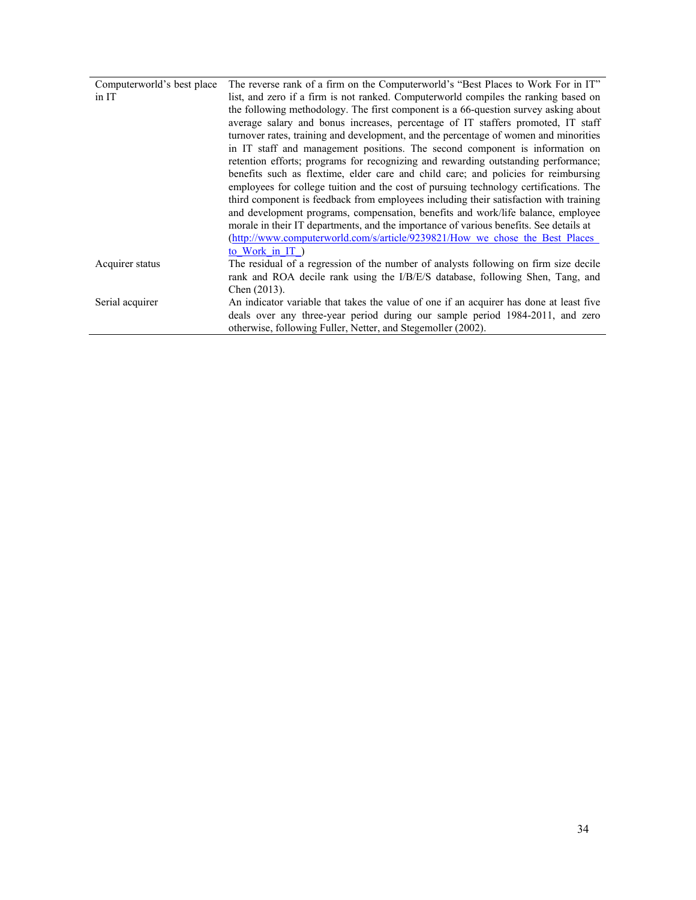| Computerworld's best place | The reverse rank of a firm on the Computerworld's "Best Places to Work For in IT"       |
|----------------------------|-----------------------------------------------------------------------------------------|
| $\overline{\text{in IT}}$  | list, and zero if a firm is not ranked. Computerworld compiles the ranking based on     |
|                            | the following methodology. The first component is a 66-question survey asking about     |
|                            | average salary and bonus increases, percentage of IT staffers promoted, IT staff        |
|                            | turnover rates, training and development, and the percentage of women and minorities    |
|                            | in IT staff and management positions. The second component is information on            |
|                            | retention efforts; programs for recognizing and rewarding outstanding performance;      |
|                            | benefits such as flextime, elder care and child care; and policies for reimbursing      |
|                            | employees for college tuition and the cost of pursuing technology certifications. The   |
|                            | third component is feedback from employees including their satisfaction with training   |
|                            | and development programs, compensation, benefits and work/life balance, employee        |
|                            | morale in their IT departments, and the importance of various benefits. See details at  |
|                            | (http://www.computerworld.com/s/article/9239821/How we chose the Best Places            |
|                            | to Work in IT)                                                                          |
| Acquirer status            | The residual of a regression of the number of analysts following on firm size decile    |
|                            | rank and ROA decile rank using the I/B/E/S database, following Shen, Tang, and          |
|                            | Chen $(2013)$ .                                                                         |
| Serial acquirer            | An indicator variable that takes the value of one if an acquirer has done at least five |
|                            | deals over any three-year period during our sample period 1984-2011, and zero           |
|                            | otherwise, following Fuller, Netter, and Stegemoller (2002).                            |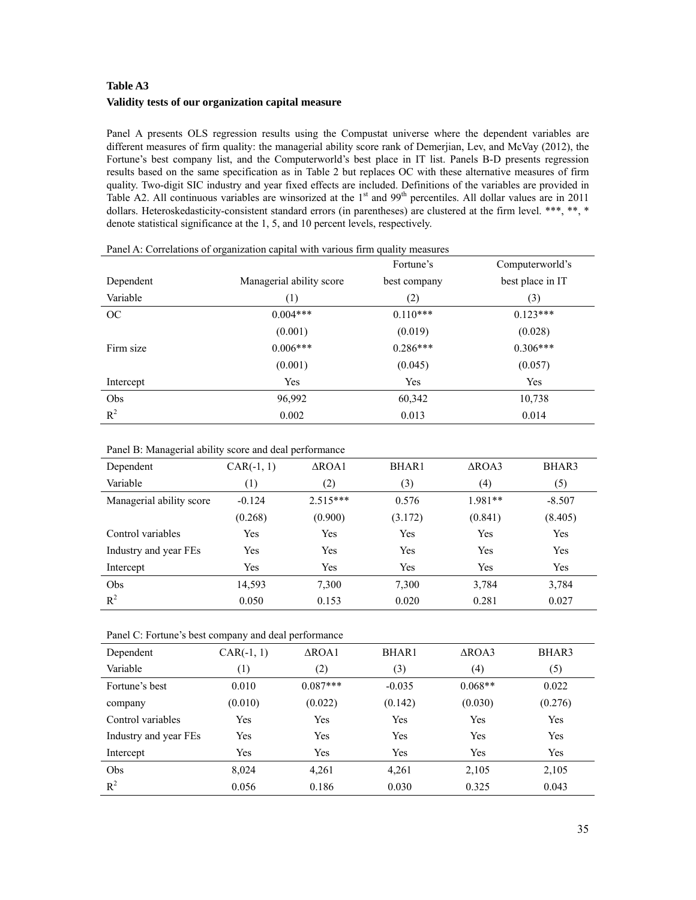# **Table A3 Validity tests of our organization capital measure**

Panel A presents OLS regression results using the Compustat universe where the dependent variables are different measures of firm quality: the managerial ability score rank of Demerjian, Lev, and McVay (2012), the Fortune's best company list, and the Computerworld's best place in IT list. Panels B-D presents regression results based on the same specification as in Table 2 but replaces OC with these alternative measures of firm quality. Two-digit SIC industry and year fixed effects are included. Definitions of the variables are provided in Table A2. All continuous variables are winsorized at the 1<sup>st</sup> and 99<sup>th</sup> percentiles. All dollar values are in 2011 dollars. Heteroskedasticity-consistent standard errors (in parentheses) are clustered at the firm level. \*\*\*, \*\*, \* denote statistical significance at the 1, 5, and 10 percent levels, respectively.

|           | . ت                      | Fortune's    | Computerworld's  |
|-----------|--------------------------|--------------|------------------|
| Dependent | Managerial ability score | best company | best place in IT |
| Variable  | (1)                      | (2)          | (3)              |
| OC        | $0.004***$               | $0.110***$   | $0.123***$       |
|           | (0.001)                  | (0.019)      | (0.028)          |
| Firm size | $0.006***$               | $0.286***$   | $0.306***$       |
|           | (0.001)                  | (0.045)      | (0.057)          |
| Intercept | Yes                      | Yes          | Yes              |
| Obs       | 96,992                   | 60,342       | 10,738           |
| $R^2$     | 0.002                    | 0.013        | 0.014            |

| Panel A: Correlations of organization capital with various firm quality measures |  |  |  |  |
|----------------------------------------------------------------------------------|--|--|--|--|
|                                                                                  |  |  |  |  |

### Panel B: Managerial ability score and deal performance

| Dependent                | $CAR(-1, 1)$ | $\triangle$ ROA1 | <b>BHAR1</b> | $\triangle$ ROA3 | BHAR3    |
|--------------------------|--------------|------------------|--------------|------------------|----------|
| Variable                 | (1)          | (2)              | (3)          | $\left(4\right)$ | (5)      |
| Managerial ability score | $-0.124$     | $2.515***$       | 0.576        | $1.981**$        | $-8.507$ |
|                          | (0.268)      | (0.900)          | (3.172)      | (0.841)          | (8.405)  |
| Control variables        | Yes          | Yes              | Yes          | Yes              | Yes      |
| Industry and year FEs    | Yes          | Yes              | Yes          | Yes              | Yes      |
| Intercept                | Yes          | Yes              | Yes          | Yes              | Yes      |
| Obs                      | 14,593       | 7,300            | 7,300        | 3,784            | 3,784    |
| $R^2$                    | 0.050        | 0.153            | 0.020        | 0.281            | 0.027    |

Panel C: Fortune's best company and deal performance

| Dependent             | $CAR(-1, 1)$ | $\triangle$ ROA1 | <b>BHAR1</b> | $\triangle$ ROA3 | BHAR3   |
|-----------------------|--------------|------------------|--------------|------------------|---------|
| Variable              | (1)          | (2)              | (3)          | (4)              | (5)     |
| Fortune's best        | 0.010        | $0.087***$       | $-0.035$     | $0.068**$        | 0.022   |
| company               | (0.010)      | (0.022)          | (0.142)      | (0.030)          | (0.276) |
| Control variables     | Yes          | Yes              | Yes          | Yes              | Yes     |
| Industry and year FEs | Yes          | Yes              | Yes          | Yes              | Yes     |
| Intercept             | Yes          | Yes              | Yes          | Yes              | Yes     |
| Obs                   | 8,024        | 4,261            | 4,261        | 2,105            | 2,105   |
| $R^2$                 | 0.056        | 0.186            | 0.030        | 0.325            | 0.043   |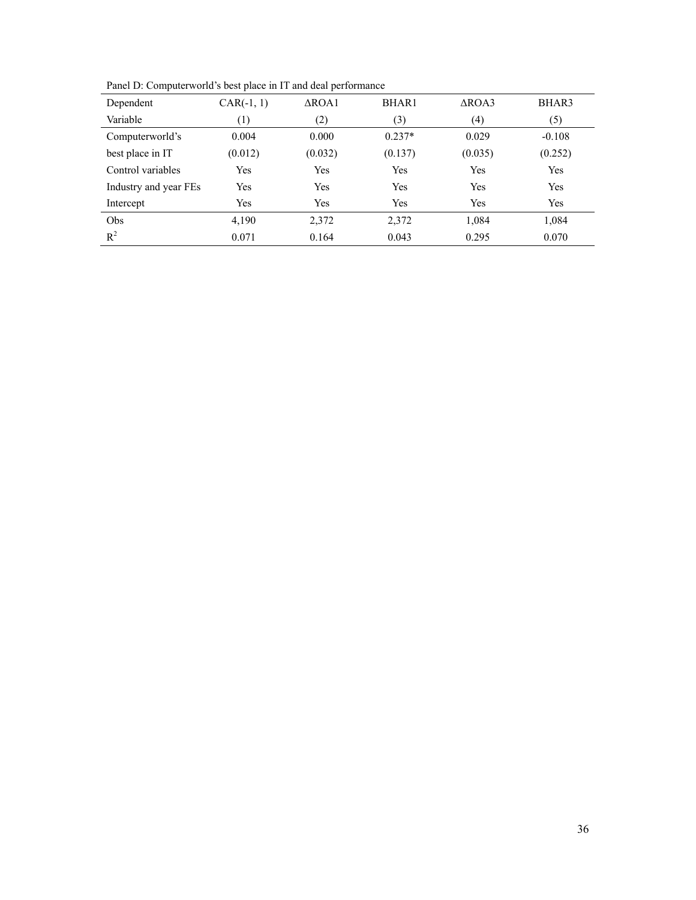| Dependent             | $CAR(-1, 1)$     | $\triangle$ ROA1 | BHAR1    | $\triangle$ ROA3 | BHAR3    |
|-----------------------|------------------|------------------|----------|------------------|----------|
| Variable              | $\left(1\right)$ | (2)              | (3)      | (4)              | (5)      |
| Computerworld's       | 0.004            | 0.000            | $0.237*$ | 0.029            | $-0.108$ |
| best place in IT      | (0.012)          | (0.032)          | (0.137)  | (0.035)          | (0.252)  |
| Control variables     | Yes              | Yes              | Yes      | Yes              | Yes      |
| Industry and year FEs | Yes              | Yes              | Yes      | Yes              | Yes      |
| Intercept             | Yes              | Yes              | Yes      | Yes              | Yes      |
| Obs                   | 4,190            | 2,372            | 2,372    | 1,084            | 1,084    |
| $R^2$                 | 0.071            | 0.164            | 0.043    | 0.295            | 0.070    |

Panel D: Computerworld's best place in IT and deal performance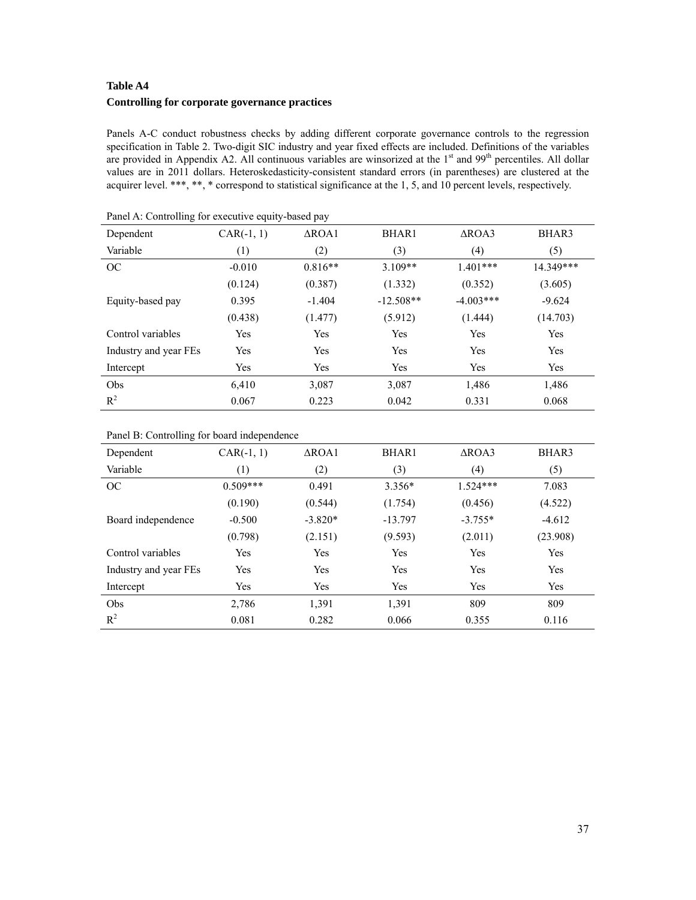# **Table A4 Controlling for corporate governance practices**

Panels A-C conduct robustness checks by adding different corporate governance controls to the regression specification in Table 2. Two-digit SIC industry and year fixed effects are included. Definitions of the variables are provided in Appendix A2. All continuous variables are winsorized at the 1<sup>st</sup> and 99<sup>th</sup> percentiles. All dollar values are in 2011 dollars. Heteroskedasticity-consistent standard errors (in parentheses) are clustered at the acquirer level. \*\*\*, \*\*, \* correspond to statistical significance at the 1, 5, and 10 percent levels, respectively.

| 0<br>- 1 - - - <i>. .</i> |              |                  |              |                  |           |  |  |  |  |  |
|---------------------------|--------------|------------------|--------------|------------------|-----------|--|--|--|--|--|
| Dependent                 | $CAR(-1, 1)$ | $\triangle$ ROA1 | <b>BHAR1</b> | $\triangle$ ROA3 | BHAR3     |  |  |  |  |  |
| Variable                  | (1)          | (2)              | (3)          | (4)              | (5)       |  |  |  |  |  |
| OC                        | $-0.010$     | $0.816**$        | $3.109**$    | $1.401***$       | 14.349*** |  |  |  |  |  |
|                           | (0.124)      | (0.387)          | (1.332)      | (0.352)          | (3.605)   |  |  |  |  |  |
| Equity-based pay          | 0.395        | $-1.404$         | $-12.508**$  | $-4.003***$      | $-9.624$  |  |  |  |  |  |
|                           | (0.438)      | (1.477)          | (5.912)      | (1.444)          | (14.703)  |  |  |  |  |  |
| Control variables         | Yes          | Yes              | Yes          | Yes              | Yes       |  |  |  |  |  |
| Industry and year FEs     | Yes          | Yes              | Yes          | Yes              | Yes       |  |  |  |  |  |
| Intercept                 | Yes          | Yes              | Yes          | Yes              | Yes       |  |  |  |  |  |
| Obs                       | 6,410        | 3,087            | 3,087        | 1,486            | 1,486     |  |  |  |  |  |
| $R^2$                     | 0.067        | 0.223            | 0.042        | 0.331            | 0.068     |  |  |  |  |  |

Panel A: Controlling for executive equity-based pay

# Panel B: Controlling for board independence

| Dependent             | $CAR(-1, 1)$ | $\triangle$ ROA1 | BHAR1     | $\triangle$ ROA3 | BHAR3    |
|-----------------------|--------------|------------------|-----------|------------------|----------|
| Variable              | (1)          | (2)              | (3)       | (4)              | (5)      |
| OC                    | $0.509***$   | 0.491            | $3.356*$  | $1.524***$       | 7.083    |
|                       | (0.190)      | (0.544)          | (1.754)   | (0.456)          | (4.522)  |
| Board independence    | $-0.500$     | $-3.820*$        | $-13.797$ | $-3.755*$        | $-4.612$ |
|                       | (0.798)      | (2.151)          | (9.593)   | (2.011)          | (23.908) |
| Control variables     | Yes          | Yes              | Yes       | Yes              | Yes      |
| Industry and year FEs | Yes          | Yes              | Yes       | Yes              | Yes      |
| Intercept             | Yes          | Yes              | Yes       | Yes              | Yes      |
| Obs                   | 2,786        | 1,391            | 1,391     | 809              | 809      |
| $R^2$                 | 0.081        | 0.282            | 0.066     | 0.355            | 0.116    |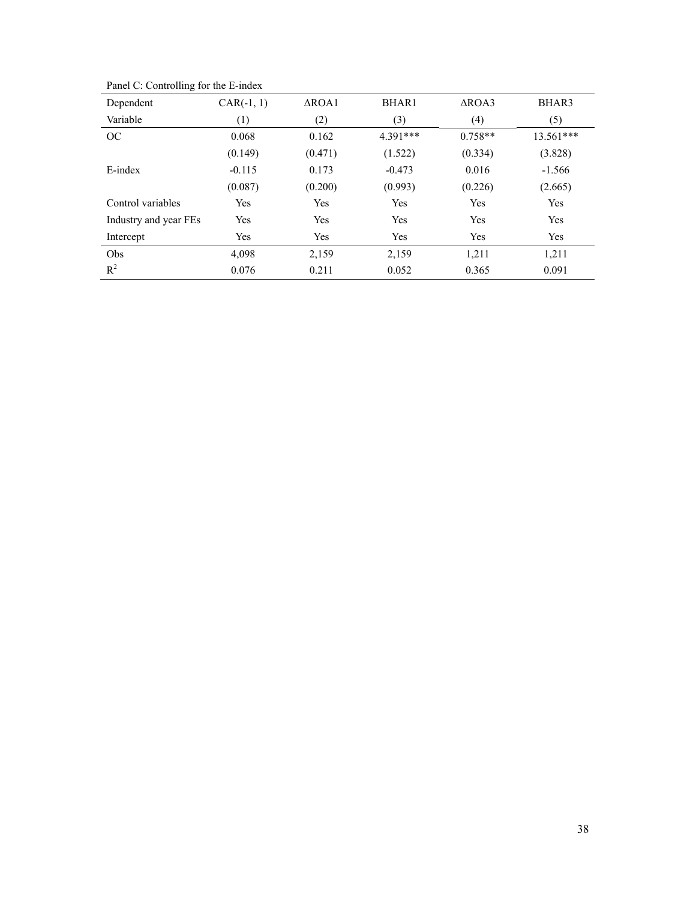| Dependent             | $CAR(-1, 1)$ | $\triangle$ ROA1 | <b>BHAR1</b> | $\triangle$ ROA3 | BHAR3     |
|-----------------------|--------------|------------------|--------------|------------------|-----------|
| Variable              | (1)          | (2)              | (3)          | (4)              | (5)       |
| OC                    | 0.068        | 0.162            | 4.391***     | $0.758**$        | 13.561*** |
|                       | (0.149)      | (0.471)          | (1.522)      | (0.334)          | (3.828)   |
| E-index               | $-0.115$     | 0.173            | $-0.473$     | 0.016            | $-1.566$  |
|                       | (0.087)      | (0.200)          | (0.993)      | (0.226)          | (2.665)   |
| Control variables     | Yes          | Yes              | Yes          | Yes              | Yes       |
| Industry and year FEs | Yes          | Yes              | Yes          | Yes              | Yes       |
| Intercept             | Yes          | Yes              | Yes          | Yes              | Yes       |
| Obs                   | 4,098        | 2,159            | 2,159        | 1,211            | 1,211     |
| $R^2$                 | 0.076        | 0.211            | 0.052        | 0.365            | 0.091     |

Panel C: Controlling for the E-index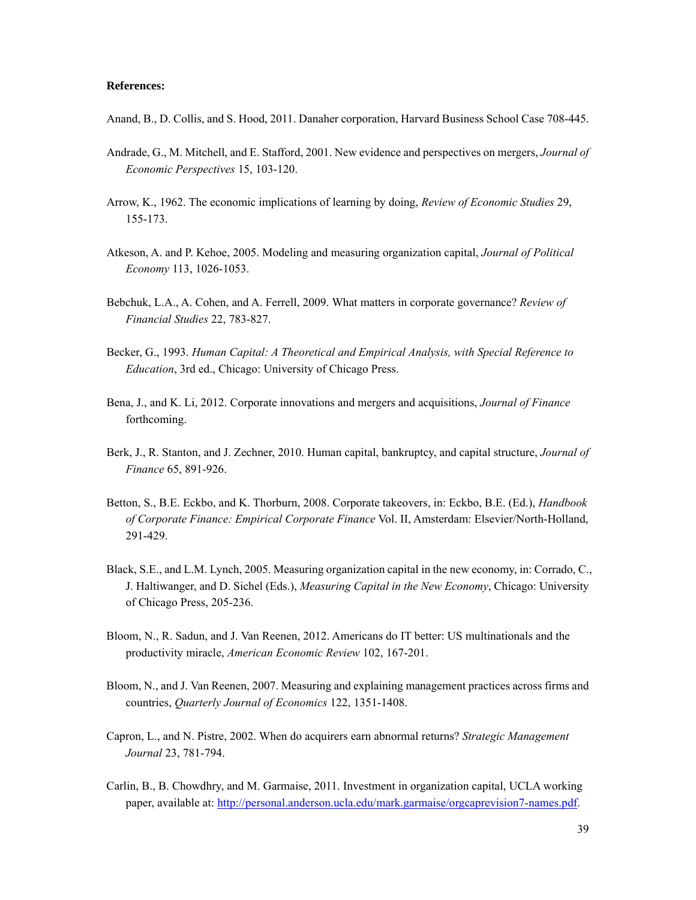#### **References:**

- Anand, B., D. Collis, and S. Hood, 2011. Danaher corporation, Harvard Business School Case 708-445.
- Andrade, G., M. Mitchell, and E. Stafford, 2001. New evidence and perspectives on mergers, *Journal of Economic Perspectives* 15, 103-120.
- Arrow, K., 1962. The economic implications of learning by doing, *Review of Economic Studies* 29, 155-173.
- Atkeson, A. and P. Kehoe, 2005. Modeling and measuring organization capital, *Journal of Political Economy* 113, 1026-1053.
- Bebchuk, L.A., A. Cohen, and A. Ferrell, 2009. What matters in corporate governance? *Review of Financial Studies* 22, 783-827.
- Becker, G., 1993. *Human Capital: A Theoretical and Empirical Analysis, with Special Reference to Education*, 3rd ed., Chicago: University of Chicago Press.
- Bena, J., and K. Li, 2012. Corporate innovations and mergers and acquisitions, *Journal of Finance* forthcoming.
- Berk, J., R. Stanton, and J. Zechner, 2010. Human capital, bankruptcy, and capital structure, *Journal of Finance* 65, 891-926.
- Betton, S., B.E. Eckbo, and K. Thorburn, 2008. Corporate takeovers, in: Eckbo, B.E. (Ed.), *Handbook of Corporate Finance: Empirical Corporate Finance* Vol. II, Amsterdam: Elsevier/North-Holland, 291-429.
- Black, S.E., and L.M. Lynch, 2005. Measuring organization capital in the new economy, in: Corrado, C., J. Haltiwanger, and D. Sichel (Eds.), *Measuring Capital in the New Economy*, Chicago: University of Chicago Press, 205-236.
- Bloom, N., R. Sadun, and J. Van Reenen, 2012. Americans do IT better: US multinationals and the productivity miracle, *American Economic Review* 102, 167-201.
- Bloom, N., and J. Van Reenen, 2007. Measuring and explaining management practices across firms and countries, *Quarterly Journal of Economics* 122, 1351-1408.
- Capron, L., and N. Pistre, 2002. When do acquirers earn abnormal returns? *Strategic Management Journal* 23, 781-794.
- Carlin, B., B. Chowdhry, and M. Garmaise, 2011. Investment in organization capital, UCLA working paper, available at: http://personal.anderson.ucla.edu/mark.garmaise/orgcaprevision7-names.pdf.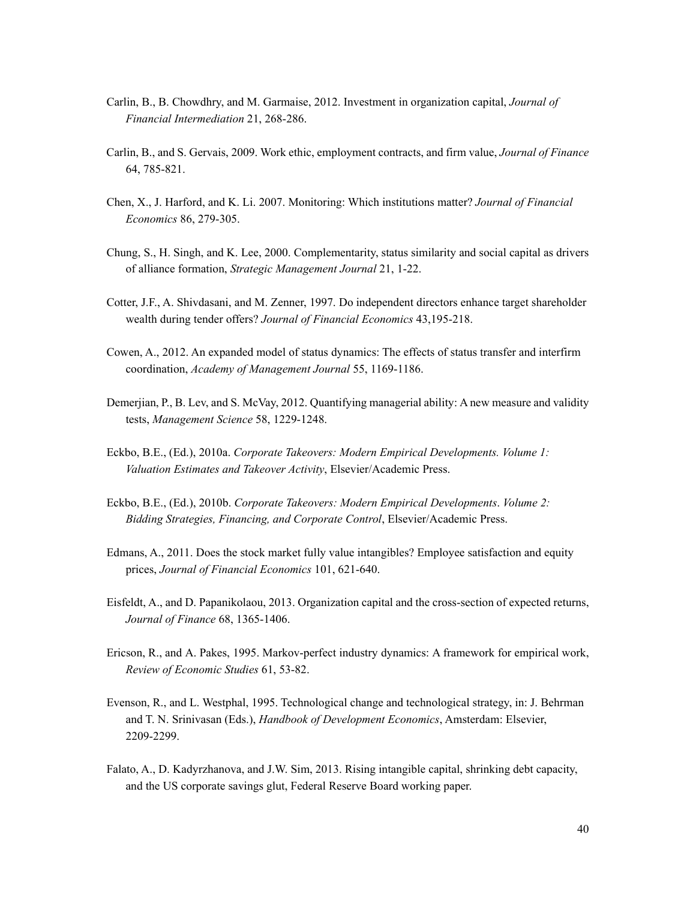- Carlin, B., B. Chowdhry, and M. Garmaise, 2012. Investment in organization capital, *Journal of Financial Intermediation* 21, 268-286.
- Carlin, B., and S. Gervais, 2009. Work ethic, employment contracts, and firm value, *Journal of Finance* 64, 785-821.
- Chen, X., J. Harford, and K. Li. 2007. Monitoring: Which institutions matter? *Journal of Financial Economics* 86, 279-305.
- Chung, S., H. Singh, and K. Lee, 2000. Complementarity, status similarity and social capital as drivers of alliance formation, *Strategic Management Journal* 21, 1-22.
- Cotter, J.F., A. Shivdasani, and M. Zenner, 1997. Do independent directors enhance target shareholder wealth during tender offers? *Journal of Financial Economics* 43,195-218.
- Cowen, A., 2012. An expanded model of status dynamics: The effects of status transfer and interfirm coordination, *Academy of Management Journal* 55, 1169-1186.
- Demerjian, P., B. Lev, and S. McVay, 2012. Quantifying managerial ability: A new measure and validity tests, *Management Science* 58, 1229-1248.
- Eckbo, B.E., (Ed.), 2010a. *Corporate Takeovers: Modern Empirical Developments. Volume 1: Valuation Estimates and Takeover Activity*, Elsevier/Academic Press.
- Eckbo, B.E., (Ed.), 2010b. *Corporate Takeovers: Modern Empirical Developments*. *Volume 2: Bidding Strategies, Financing, and Corporate Control*, Elsevier/Academic Press.
- Edmans, A., 2011. Does the stock market fully value intangibles? Employee satisfaction and equity prices, *Journal of Financial Economics* 101, 621-640.
- Eisfeldt, A., and D. Papanikolaou, 2013. Organization capital and the cross-section of expected returns, *Journal of Finance* 68, 1365-1406.
- Ericson, R., and A. Pakes, 1995. Markov-perfect industry dynamics: A framework for empirical work, *Review of Economic Studies* 61, 53-82.
- Evenson, R., and L. Westphal, 1995. Technological change and technological strategy, in: J. Behrman and T. N. Srinivasan (Eds.), *Handbook of Development Economics*, Amsterdam: Elsevier, 2209-2299.
- Falato, A., D. Kadyrzhanova, and J.W. Sim, 2013. Rising intangible capital, shrinking debt capacity, and the US corporate savings glut, Federal Reserve Board working paper.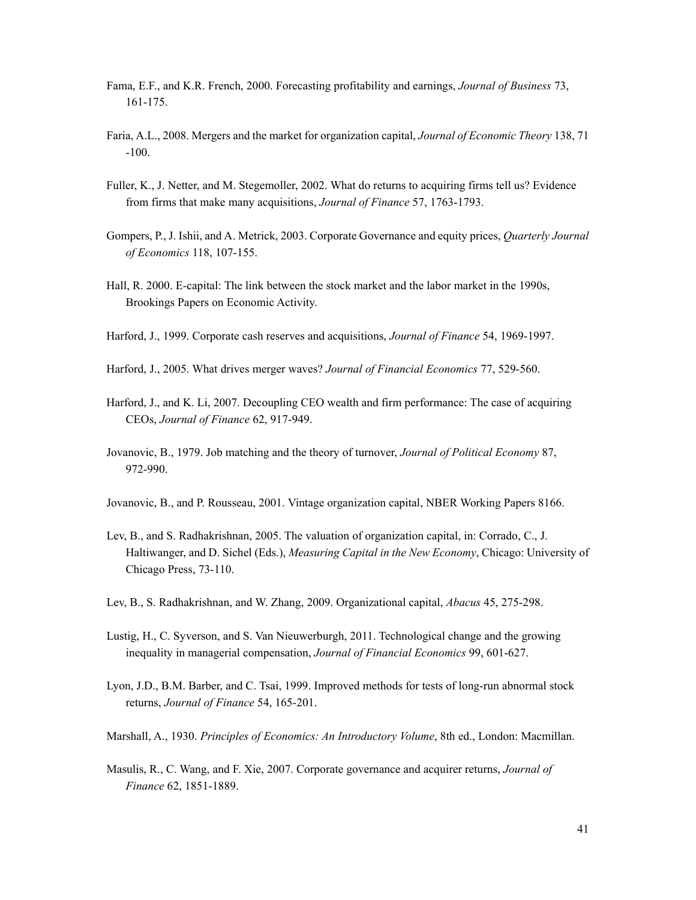- Fama, E.F., and K.R. French, 2000. Forecasting profitability and earnings, *Journal of Business* 73, 161-175.
- Faria, A.L., 2008. Mergers and the market for organization capital, *Journal of Economic Theory* 138, 71 -100.
- Fuller, K., J. Netter, and M. Stegemoller, 2002. What do returns to acquiring firms tell us? Evidence from firms that make many acquisitions, *Journal of Finance* 57, 1763-1793.
- Gompers, P., J. Ishii, and A. Metrick, 2003. Corporate Governance and equity prices, *Quarterly Journal of Economics* 118, 107-155.
- Hall, R. 2000. E-capital: The link between the stock market and the labor market in the 1990s, Brookings Papers on Economic Activity.
- Harford, J., 1999. Corporate cash reserves and acquisitions, *Journal of Finance* 54, 1969-1997.
- Harford, J., 2005. What drives merger waves? *Journal of Financial Economics* 77, 529-560.
- Harford, J., and K. Li, 2007. Decoupling CEO wealth and firm performance: The case of acquiring CEOs, *Journal of Finance* 62, 917-949.
- Jovanovic, B., 1979. Job matching and the theory of turnover, *Journal of Political Economy* 87, 972-990.
- Jovanovic, B., and P. Rousseau, 2001. Vintage organization capital, NBER Working Papers 8166.
- Lev, B., and S. Radhakrishnan, 2005. The valuation of organization capital, in: Corrado, C., J. Haltiwanger, and D. Sichel (Eds.), *Measuring Capital in the New Economy*, Chicago: University of Chicago Press, 73-110.
- Lev, B., S. Radhakrishnan, and W. Zhang, 2009. Organizational capital, *Abacus* 45, 275-298.
- Lustig, H., C. Syverson, and S. Van Nieuwerburgh, 2011. Technological change and the growing inequality in managerial compensation, *Journal of Financial Economics* 99, 601-627.
- Lyon, J.D., B.M. Barber, and C. Tsai, 1999. Improved methods for tests of long-run abnormal stock returns, *Journal of Finance* 54, 165-201.
- Marshall, A., 1930. *Principles of Economics: An Introductory Volume*, 8th ed., London: Macmillan.
- Masulis, R., C. Wang, and F. Xie, 2007. Corporate governance and acquirer returns, *Journal of Finance* 62, 1851-1889.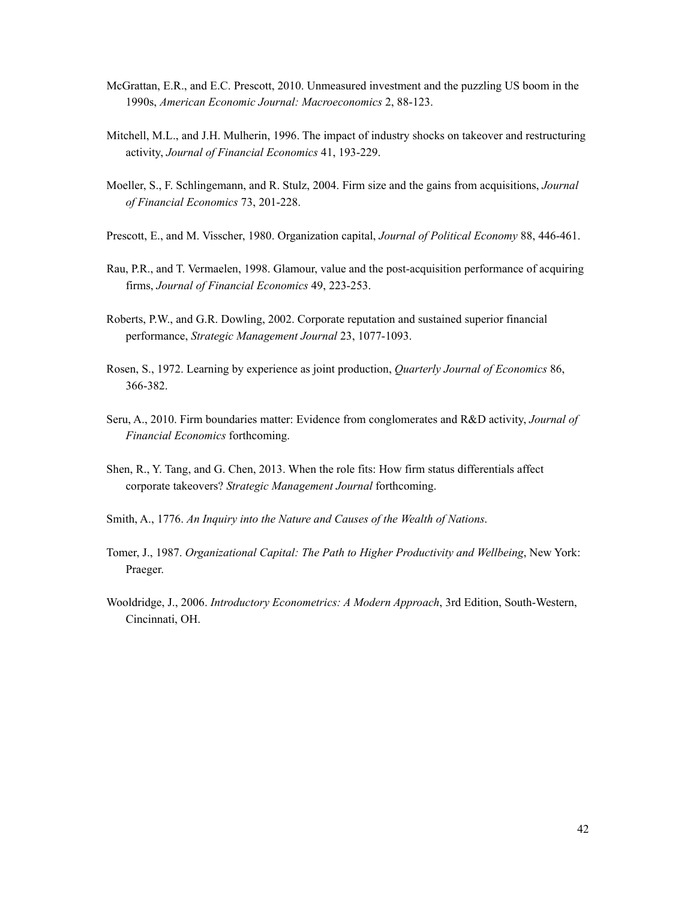- McGrattan, E.R., and E.C. Prescott, 2010. Unmeasured investment and the puzzling US boom in the 1990s, *American Economic Journal: Macroeconomics* 2, 88-123.
- Mitchell, M.L., and J.H. Mulherin, 1996. The impact of industry shocks on takeover and restructuring activity, *Journal of Financial Economics* 41, 193-229.
- Moeller, S., F. Schlingemann, and R. Stulz, 2004. Firm size and the gains from acquisitions, *Journal of Financial Economics* 73, 201-228.
- Prescott, E., and M. Visscher, 1980. Organization capital, *Journal of Political Economy* 88, 446-461.
- Rau, P.R., and T. Vermaelen, 1998. Glamour, value and the post-acquisition performance of acquiring firms, *Journal of Financial Economics* 49, 223-253.
- Roberts, P.W., and G.R. Dowling, 2002. Corporate reputation and sustained superior financial performance, *Strategic Management Journal* 23, 1077-1093.
- Rosen, S., 1972. Learning by experience as joint production, *Quarterly Journal of Economics* 86, 366-382.
- Seru, A., 2010. Firm boundaries matter: Evidence from conglomerates and R&D activity, *Journal of Financial Economics* forthcoming.
- Shen, R., Y. Tang, and G. Chen, 2013. When the role fits: How firm status differentials affect corporate takeovers? *Strategic Management Journal* forthcoming.
- Smith, A., 1776. *An Inquiry into the Nature and Causes of the Wealth of Nations*.
- Tomer, J., 1987. *Organizational Capital: The Path to Higher Productivity and Wellbeing*, New York: Praeger.
- Wooldridge, J., 2006. *Introductory Econometrics: A Modern Approach*, 3rd Edition, South-Western, Cincinnati, OH.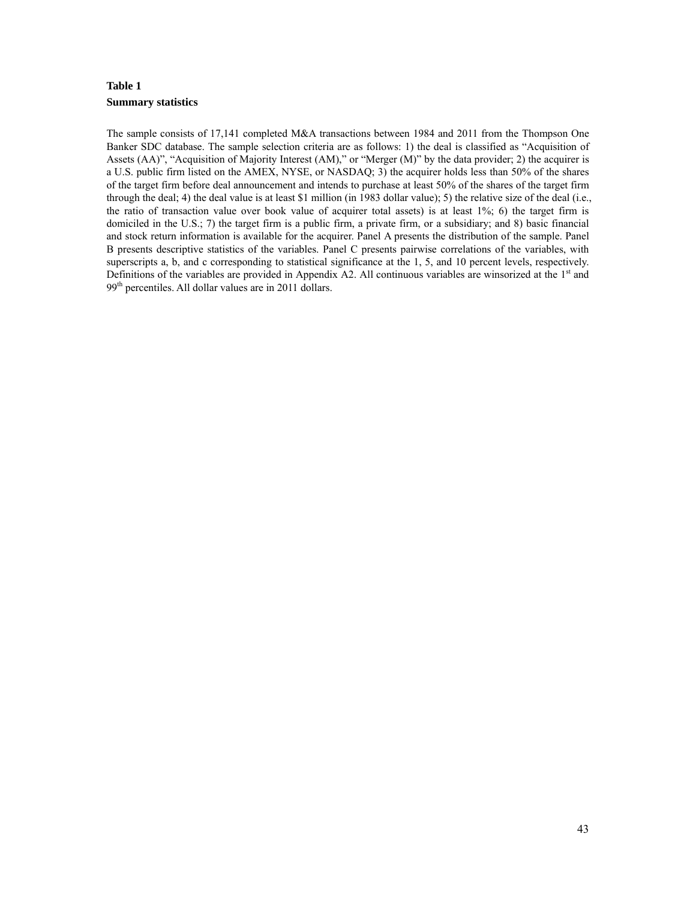# **Table 1 Summary statistics**

The sample consists of 17,141 completed M&A transactions between 1984 and 2011 from the Thompson One Banker SDC database. The sample selection criteria are as follows: 1) the deal is classified as "Acquisition of Assets (AA)", "Acquisition of Majority Interest (AM)," or "Merger (M)" by the data provider; 2) the acquirer is a U.S. public firm listed on the AMEX, NYSE, or NASDAQ; 3) the acquirer holds less than 50% of the shares of the target firm before deal announcement and intends to purchase at least 50% of the shares of the target firm through the deal; 4) the deal value is at least \$1 million (in 1983 dollar value); 5) the relative size of the deal (i.e., the ratio of transaction value over book value of acquirer total assets) is at least 1%; 6) the target firm is domiciled in the U.S.; 7) the target firm is a public firm, a private firm, or a subsidiary; and 8) basic financial and stock return information is available for the acquirer. Panel A presents the distribution of the sample. Panel B presents descriptive statistics of the variables. Panel C presents pairwise correlations of the variables, with superscripts a, b, and c corresponding to statistical significance at the 1, 5, and 10 percent levels, respectively. Definitions of the variables are provided in Appendix A2. All continuous variables are winsorized at the  $1<sup>st</sup>$  and 99<sup>th</sup> percentiles. All dollar values are in 2011 dollars.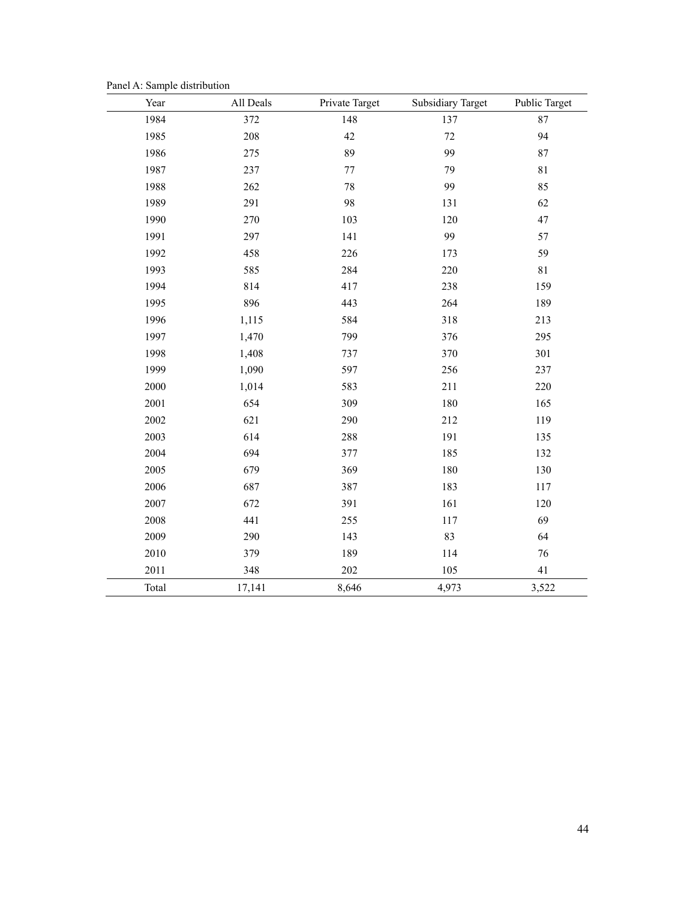Panel A: Sample distribution

| Year  | All Deals | Private Target | <b>Subsidiary Target</b> | Public Target |
|-------|-----------|----------------|--------------------------|---------------|
| 1984  | 372       | 148            | 137                      | 87            |
| 1985  | 208       | $42\,$         | $72\,$                   | 94            |
| 1986  | 275       | 89             | 99                       | 87            |
| 1987  | 237       | $77\,$         | 79                       | $8\sqrt{1}$   |
| 1988  | 262       | 78             | 99                       | 85            |
| 1989  | 291       | 98             | 131                      | 62            |
| 1990  | 270       | 103            | 120                      | $47\,$        |
| 1991  | 297       | 141            | 99                       | 57            |
| 1992  | 458       | 226            | 173                      | 59            |
| 1993  | 585       | 284            | 220                      | $8\sqrt{1}$   |
| 1994  | 814       | 417            | 238                      | 159           |
| 1995  | 896       | 443            | 264                      | 189           |
| 1996  | 1,115     | 584            | 318                      | 213           |
| 1997  | 1,470     | 799            | 376                      | 295           |
| 1998  | 1,408     | 737            | 370                      | 301           |
| 1999  | 1,090     | 597            | 256                      | 237           |
| 2000  | 1,014     | 583            | 211                      | 220           |
| 2001  | 654       | 309            | 180                      | 165           |
| 2002  | 621       | 290            | 212                      | 119           |
| 2003  | 614       | 288            | 191                      | 135           |
| 2004  | 694       | 377            | 185                      | 132           |
| 2005  | 679       | 369            | 180                      | 130           |
| 2006  | 687       | 387            | 183                      | 117           |
| 2007  | 672       | 391            | 161                      | 120           |
| 2008  | 441       | 255            | 117                      | 69            |
| 2009  | 290       | 143            | 83                       | 64            |
| 2010  | 379       | 189            | 114                      | 76            |
| 2011  | 348       | 202            | 105                      | 41            |
| Total | 17,141    | 8,646          | 4,973                    | 3,522         |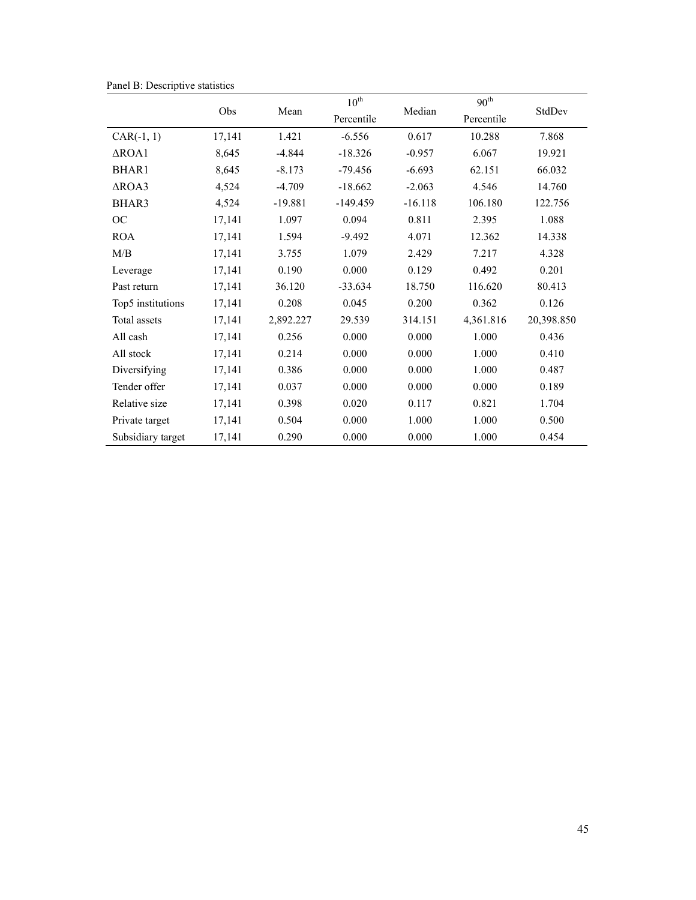|                   |        |           | $10^{\text{th}}$ |           | 90 <sup>th</sup> |            |  |
|-------------------|--------|-----------|------------------|-----------|------------------|------------|--|
|                   | Obs    | Mean      | Percentile       | Median    | Percentile       | StdDev     |  |
| $CAR(-1, 1)$      | 17,141 | 1.421     | $-6.556$         | 0.617     | 10.288           | 7.868      |  |
| $\triangle$ ROA1  | 8,645  | $-4.844$  | $-18.326$        | $-0.957$  | 6.067            | 19.921     |  |
| BHAR1             | 8,645  | $-8.173$  | $-79.456$        | $-6.693$  | 62.151           | 66.032     |  |
| $\triangle$ ROA3  | 4,524  | $-4.709$  | $-18.662$        | $-2.063$  | 4.546            | 14.760     |  |
| BHAR3             | 4,524  | $-19.881$ | $-149.459$       | $-16.118$ | 106.180          | 122.756    |  |
| <b>OC</b>         | 17,141 | 1.097     | 0.094            | 0.811     | 2.395            | 1.088      |  |
| <b>ROA</b>        | 17,141 | 1.594     | $-9.492$         | 4.071     | 12.362           | 14.338     |  |
| M/B               | 17,141 | 3.755     | 1.079            | 2.429     | 7.217            | 4.328      |  |
| Leverage          | 17,141 | 0.190     | 0.000            | 0.129     | 0.492            | 0.201      |  |
| Past return       | 17,141 | 36.120    | $-33.634$        | 18.750    | 116.620          | 80.413     |  |
| Top5 institutions | 17,141 | 0.208     | 0.045            | 0.200     | 0.362            | 0.126      |  |
| Total assets      | 17,141 | 2,892.227 | 29.539           | 314.151   | 4,361.816        | 20,398.850 |  |
| All cash          | 17,141 | 0.256     | 0.000            | 0.000     | 1.000            | 0.436      |  |
| All stock         | 17,141 | 0.214     | 0.000            | 0.000     | 1.000            | 0.410      |  |
| Diversifying      | 17,141 | 0.386     | 0.000            | 0.000     | 1.000            | 0.487      |  |
| Tender offer      | 17,141 | 0.037     | 0.000            | 0.000     | 0.000            | 0.189      |  |
| Relative size     | 17,141 | 0.398     | 0.020            | 0.117     | 0.821            | 1.704      |  |
| Private target    | 17,141 | 0.504     | 0.000            | 1.000     | 1.000            | 0.500      |  |
| Subsidiary target | 17,141 | 0.290     | 0.000            | 0.000     | 1.000            | 0.454      |  |

Panel B: Descriptive statistics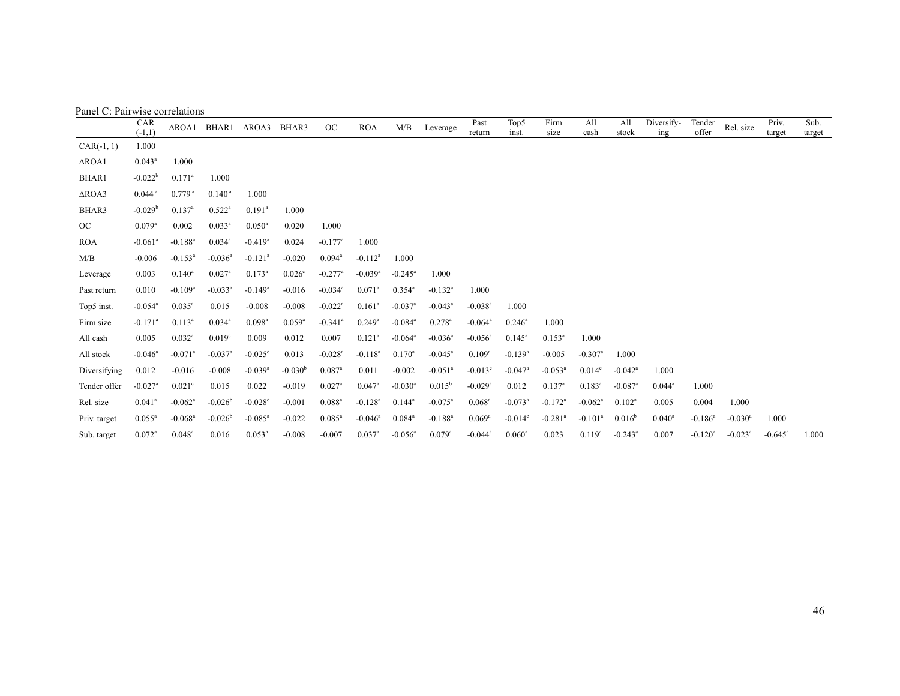|                  | CAR<br>$(-1,1)$       | $\triangle$ ROA1      | BHAR1                 | $\triangle$ ROA3      | BHAR3       | OC                    | <b>ROA</b>            | M/B                   | Leverage              | Past<br>return        | Top5<br>inst.         | Firm<br>size          | All<br>cash           | All<br>stock          | Diversify-<br>ing | Tender<br>offer       | Rel. size             | Priv.<br>target  | Sub.<br>target |
|------------------|-----------------------|-----------------------|-----------------------|-----------------------|-------------|-----------------------|-----------------------|-----------------------|-----------------------|-----------------------|-----------------------|-----------------------|-----------------------|-----------------------|-------------------|-----------------------|-----------------------|------------------|----------------|
| $CAR(-1, 1)$     | 1.000                 |                       |                       |                       |             |                       |                       |                       |                       |                       |                       |                       |                       |                       |                   |                       |                       |                  |                |
| $\triangle$ ROA1 | $0.043^a$             | 1.000                 |                       |                       |             |                       |                       |                       |                       |                       |                       |                       |                       |                       |                   |                       |                       |                  |                |
| <b>BHAR1</b>     | $-0.022b$             | $0.171$ <sup>a</sup>  | 1.000                 |                       |             |                       |                       |                       |                       |                       |                       |                       |                       |                       |                   |                       |                       |                  |                |
| $\triangle$ ROA3 | $0.044$ <sup>a</sup>  | $0.779$ <sup>a</sup>  | $0.140^{\text{ a}}$   | 1.000                 |             |                       |                       |                       |                       |                       |                       |                       |                       |                       |                   |                       |                       |                  |                |
| BHAR3            | $-0.029b$             | $0.137^a$             | $0.522^a$             | $0.191^a$             | 1.000       |                       |                       |                       |                       |                       |                       |                       |                       |                       |                   |                       |                       |                  |                |
| OC               | $0.079$ <sup>a</sup>  | 0.002                 | $0.033^{a}$           | $0.050^{\rm a}$       | 0.020       | 1.000                 |                       |                       |                       |                       |                       |                       |                       |                       |                   |                       |                       |                  |                |
| <b>ROA</b>       | $-0.061$ <sup>a</sup> | $-0.188$ <sup>a</sup> | $0.034^{a}$           | $-0.419$ <sup>a</sup> | 0.024       | $-0.177$ <sup>a</sup> | 1.000                 |                       |                       |                       |                       |                       |                       |                       |                   |                       |                       |                  |                |
| M/B              | $-0.006$              | $-0.153^a$            | $-0.036$ <sup>a</sup> | $-0.121$ <sup>a</sup> | $-0.020$    | $0.094^{\text{a}}$    | $-0.112^a$            | 1.000                 |                       |                       |                       |                       |                       |                       |                   |                       |                       |                  |                |
| Leverage         | 0.003                 | $0.140^a$             | $0.027$ <sup>a</sup>  | $0.173^{a}$           | 0.026c      | $-0.277$ <sup>a</sup> | $-0.039$ <sup>a</sup> | $-0.245^{\circ}$      | 1.000                 |                       |                       |                       |                       |                       |                   |                       |                       |                  |                |
| Past return      | 0.010                 | $-0.109$ <sup>a</sup> | $-0.033$ <sup>a</sup> | $-0.149$ <sup>a</sup> | $-0.016$    | $-0.034$ <sup>a</sup> | $0.071$ <sup>a</sup>  | $0.354^{\circ}$       | $-0.132$ <sup>a</sup> | 1.000                 |                       |                       |                       |                       |                   |                       |                       |                  |                |
| Top5 inst.       | $-0.054$ <sup>a</sup> | $0.035^a$             | 0.015                 | $-0.008$              | $-0.008$    | $-0.022$ <sup>a</sup> | $0.161^a$             | $-0.037$ <sup>a</sup> | $-0.043^a$            | $-0.038$ <sup>a</sup> | 1.000                 |                       |                       |                       |                   |                       |                       |                  |                |
| Firm size        | $-0.171$ <sup>a</sup> | $0.113^a$             | $0.034$ <sup>a</sup>  | $0.098$ <sup>a</sup>  | $0.059^{a}$ | $-0.341$ <sup>a</sup> | $0.249$ <sup>a</sup>  | $-0.084$ <sup>a</sup> | $0.278$ <sup>a</sup>  | $-0.064$ <sup>a</sup> | $0.246^a$             | 1.000                 |                       |                       |                   |                       |                       |                  |                |
| All cash         | 0.005                 | $0.032^a$             | 0.019 <sup>c</sup>    | 0.009                 | 0.012       | 0.007                 | $0.121$ <sup>a</sup>  | $-0.064$ <sup>a</sup> | $-0.036$ <sup>a</sup> | $-0.056$ <sup>a</sup> | $0.145^a$             | $0.153^a$             | 1.000                 |                       |                   |                       |                       |                  |                |
| All stock        | $-0.046^a$            | $-0.071$ <sup>a</sup> | $-0.037$ <sup>a</sup> | $-0.025^{\circ}$      | 0.013       | $-0.028$ <sup>a</sup> | $-0.118^{a}$          | $0.170^a$             | $-0.045^a$            | $0.109^{a}$           | $-0.139$ <sup>a</sup> | $-0.005$              | $-0.307$ <sup>a</sup> | 1.000                 |                   |                       |                       |                  |                |
| Diversifying     | 0.012                 | $-0.016$              | $-0.008$              | $-0.039$ <sup>a</sup> | $-0.030b$   | $0.087$ <sup>a</sup>  | 0.011                 | $-0.002$              | $-0.051$ <sup>a</sup> | $-0.013^{\circ}$      | $-0.047$ <sup>a</sup> | $-0.053$ <sup>a</sup> | 0.014 <sup>c</sup>    | $-0.042$ <sup>a</sup> | 1.000             |                       |                       |                  |                |
| Tender offer     | $-0.027$ <sup>a</sup> | $0.021$ <sup>c</sup>  | 0.015                 | 0.022                 | $-0.019$    | $0.027$ <sup>a</sup>  | $0.047^{\circ}$       | $-0.030$ <sup>a</sup> | $0.015^{b}$           | $-0.029$ <sup>a</sup> | 0.012                 | $0.137$ <sup>a</sup>  | $0.183^{a}$           | $-0.087$ <sup>a</sup> | $0.044^a$         | 1.000                 |                       |                  |                |
| Rel. size        | $0.041^{\rm a}$       | $-0.062$ <sup>a</sup> | $-0.026b$             | $-0.028c$             | $-0.001$    | $0.088^{a}$           | $-0.128$ <sup>a</sup> | $0.144^a$             | $-0.075$ <sup>a</sup> | $0.068$ <sup>a</sup>  | $-0.073$ <sup>a</sup> | $-0.172$ <sup>a</sup> | $-0.062$ <sup>a</sup> | $0.102^a$             | 0.005             | 0.004                 | 1.000                 |                  |                |
| Priv. target     | $0.055^a$             | $-0.068$ <sup>a</sup> | $-0.026b$             | $-0.085$ <sup>a</sup> | $-0.022$    | $0.085^a$             | $-0.046^a$            | $0.084^{\circ}$       | $-0.188$ <sup>a</sup> | $0.069$ <sup>a</sup>  | $-0.014^{\circ}$      | $-0.281$ <sup>a</sup> | $-0.101$ <sup>a</sup> | $0.016^{b}$           | $0.040^a$         | $-0.186^a$            | $-0.030$ <sup>a</sup> | 1.000            |                |
| Sub. target      | $0.072^a$             | $0.048^a$             | 0.016                 | $0.053^a$             | $-0.008$    | $-0.007$              | $0.037$ <sup>a</sup>  | $-0.056^{\circ}$      | $0.079$ <sup>a</sup>  | $-0.044$ <sup>a</sup> | $0.060^a$             | 0.023                 | $0.119^{a}$           | $-0.243$ <sup>a</sup> | 0.007             | $-0.120$ <sup>a</sup> | $-0.023$ <sup>a</sup> | $-0.645^{\circ}$ | 1.000          |

# Panel C: Pairwise correlations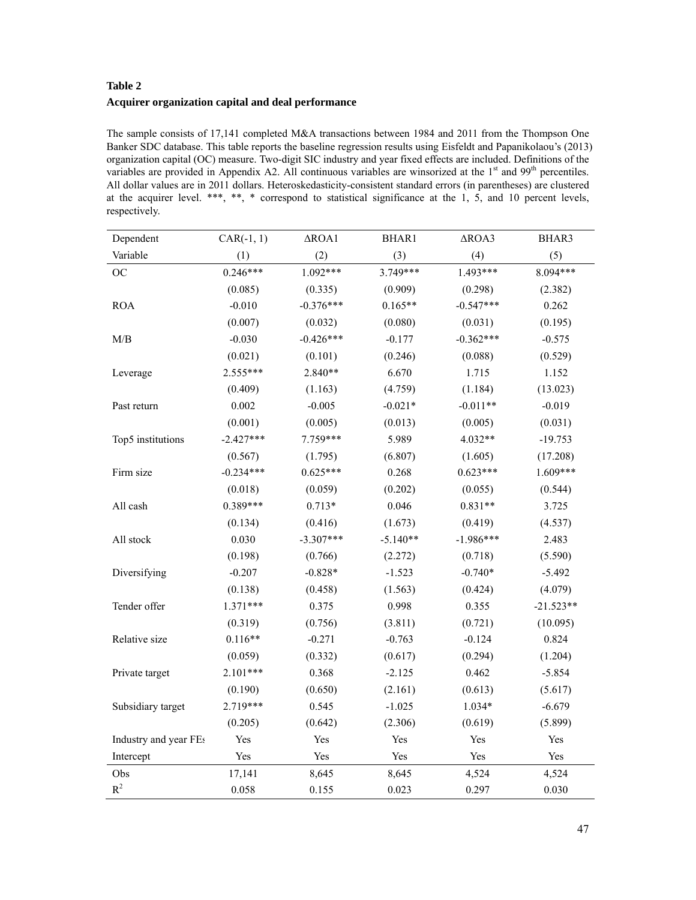# **Table 2 Acquirer organization capital and deal performance**

The sample consists of 17,141 completed M&A transactions between 1984 and 2011 from the Thompson One Banker SDC database. This table reports the baseline regression results using Eisfeldt and Papanikolaou's (2013) organization capital (OC) measure. Two-digit SIC industry and year fixed effects are included. Definitions of the variables are provided in Appendix A2. All continuous variables are winsorized at the 1<sup>st</sup> and 99<sup>th</sup> percentiles. All dollar values are in 2011 dollars. Heteroskedasticity-consistent standard errors (in parentheses) are clustered at the acquirer level. \*\*\*, \*\*, \* correspond to statistical significance at the 1, 5, and 10 percent levels, respectively.

| Dependent             | $CAR(-1, 1)$ | $\triangle$ ROA1 | <b>BHAR1</b> | $\triangle$ ROA3 | BHAR3       |
|-----------------------|--------------|------------------|--------------|------------------|-------------|
| Variable              | (1)          | (2)              | (3)          | (4)              | (5)         |
| <b>OC</b>             | $0.246***$   | $1.092***$       | 3.749***     | 1.493***         | 8.094***    |
|                       | (0.085)      | (0.335)          | (0.909)      | (0.298)          | (2.382)     |
| <b>ROA</b>            | $-0.010$     | $-0.376***$      | $0.165**$    | $-0.547***$      | 0.262       |
|                       | (0.007)      | (0.032)          | (0.080)      | (0.031)          | (0.195)     |
| M/B                   | $-0.030$     | $-0.426***$      | $-0.177$     | $-0.362***$      | $-0.575$    |
|                       | (0.021)      | (0.101)          | (0.246)      | (0.088)          | (0.529)     |
| Leverage              | 2.555***     | $2.840**$        | 6.670        | 1.715            | 1.152       |
|                       | (0.409)      | (1.163)          | (4.759)      | (1.184)          | (13.023)    |
| Past return           | 0.002        | $-0.005$         | $-0.021*$    | $-0.011**$       | $-0.019$    |
|                       | (0.001)      | (0.005)          | (0.013)      | (0.005)          | (0.031)     |
| Top5 institutions     | $-2.427***$  | 7.759***         | 5.989        | 4.032**          | $-19.753$   |
|                       | (0.567)      | (1.795)          | (6.807)      | (1.605)          | (17.208)    |
| Firm size             | $-0.234***$  | $0.625***$       | 0.268        | $0.623***$       | 1.609***    |
|                       | (0.018)      | (0.059)          | (0.202)      | (0.055)          | (0.544)     |
| All cash              | $0.389***$   | $0.713*$         | 0.046        | $0.831**$        | 3.725       |
|                       | (0.134)      | (0.416)          | (1.673)      | (0.419)          | (4.537)     |
| All stock             | 0.030        | $-3.307***$      | $-5.140**$   | $-1.986***$      | 2.483       |
|                       | (0.198)      | (0.766)          | (2.272)      | (0.718)          | (5.590)     |
| Diversifying          | $-0.207$     | $-0.828*$        | $-1.523$     | $-0.740*$        | $-5.492$    |
|                       | (0.138)      | (0.458)          | (1.563)      | (0.424)          | (4.079)     |
| Tender offer          | $1.371***$   | 0.375            | 0.998        | 0.355            | $-21.523**$ |
|                       | (0.319)      | (0.756)          | (3.811)      | (0.721)          | (10.095)    |
| Relative size         | $0.116**$    | $-0.271$         | $-0.763$     | $-0.124$         | 0.824       |
|                       | (0.059)      | (0.332)          | (0.617)      | (0.294)          | (1.204)     |
| Private target        | $2.101***$   | 0.368            | $-2.125$     | 0.462            | $-5.854$    |
|                       | (0.190)      | (0.650)          | (2.161)      | (0.613)          | (5.617)     |
| Subsidiary target     | 2.719***     | 0.545            | $-1.025$     | $1.034*$         | $-6.679$    |
|                       | (0.205)      | (0.642)          | (2.306)      | (0.619)          | (5.899)     |
| Industry and year FEs | Yes          | Yes              | Yes          | Yes              | Yes         |
| Intercept             | Yes          | Yes              | Yes          | Yes              | Yes         |
| Obs                   | 17,141       | 8,645            | 8,645        | 4,524            | 4,524       |
| $R^2$                 | 0.058        | 0.155            | 0.023        | 0.297            | 0.030       |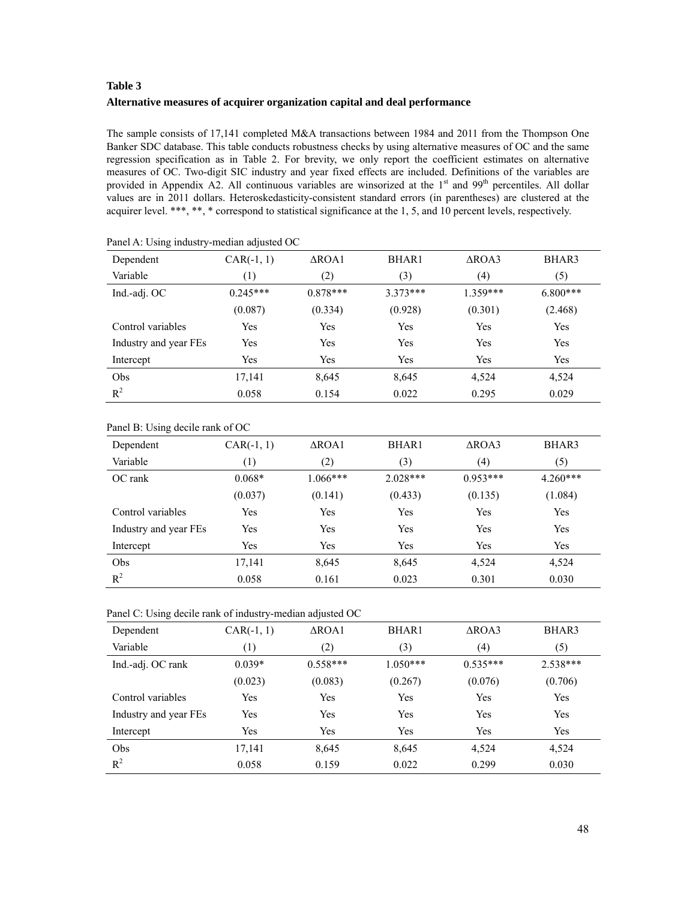# **Table 3 Alternative measures of acquirer organization capital and deal performance**

The sample consists of 17,141 completed M&A transactions between 1984 and 2011 from the Thompson One Banker SDC database. This table conducts robustness checks by using alternative measures of OC and the same regression specification as in Table 2. For brevity, we only report the coefficient estimates on alternative measures of OC. Two-digit SIC industry and year fixed effects are included. Definitions of the variables are provided in Appendix A2. All continuous variables are winsorized at the 1<sup>st</sup> and 99<sup>th</sup> percentiles. All dollar values are in 2011 dollars. Heteroskedasticity-consistent standard errors (in parentheses) are clustered at the acquirer level. \*\*\*, \*\*, \* correspond to statistical significance at the 1, 5, and 10 percent levels, respectively.

| Dependent             | $CAR(-1, 1)$ | $\triangle$ ROA1 | BHAR1      | $\triangle$ ROA3 | BHAR3      |
|-----------------------|--------------|------------------|------------|------------------|------------|
| Variable              | (1)          | (2)              | (3)        | (4)              | (5)        |
| Ind.-adj. OC          | $0.245***$   | $0.878***$       | $3.373***$ | $1.359***$       | $6.800***$ |
|                       | (0.087)      | (0.334)          | (0.928)    | (0.301)          | (2.468)    |
| Control variables     | Yes          | Yes              | Yes        | Yes              | Yes        |
| Industry and year FEs | Yes          | Yes              | Yes        | Yes              | Yes        |
| Intercept             | Yes          | Yes              | Yes        | Yes              | Yes        |
| Obs                   | 17,141       | 8,645            | 8,645      | 4,524            | 4,524      |
| $R^2$                 | 0.058        | 0.154            | 0.022      | 0.295            | 0.029      |

Panel A: Using industry-median adjusted OC

| Panel B: Using decile rank of OC |  |  |  |  |
|----------------------------------|--|--|--|--|
|----------------------------------|--|--|--|--|

| Dependent             | $CAR(-1, 1)$ | $\triangle$ ROA1 | <b>BHAR1</b> | $\triangle$ ROA3 | BHAR3      |
|-----------------------|--------------|------------------|--------------|------------------|------------|
| Variable              | (1)          | (2)              | (3)          | (4)              | (5)        |
| OC rank               | $0.068*$     | $1.066***$       | $2.028***$   | $0.953***$       | $4.260***$ |
|                       | (0.037)      | (0.141)          | (0.433)      | (0.135)          | (1.084)    |
| Control variables     | Yes          | Yes              | Yes          | Yes              | Yes        |
| Industry and year FEs | Yes          | Yes              | Yes          | Yes              | Yes        |
| Intercept             | Yes          | Yes              | Yes          | Yes              | Yes        |
| Obs                   | 17,141       | 8,645            | 8,645        | 4.524            | 4,524      |
| $R^2$                 | 0.058        | 0.161            | 0.023        | 0.301            | 0.030      |

Panel C: Using decile rank of industry-median adjusted OC

| Dependent             | $CAR(-1, 1)$     | $\triangle$ ROA1 | BHAR1      | $\triangle$ ROA3 | BHAR3      |
|-----------------------|------------------|------------------|------------|------------------|------------|
| Variable              | $\left(1\right)$ | (2)              | (3)        | (4)              | (5)        |
| Ind.-adj. OC rank     | $0.039*$         | $0.558***$       | $1.050***$ | $0.535***$       | $2.538***$ |
|                       | (0.023)          | (0.083)          | (0.267)    | (0.076)          | (0.706)    |
| Control variables     | Yes              | Yes              | Yes        | Yes              | Yes        |
| Industry and year FEs | Yes              | Yes              | Yes        | Yes              | Yes        |
| Intercept             | Yes              | Yes              | Yes        | Yes              | Yes        |
| Obs                   | 17,141           | 8,645            | 8,645      | 4,524            | 4,524      |
| $R^2$                 | 0.058            | 0.159            | 0.022      | 0.299            | 0.030      |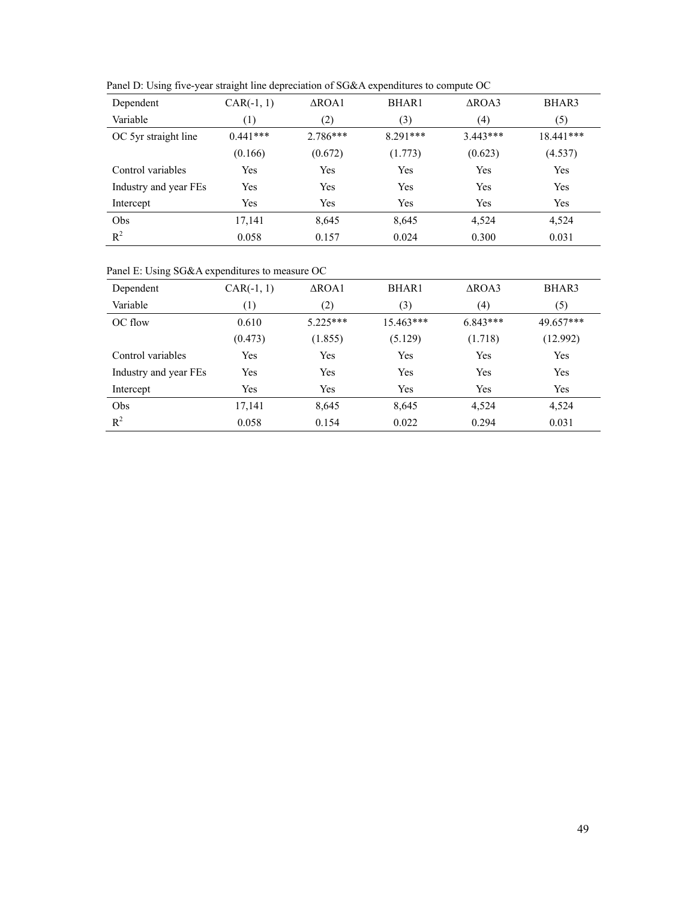| Dependent             | $CAR(-1, 1)$     | $\triangle$ ROA1 | BHAR1      | $\triangle$ ROA3 | BHAR3       |
|-----------------------|------------------|------------------|------------|------------------|-------------|
| Variable              | $\left(1\right)$ | (2)              | (3)        | (4)              | (5)         |
| OC 5yr straight line  | $0.441***$       | $2.786***$       | $8.291***$ | $3.443***$       | $18.441***$ |
|                       | (0.166)          | (0.672)          | (1.773)    | (0.623)          | (4.537)     |
| Control variables     | Yes              | Yes              | Yes        | Yes              | Yes         |
| Industry and year FEs | Yes              | Yes              | Yes        | Yes              | Yes         |
| Intercept             | Yes              | Yes              | Yes        | Yes              | Yes         |
| Obs                   | 17,141           | 8,645            | 8,645      | 4,524            | 4,524       |
| $R^2$                 | 0.058            | 0.157            | 0.024      | 0.300            | 0.031       |

Panel D: Using five-year straight line depreciation of SG&A expenditures to compute OC

Panel E: Using SG&A expenditures to measure OC

| Dependent             | $CAR(-1, 1)$ | $\triangle$ ROA1 | BHAR1     | $\triangle$ ROA3 | BHAR3     |
|-----------------------|--------------|------------------|-----------|------------------|-----------|
| Variable              | (1)          | (2)              | (3)       | (4)              | (5)       |
| OC flow               | 0.610        | $5.225***$       | 15.463*** | $6.843***$       | 49.657*** |
|                       | (0.473)      | (1.855)          | (5.129)   | (1.718)          | (12.992)  |
| Control variables     | Yes          | Yes              | Yes       | Yes              | Yes       |
| Industry and year FEs | Yes          | Yes              | Yes       | Yes              | Yes       |
| Intercept             | Yes          | Yes              | Yes       | Yes              | Yes       |
| Obs                   | 17,141       | 8,645            | 8,645     | 4.524            | 4,524     |
| $R^2$                 | 0.058        | 0.154            | 0.022     | 0.294            | 0.031     |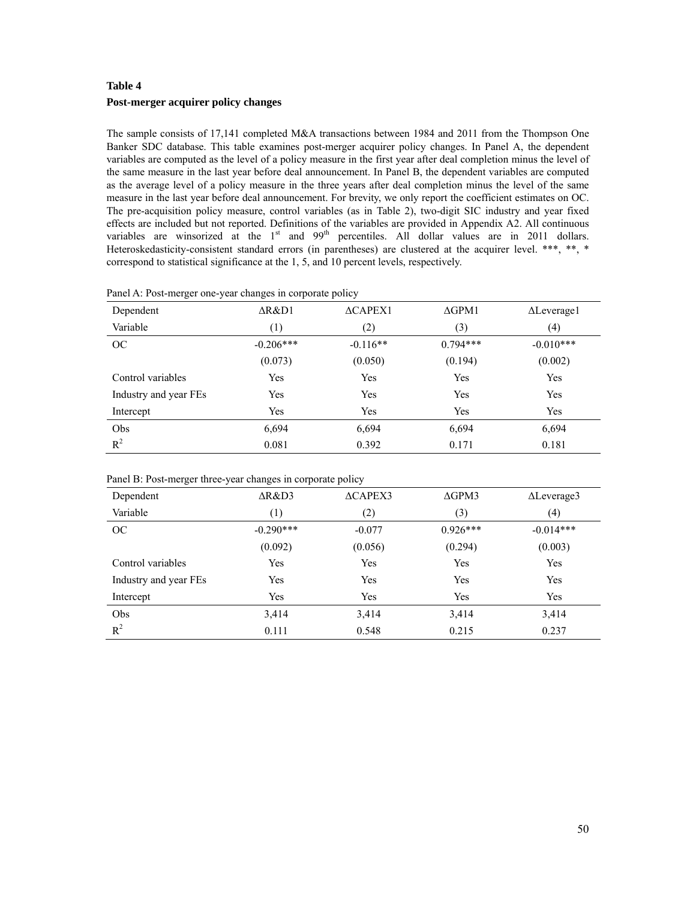# **Table 4 Post-merger acquirer policy changes**

The sample consists of 17,141 completed M&A transactions between 1984 and 2011 from the Thompson One Banker SDC database. This table examines post-merger acquirer policy changes. In Panel A, the dependent variables are computed as the level of a policy measure in the first year after deal completion minus the level of the same measure in the last year before deal announcement. In Panel B, the dependent variables are computed as the average level of a policy measure in the three years after deal completion minus the level of the same measure in the last year before deal announcement. For brevity, we only report the coefficient estimates on OC. The pre-acquisition policy measure, control variables (as in Table 2), two-digit SIC industry and year fixed effects are included but not reported. Definitions of the variables are provided in Appendix A2. All continuous variables are winsorized at the  $1<sup>st</sup>$  and  $99<sup>th</sup>$  percentiles. All dollar values are in 2011 dollars. Heteroskedasticity-consistent standard errors (in parentheses) are clustered at the acquirer level. \*\*\*, \*\*, \* correspond to statistical significance at the 1, 5, and 10 percent levels, respectively.

| Dependent             | $\Delta$ R&D1 | $\triangle$ CAPEX1 | $\Delta$ GPM1 | $\Delta$ Leverage1 |
|-----------------------|---------------|--------------------|---------------|--------------------|
| Variable              | (1)           | (2)                | (3)           | (4)                |
| OC                    | $-0.206***$   | $-0.116**$         | $0.794***$    | $-0.010***$        |
|                       | (0.073)       | (0.050)            | (0.194)       | (0.002)            |
| Control variables     | Yes           | Yes                | Yes           | Yes                |
| Industry and year FEs | Yes           | Yes                | Yes           | Yes                |
| Intercept             | Yes           | Yes                | <b>Yes</b>    | Yes                |
| Obs                   | 6,694         | 6,694              | 6,694         | 6,694              |
| $R^2$                 | 0.081         | 0.392              | 0.171         | 0.181              |

Panel A: Post-merger one-year changes in corporate policy

|  | Panel B: Post-merger three-year changes in corporate policy |  |  |  |
|--|-------------------------------------------------------------|--|--|--|
|  |                                                             |  |  |  |
|  |                                                             |  |  |  |

| $\triangle$ R&D3 | $\triangle$ CAPEX3 | $\Delta$ GPM3 | $\Delta$ Leverage3 |
|------------------|--------------------|---------------|--------------------|
| (1)              | (2)                | (3)           | (4)                |
| $-0.290***$      | $-0.077$           | $0.926***$    | $-0.014***$        |
| (0.092)          | (0.056)            | (0.294)       | (0.003)            |
| Yes              | Yes                | Yes           | Yes                |
| Yes              | Yes                | Yes           | Yes                |
| Yes              | Yes                | Yes           | Yes                |
| 3,414            | 3,414              | 3,414         | 3,414              |
| 0.111            | 0.548              | 0.215         | 0.237              |
|                  |                    |               |                    |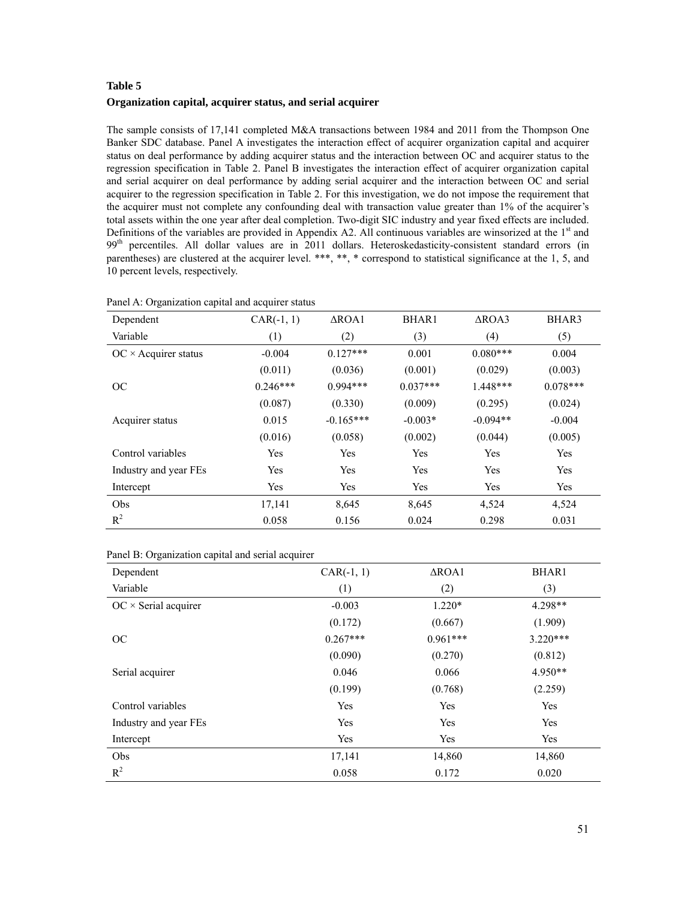# **Table 5 Organization capital, acquirer status, and serial acquirer**

The sample consists of 17,141 completed M&A transactions between 1984 and 2011 from the Thompson One Banker SDC database. Panel A investigates the interaction effect of acquirer organization capital and acquirer status on deal performance by adding acquirer status and the interaction between OC and acquirer status to the regression specification in Table 2. Panel B investigates the interaction effect of acquirer organization capital and serial acquirer on deal performance by adding serial acquirer and the interaction between OC and serial acquirer to the regression specification in Table 2. For this investigation, we do not impose the requirement that the acquirer must not complete any confounding deal with transaction value greater than 1% of the acquirer's total assets within the one year after deal completion. Two-digit SIC industry and year fixed effects are included. Definitions of the variables are provided in Appendix A2. All continuous variables are winsorized at the  $1<sup>st</sup>$  and 99<sup>th</sup> percentiles. All dollar values are in 2011 dollars. Heteroskedasticity-consistent standard errors (in parentheses) are clustered at the acquirer level. \*\*\*, \*\*, \* correspond to statistical significance at the 1, 5, and 10 percent levels, respectively.

| Dependent                  | $CAR(-1, 1)$ | $\triangle$ ROA1 | <b>BHAR1</b> | $\triangle$ ROA3 | BHAR3      |
|----------------------------|--------------|------------------|--------------|------------------|------------|
| Variable                   | (1)          | (2)              | (3)          | (4)              | (5)        |
| $OC \times Acquire$ status | $-0.004$     | $0.127***$       | 0.001        | $0.080***$       | 0.004      |
|                            | (0.011)      | (0.036)          | (0.001)      | (0.029)          | (0.003)    |
| OC                         | $0.246***$   | $0.994***$       | $0.037***$   | $1.448***$       | $0.078***$ |
|                            | (0.087)      | (0.330)          | (0.009)      | (0.295)          | (0.024)    |
| Acquirer status            | 0.015        | $-0.165***$      | $-0.003*$    | $-0.094**$       | $-0.004$   |
|                            | (0.016)      | (0.058)          | (0.002)      | (0.044)          | (0.005)    |
| Control variables          | Yes          | Yes              | Yes          | Yes              | Yes        |
| Industry and year FEs      | Yes          | Yes              | Yes          | Yes              | Yes        |
| Intercept                  | Yes          | Yes              | Yes          | Yes              | Yes        |
| Obs                        | 17,141       | 8,645            | 8,645        | 4,524            | 4,524      |
| $R^2$                      | 0.058        | 0.156            | 0.024        | 0.298            | 0.031      |

Panel A: Organization capital and acquirer status

| Panel B: Organization capital and serial acquirer |  |  |
|---------------------------------------------------|--|--|
|                                                   |  |  |

| Dependent                   | $CAR(-1, 1)$ | $\triangle$ ROA1 | BHAR1      |
|-----------------------------|--------------|------------------|------------|
| Variable                    | (1)          | (2)              | (3)        |
| $OC \times$ Serial acquirer | $-0.003$     | $1.220*$         | $4.298**$  |
|                             | (0.172)      | (0.667)          | (1.909)    |
| OC                          | $0.267***$   | $0.961***$       | $3.220***$ |
|                             | (0.090)      | (0.270)          | (0.812)    |
| Serial acquirer             | 0.046        | 0.066            | 4.950**    |
|                             | (0.199)      | (0.768)          | (2.259)    |
| Control variables           | Yes          | Yes              | Yes        |
| Industry and year FEs       | Yes          | Yes              | Yes        |
| Intercept                   | Yes          | Yes              | Yes        |
| Obs                         | 17,141       | 14,860           | 14,860     |
| $R^2$                       | 0.058        | 0.172            | 0.020      |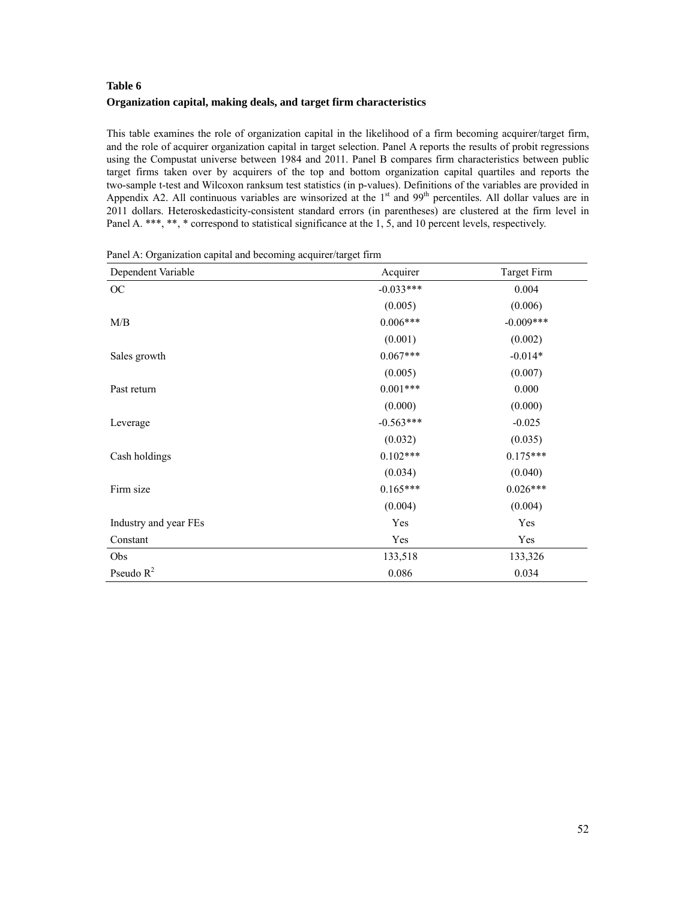# **Table 6 Organization capital, making deals, and target firm characteristics**

This table examines the role of organization capital in the likelihood of a firm becoming acquirer/target firm, and the role of acquirer organization capital in target selection. Panel A reports the results of probit regressions using the Compustat universe between 1984 and 2011. Panel B compares firm characteristics between public target firms taken over by acquirers of the top and bottom organization capital quartiles and reports the two-sample t-test and Wilcoxon ranksum test statistics (in p-values). Definitions of the variables are provided in Appendix A2. All continuous variables are winsorized at the 1<sup>st</sup> and 99<sup>th</sup> percentiles. All dollar values are in 2011 dollars. Heteroskedasticity-consistent standard errors (in parentheses) are clustered at the firm level in Panel A. \*\*\*, \*\*, \* correspond to statistical significance at the 1, 5, and 10 percent levels, respectively.

| Dependent Variable    | Acquirer    | Target Firm |
|-----------------------|-------------|-------------|
| OC                    | $-0.033***$ | 0.004       |
|                       | (0.005)     | (0.006)     |
| M/B                   | $0.006***$  | $-0.009***$ |
|                       | (0.001)     | (0.002)     |
| Sales growth          | $0.067***$  | $-0.014*$   |
|                       | (0.005)     | (0.007)     |
| Past return           | $0.001***$  | 0.000       |
|                       | (0.000)     | (0.000)     |
| Leverage              | $-0.563***$ | $-0.025$    |
|                       | (0.032)     | (0.035)     |
| Cash holdings         | $0.102***$  | $0.175***$  |
|                       | (0.034)     | (0.040)     |
| Firm size             | $0.165***$  | $0.026***$  |
|                       | (0.004)     | (0.004)     |
| Industry and year FEs | Yes         | Yes         |
| Constant              | Yes         | Yes         |
| Obs                   | 133,518     | 133,326     |
| Pseudo $R^2$          | 0.086       | 0.034       |

Panel A: Organization capital and becoming acquirer/target firm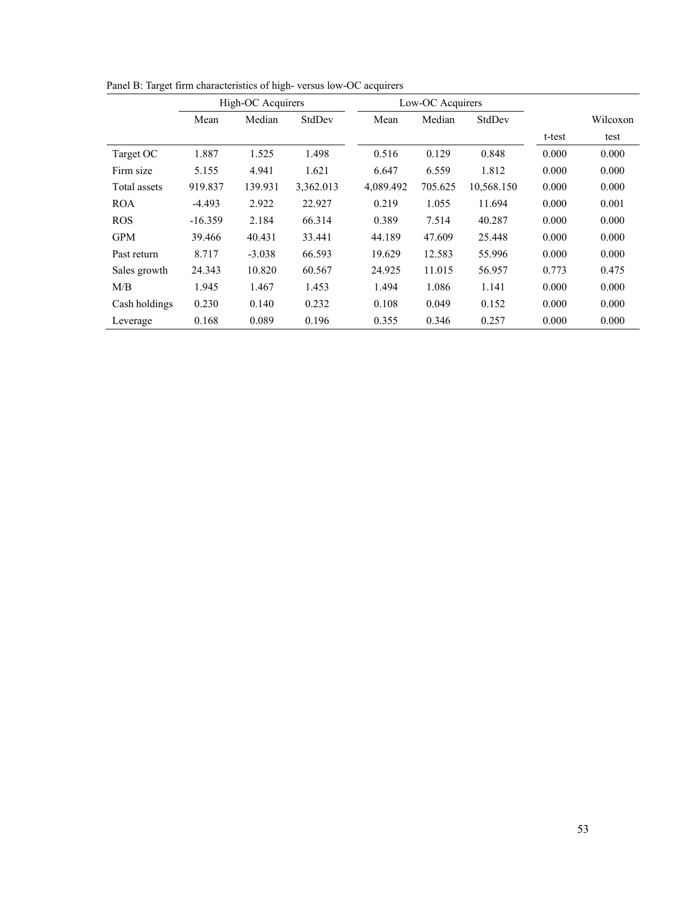|               | High-OC Acquirers |          |           | Low-OC Acquirers |         |            |        |          |
|---------------|-------------------|----------|-----------|------------------|---------|------------|--------|----------|
|               | Mean              | Median   | StdDev    | Mean             | Median  | StdDev     |        | Wilcoxon |
|               |                   |          |           |                  |         |            | t-test | test     |
| Target OC     | 1.887             | 1.525    | 1.498     | 0.516            | 0.129   | 0.848      | 0.000  | 0.000    |
| Firm size     | 5.155             | 4.941    | 1.621     | 6.647            | 6.559   | 1.812      | 0.000  | 0.000    |
| Total assets  | 919.837           | 139.931  | 3,362.013 | 4,089.492        | 705.625 | 10,568.150 | 0.000  | 0.000    |
| <b>ROA</b>    | $-4.493$          | 2.922    | 22.927    | 0.219            | 1.055   | 11.694     | 0.000  | 0.001    |
| <b>ROS</b>    | $-16.359$         | 2.184    | 66.314    | 0.389            | 7.514   | 40.287     | 0.000  | 0.000    |
| <b>GPM</b>    | 39.466            | 40.431   | 33.441    | 44.189           | 47.609  | 25.448     | 0.000  | 0.000    |
| Past return   | 8.717             | $-3.038$ | 66.593    | 19.629           | 12.583  | 55.996     | 0.000  | 0.000    |
| Sales growth  | 24.343            | 10.820   | 60.567    | 24.925           | 11.015  | 56.957     | 0.773  | 0.475    |
| M/B           | 1.945             | 1.467    | 1.453     | 1.494            | 1.086   | 1.141      | 0.000  | 0.000    |
| Cash holdings | 0.230             | 0.140    | 0.232     | 0.108            | 0.049   | 0.152      | 0.000  | 0.000    |
| Leverage      | 0.168             | 0.089    | 0.196     | 0.355            | 0.346   | 0.257      | 0.000  | 0.000    |

Panel B: Target firm characteristics of high- versus low-OC acquirers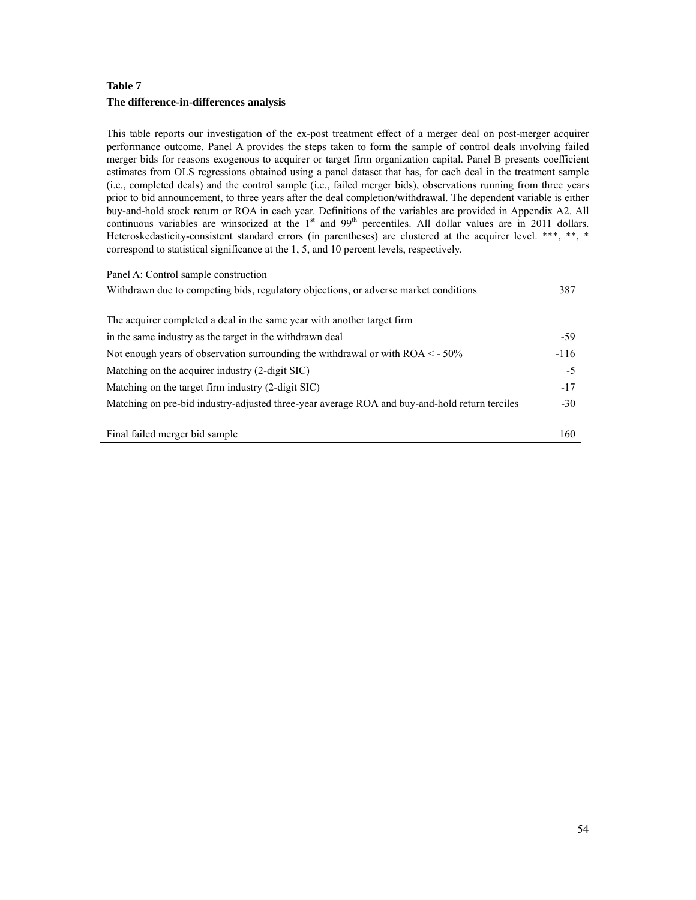# **Table 7 The difference-in-differences analysis**

L,

This table reports our investigation of the ex-post treatment effect of a merger deal on post-merger acquirer performance outcome. Panel A provides the steps taken to form the sample of control deals involving failed merger bids for reasons exogenous to acquirer or target firm organization capital. Panel B presents coefficient estimates from OLS regressions obtained using a panel dataset that has, for each deal in the treatment sample (i.e., completed deals) and the control sample (i.e., failed merger bids), observations running from three years prior to bid announcement, to three years after the deal completion/withdrawal. The dependent variable is either buy-and-hold stock return or ROA in each year. Definitions of the variables are provided in Appendix A2. All continuous variables are winsorized at the 1<sup>st</sup> and 99<sup>th</sup> percentiles. All dollar values are in 2011 dollars. Heteroskedasticity-consistent standard errors (in parentheses) are clustered at the acquirer level. \*\*\*, \*\*, \* correspond to statistical significance at the 1, 5, and 10 percent levels, respectively.

| Panel A: Control sample construction                                                          |        |
|-----------------------------------------------------------------------------------------------|--------|
| Withdrawn due to competing bids, regulatory objections, or adverse market conditions          | 387    |
|                                                                                               |        |
| The acquirer completed a deal in the same year with another target firm                       |        |
| in the same industry as the target in the withdrawn deal                                      | $-59$  |
| Not enough years of observation surrounding the withdrawal or with $ROA < -50\%$              | $-116$ |
| Matching on the acquirer industry (2-digit SIC)                                               | $-5$   |
| Matching on the target firm industry (2-digit SIC)                                            | $-17$  |
| Matching on pre-bid industry-adjusted three-year average ROA and buy-and-hold return terciles | $-30$  |
|                                                                                               |        |
| Final failed merger bid sample                                                                | 160    |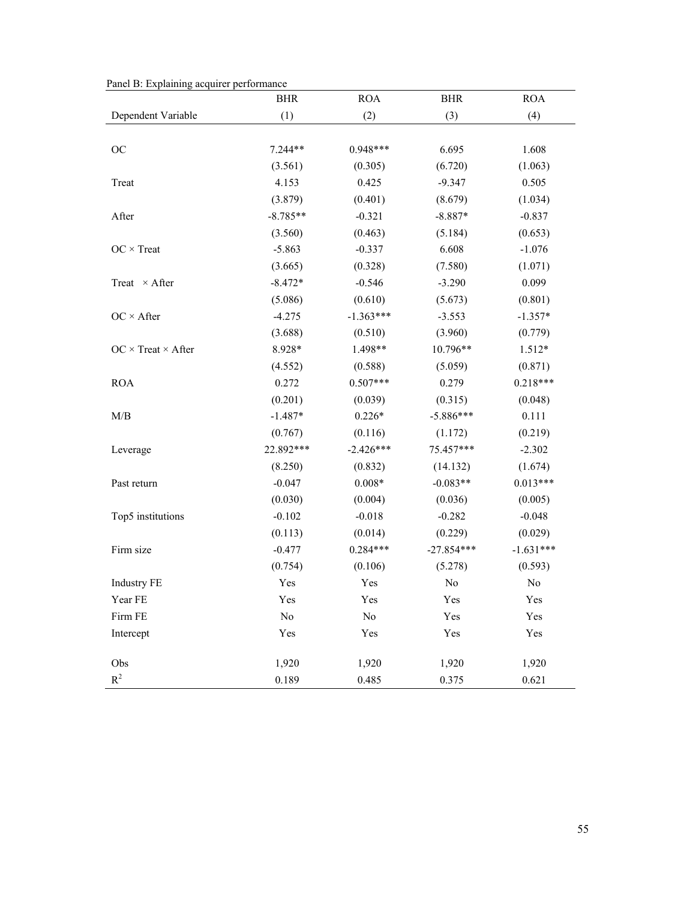|  |  |  |  | Panel B: Explaining acquirer performance |
|--|--|--|--|------------------------------------------|
|  |  |  |  |                                          |

|                                | BHR        | <b>ROA</b>  | <b>BHR</b>   | <b>ROA</b>  |
|--------------------------------|------------|-------------|--------------|-------------|
| Dependent Variable             | (1)        | (2)         | (3)          | (4)         |
|                                |            |             |              |             |
| OC                             | 7.244**    | $0.948***$  | 6.695        | 1.608       |
|                                | (3.561)    | (0.305)     | (6.720)      | (1.063)     |
| Treat                          | 4.153      | 0.425       | $-9.347$     | 0.505       |
|                                | (3.879)    | (0.401)     | (8.679)      | (1.034)     |
| After                          | $-8.785**$ | $-0.321$    | $-8.887*$    | $-0.837$    |
|                                | (3.560)    | (0.463)     | (5.184)      | (0.653)     |
| $OC \times Treat$              | $-5.863$   | $-0.337$    | 6.608        | $-1.076$    |
|                                | (3.665)    | (0.328)     | (7.580)      | (1.071)     |
| Treat $\times$ After           | $-8.472*$  | $-0.546$    | $-3.290$     | 0.099       |
|                                | (5.086)    | (0.610)     | (5.673)      | (0.801)     |
| $OC \times After$              | $-4.275$   | $-1.363***$ | $-3.553$     | $-1.357*$   |
|                                | (3.688)    | (0.510)     | (3.960)      | (0.779)     |
| $OC \times Treat \times After$ | 8.928*     | 1.498**     | 10.796**     | $1.512*$    |
|                                | (4.552)    | (0.588)     | (5.059)      | (0.871)     |
| <b>ROA</b>                     | 0.272      | $0.507***$  | 0.279        | $0.218***$  |
|                                | (0.201)    | (0.039)     | (0.315)      | (0.048)     |
| M/B                            | $-1.487*$  | $0.226*$    | $-5.886***$  | 0.111       |
|                                | (0.767)    | (0.116)     | (1.172)      | (0.219)     |
| Leverage                       | 22.892***  | $-2.426***$ | 75.457***    | $-2.302$    |
|                                | (8.250)    | (0.832)     | (14.132)     | (1.674)     |
| Past return                    | $-0.047$   | $0.008*$    | $-0.083**$   | $0.013***$  |
|                                | (0.030)    | (0.004)     | (0.036)      | (0.005)     |
| Top5 institutions              | $-0.102$   | $-0.018$    | $-0.282$     | $-0.048$    |
|                                | (0.113)    | (0.014)     | (0.229)      | (0.029)     |
| Firm size                      | $-0.477$   | $0.284***$  | $-27.854***$ | $-1.631***$ |
|                                | (0.754)    | (0.106)     | (5.278)      | (0.593)     |
| <b>Industry FE</b>             | Yes        | Yes         | $\rm No$     | No          |
| Year FE                        | Yes        | Yes         | Yes          | Yes         |
| Firm FE                        | $\rm No$   | $\rm No$    | Yes          | Yes         |
| Intercept                      | Yes        | Yes         | Yes          | Yes         |
| Obs                            | 1,920      | 1,920       | 1,920        | 1,920       |
| $R^2$                          | 0.189      | 0.485       | 0.375        | 0.621       |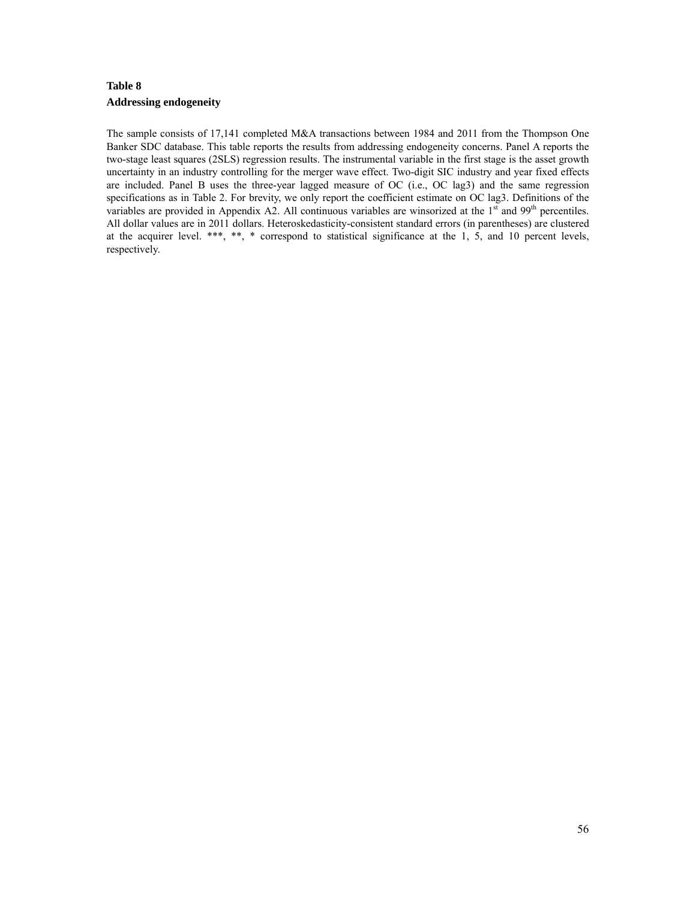# **Table 8 Addressing endogeneity**

The sample consists of 17,141 completed M&A transactions between 1984 and 2011 from the Thompson One Banker SDC database. This table reports the results from addressing endogeneity concerns. Panel A reports the two-stage least squares (2SLS) regression results. The instrumental variable in the first stage is the asset growth uncertainty in an industry controlling for the merger wave effect. Two-digit SIC industry and year fixed effects are included. Panel B uses the three-year lagged measure of OC (i.e., OC lag3) and the same regression specifications as in Table 2. For brevity, we only report the coefficient estimate on OC lag3. Definitions of the variables are provided in Appendix A2. All continuous variables are winsorized at the 1<sup>st</sup> and 99<sup>th</sup> percentiles. All dollar values are in 2011 dollars. Heteroskedasticity-consistent standard errors (in parentheses) are clustered at the acquirer level. \*\*\*, \*\*, \* correspond to statistical significance at the 1, 5, and 10 percent levels, respectively.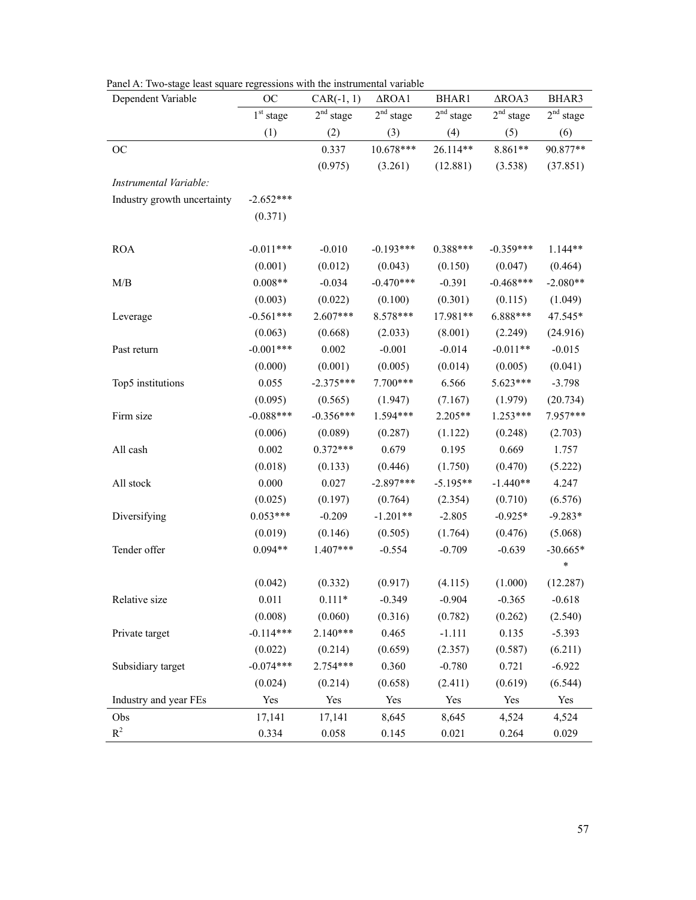|  |  | Panel A: Two-stage least square regressions with the instrumental variable |  |
|--|--|----------------------------------------------------------------------------|--|
|  |  |                                                                            |  |

| Dependent Variable          | OC                    | $CAR(-1, 1)$          | $\triangle$ ROA1   | BHAR1                 | $\triangle$ ROA3      | BHAR3              |
|-----------------------------|-----------------------|-----------------------|--------------------|-----------------------|-----------------------|--------------------|
|                             | 1 <sup>st</sup> stage | 2 <sup>nd</sup> stage | $2^{\rm nd}$ stage | 2 <sup>nd</sup> stage | 2 <sup>nd</sup> stage | $2^{\rm nd}$ stage |
|                             | (1)                   | (2)                   | (3)                | (4)                   | (5)                   | (6)                |
| <b>OC</b>                   |                       | 0.337                 | 10.678***          | 26.114**              | 8.861**               | 90.877**           |
|                             |                       | (0.975)               | (3.261)            | (12.881)              | (3.538)               | (37.851)           |
| Instrumental Variable:      |                       |                       |                    |                       |                       |                    |
| Industry growth uncertainty | $-2.652***$           |                       |                    |                       |                       |                    |
|                             | (0.371)               |                       |                    |                       |                       |                    |
| <b>ROA</b>                  | $-0.011***$           | $-0.010$              | $-0.193***$        | $0.388***$            | $-0.359***$           | $1.144**$          |
|                             | (0.001)               | (0.012)               | (0.043)            | (0.150)               | (0.047)               | (0.464)            |
| M/B                         | $0.008**$             | $-0.034$              | $-0.470***$        | $-0.391$              | $-0.468***$           | $-2.080**$         |
|                             | (0.003)               | (0.022)               | (0.100)            | (0.301)               | (0.115)               | (1.049)            |
| Leverage                    | $-0.561***$           | 2.607***              | 8.578***           | 17.981**              | 6.888***              | 47.545*            |
|                             | (0.063)               | (0.668)               | (2.033)            | (8.001)               | (2.249)               | (24.916)           |
| Past return                 | $-0.001***$           | 0.002                 | $-0.001$           | $-0.014$              | $-0.011**$            | $-0.015$           |
|                             | (0.000)               | (0.001)               | (0.005)            | (0.014)               | (0.005)               | (0.041)            |
| Top5 institutions           | 0.055                 | $-2.375***$           | 7.700***           | 6.566                 | 5.623***              | $-3.798$           |
|                             | (0.095)               | (0.565)               | (1.947)            | (7.167)               | (1.979)               | (20.734)           |
| Firm size                   | $-0.088***$           | $-0.356***$           | 1.594***           | 2.205**               | 1.253***              | 7.957***           |
|                             | (0.006)               | (0.089)               | (0.287)            | (1.122)               | (0.248)               | (2.703)            |
| All cash                    | 0.002                 | $0.372***$            | 0.679              | 0.195                 | 0.669                 | 1.757              |
|                             | (0.018)               | (0.133)               | (0.446)            | (1.750)               | (0.470)               | (5.222)            |
| All stock                   | 0.000                 | 0.027                 | $-2.897***$        | $-5.195**$            | $-1.440**$            | 4.247              |
|                             | (0.025)               | (0.197)               | (0.764)            | (2.354)               | (0.710)               | (6.576)            |
| Diversifying                | $0.053***$            | $-0.209$              | $-1.201**$         | $-2.805$              | $-0.925*$             | $-9.283*$          |
|                             | (0.019)               | (0.146)               | (0.505)            | (1.764)               | (0.476)               | (5.068)            |
| Tender offer                | $0.094**$             | 1.407***              | $-0.554$           | $-0.709$              | $-0.639$              | $-30.665*$         |
|                             |                       |                       |                    |                       |                       | *                  |
|                             | (0.042)               | (0.332)               | (0.917)            | (4.115)               | (1.000)               | (12.287)           |
| Relative size               | 0.011                 | $0.111*$              | $-0.349$           | $-0.904$              | $-0.365$              | $-0.618$           |
|                             | (0.008)               | (0.060)               | (0.316)            | (0.782)               | (0.262)               | (2.540)            |
| Private target              | $-0.114***$           | $2.140***$            | 0.465              | $-1.111$              | 0.135                 | $-5.393$           |
|                             | (0.022)               | (0.214)               | (0.659)            | (2.357)               | (0.587)               | (6.211)            |
| Subsidiary target           | $-0.074***$           | 2.754***              | 0.360              | $-0.780$              | 0.721                 | $-6.922$           |
|                             | (0.024)               | (0.214)               | (0.658)            | (2.411)               | (0.619)               | (6.544)            |
| Industry and year FEs       | Yes                   | Yes                   | Yes                | Yes                   | Yes                   | Yes                |
| Obs                         | 17,141                | 17,141                | 8,645              | 8,645                 | 4,524                 | 4,524              |
| $\mathbb{R}^2$              | 0.334                 | 0.058                 | 0.145              | 0.021                 | 0.264                 | 0.029              |